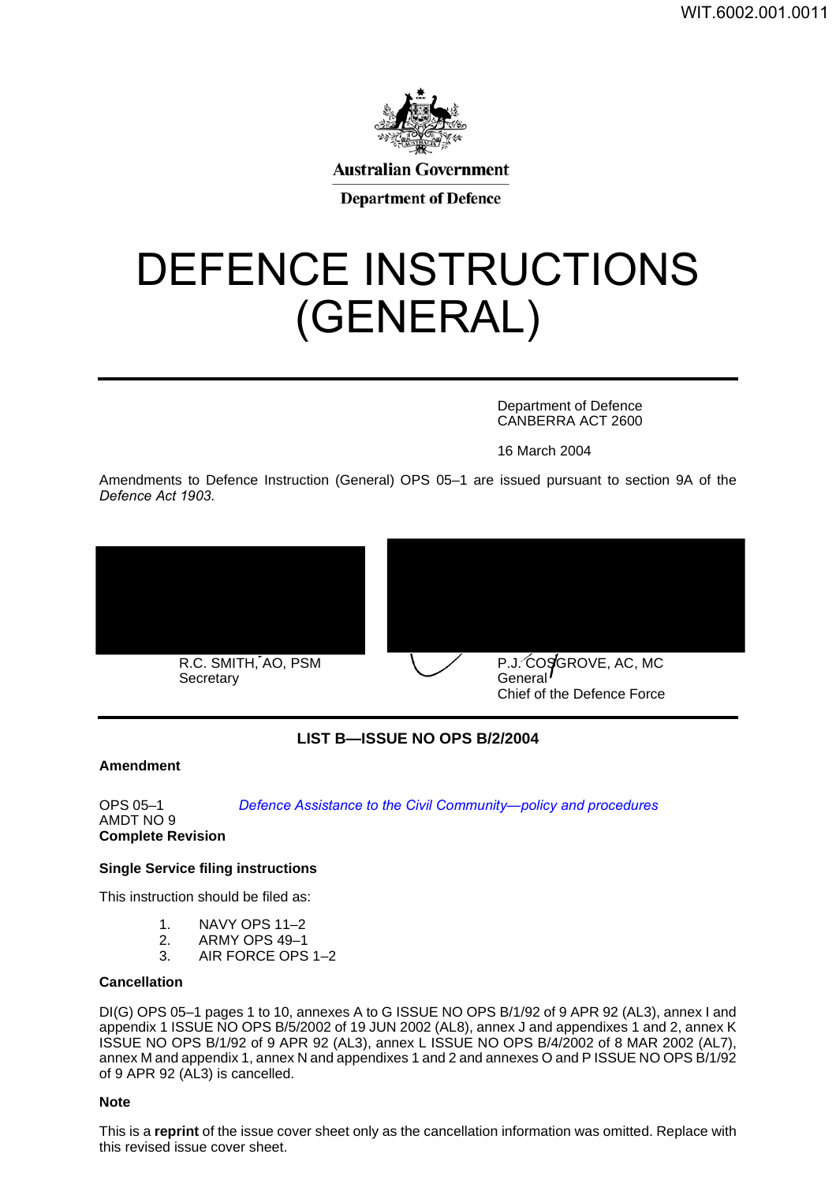

# DEFENCE INSTRUCTIONS (GENERAL)

Department of Defence CANBERRA ACT 2600

16 March 2004

Amendments to Defence Instruction (General) OPS 05–1 are issued pursuant to section 9A of the *Defence Act 1903*.





### **LIST B—ISSUE NO OPS B/2/2004**

### **Amendment <sup>1</sup>**

OPS 05–1

*[Defence Assistance to the Civil Community—policy and](#page-2-0) procedures*

AMDT NO 9 **Complete Revision**

### **Single Service filing instructions <sup>2</sup>**

This instruction should be filed as:

- 1. NAVY OPS 11–2
- 2. ARMY OPS 49–1
- 3. AIR FORCE OPS 1–2

### **Cancellation <sup>3</sup>**

DI(G) OPS 05–1 pages 1 to 10, annexes A to G ISSUE NO OPS B/1/92 of 9 APR 92 (AL3), annex I and appendix 1 ISSUE NO OPS B/5/2002 of 19 JUN 2002 (AL8), annex J and appendixes 1 and 2, annex K ISSUE NO OPS B/1/92 of 9 APR 92 (AL3), annex L ISSUE NO OPS B/4/2002 of 8 MAR 2002 (AL7), annex M and appendix 1, annex N and appendixes 1 and 2 and annexes O and P ISSUE NO OPS B/1/92 of 9 APR 92 (AL3) is cancelled.

### **Note <sup>4</sup>**

This is a **reprint** of the issue cover sheet only as the cancellation information was omitted. Replace with this revised issue cover sheet.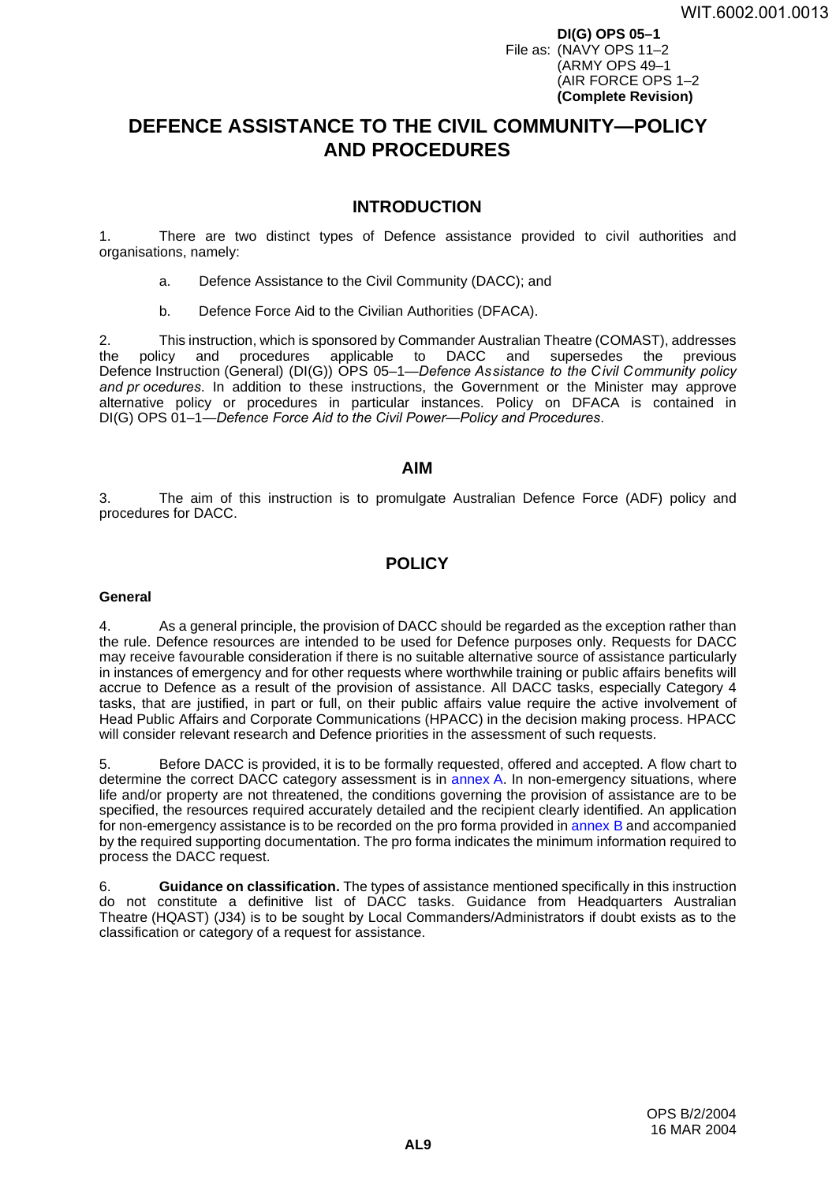**DI(G) OPS 05–1** File as: (NAVY OPS 11–2 (ARMY OPS 49–1 (AIR FORCE OPS 1–2 **(Complete Revision)**

# <span id="page-2-0"></span>**DEFENCE ASSISTANCE TO THE CIVIL COMMUNITY—POLICY AND PROCEDURES <sup>1</sup>**

### **INTRODUCTION <sup>1</sup>**

1. There are two distinct types of Defence assistance provided to civil authorities and organisations, namely:

- a. Defence Assistance to the Civil Community (DACC); and
- b. Defence Force Aid to the Civilian Authorities (DFACA).

2. This instruction, which is sponsored by Commander Australian Theatre (COMAST), addresses the policy and procedures applicable to DACC and supersedes the previous Defence Instruction (General) (DI(G)) OPS 05–1—*Defence Assistance to the Civil Community policy and pr ocedures*. In addition to these instructions, the Government or the Minister may approve alternative policy or procedures in particular instances. Policy on DFACA is contained in DI(G) OPS 01–1—*Defence Force Aid to the Civil Power—Policy and Procedures*.

### **AIM <sup>3</sup>**

3. The aim of this instruction is to promulgate Australian Defence Force (ADF) policy and procedures for DACC.

### **POLICY**

### <span id="page-2-1"></span>**General <sup>4</sup>**

4. As a general principle, the provision of DACC should be regarded as the exception rather than the rule. Defence resources are intended to be used for Defence purposes only. Requests for DACC may receive favourable consideration if there is no suitable alternative source of assistance particularly in instances of emergency and for other requests where worthwhile training or public affairs benefits will accrue to Defence as a result of the provision of assistance. All DACC tasks, especially Category 4 tasks, that are justified, in part or full, on their public affairs value require the active involvement of Head Public Affairs and Corporate Communications (HPACC) in the decision making process. HPACC will consider relevant research and Defence priorities in the assessment of such requests.

5. Before DACC is provided, it is to be formally requested, offered and accepted. A flow chart to determine the correct DACC category assessment is in [annex](#page-12-0) A. In non-emergency situations, where life and/or property are not threatened, the conditions governing the provision of assistance are to be specified, the resources required accurately detailed and the recipient clearly identified. An application for non-emergency assistance is to be recorded on the pro forma provided in [annex](#page-14-0) B and accompanied by the required supporting documentation. The pro forma indicates the minimum information required to process the DACC request.

6. **Guidance on classification.** The types of assistance mentioned specifically in this instruction do not constitute a definitive list of DACC tasks. Guidance from Headquarters Australian Theatre (HQAST) (J34) is to be sought by Local Commanders/Administrators if doubt exists as to the classification or category of a request for assistance.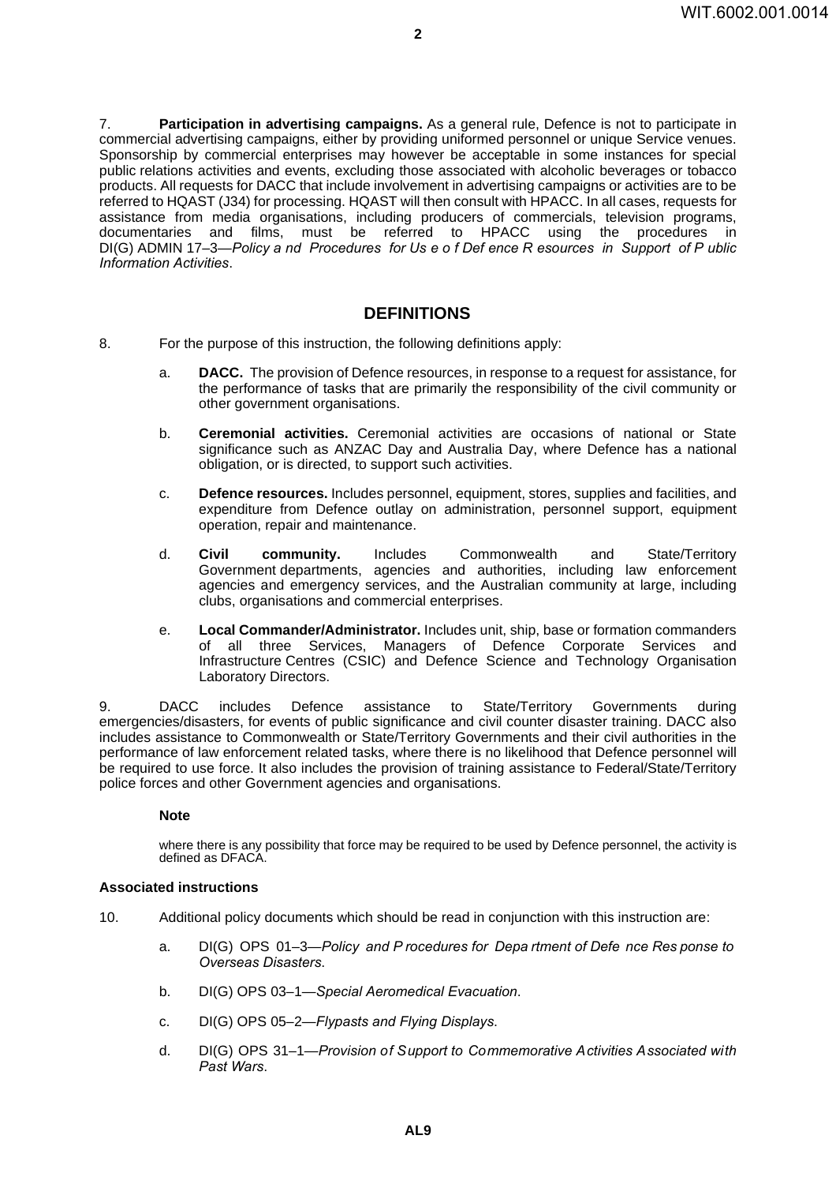7. **Participation in advertising campaigns.** As a general rule, Defence is not to participate in commercial advertising campaigns, either by providing uniformed personnel or unique Service venues. Sponsorship by commercial enterprises may however be acceptable in some instances for special public relations activities and events, excluding those associated with alcoholic beverages or tobacco products. All requests for DACC that include involvement in advertising campaigns or activities are to be referred to HQAST (J34) for processing. HQAST will then consult with HPACC. In all cases, requests for assistance from media organisations, including producers of commercials, television programs, documentaries and films, must be referred to HPACC using the procedures in DI(G) ADMIN 17–3—*Policy a nd Procedures for Us e o f Def ence R esources in Support of P ublic Information Activities*.

### **DEFINITIONS <sup>8</sup>**

- 8. For the purpose of this instruction, the following definitions apply:
	- a. **DACC.** The provision of Defence resources, in response to a request for assistance, for the performance of tasks that are primarily the responsibility of the civil community or other government organisations.
	- b. **Ceremonial activities.** Ceremonial activities are occasions of national or State significance such as ANZAC Day and Australia Day, where Defence has a national obligation, or is directed, to support such activities.
	- c. **Defence resources.** Includes personnel, equipment, stores, supplies and facilities, and expenditure from Defence outlay on administration, personnel support, equipment operation, repair and maintenance.
	- d. **Civil community.** Includes Commonwealth and State/Territory Government departments, agencies and authorities, including law enforcement agencies and emergency services, and the Australian community at large, including clubs, organisations and commercial enterprises.
	- e. **Local Commander/Administrator.** Includes unit, ship, base or formation commanders of all three Services, Managers of Defence Corporate Services and Infrastructure Centres (CSIC) and Defence Science and Technology Organisation Laboratory Directors.

9. DACC includes Defence assistance to State/Territory Governments during emergencies/disasters, for events of public significance and civil counter disaster training. DACC also includes assistance to Commonwealth or State/Territory Governments and their civil authorities in the performance of law enforcement related tasks, where there is no likelihood that Defence personnel will be required to use force. It also includes the provision of training assistance to Federal/State/Territory police forces and other Government agencies and organisations.

### **Note**

where there is any possibility that force may be required to be used by Defence personnel, the activity is defined as DFACA.

### **Associated instructions <sup>10</sup>**

- 10. Additional policy documents which should be read in conjunction with this instruction are:
	- a. DI(G) OPS 01–3—*Policy and P rocedures for Depa rtment of Defe nce Res ponse to Overseas Disasters*.
	- b. DI(G) OPS 03–1—*Special Aeromedical Evacuation*.
	- c. DI(G) OPS 05–2—*Flypasts and Flying Displays*.
	- d. DI(G) OPS 31–1—*Provision of Support to Commemorative Activities Associated with Past Wars*.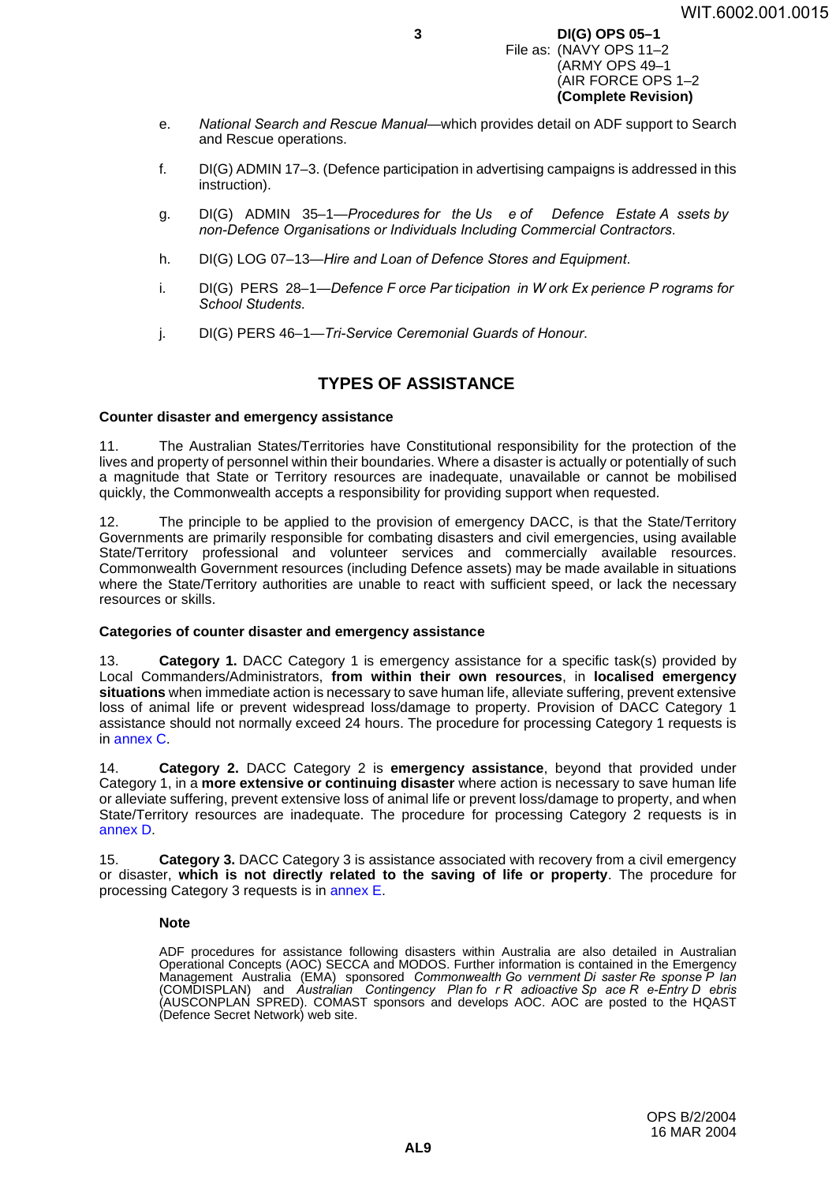#### **3 DI(G) OPS 05–1** File as: (NAVY OPS 11–2 (ARMY OPS 49–1 (AIR FORCE OPS 1–2 **(Complete Revision)**

- e. *National Search and Rescue Manual*—which provides detail on ADF support to Search and Rescue operations.
- f. DI(G) ADMIN 17–3. (Defence participation in advertising campaigns is addressed in this instruction).
- g. DI(G) ADMIN 35–1—*Procedures for the Us e of Defence Estate A ssets by non-Defence Organisations or Individuals Including Commercial Contractors*.
- h. DI(G) LOG 07–13—*Hire and Loan of Defence Stores and Equipment*.
- i. DI(G) PERS 28–1—*Defence F orce Par ticipation in W ork Ex perience P rograms for School Students*.
- j. DI(G) PERS 46–1—*Tri-Service Ceremonial Guards of Honour*.

### **TYPES OF ASSISTANCE <sup>11</sup>**

### **Counter disaster and emergency assistance <sup>11</sup>**

11. The Australian States/Territories have Constitutional responsibility for the protection of the lives and property of personnel within their boundaries. Where a disaster is actually or potentially of such a magnitude that State or Territory resources are inadequate, unavailable or cannot be mobilised quickly, the Commonwealth accepts a responsibility for providing support when requested.

12. The principle to be applied to the provision of emergency DACC, is that the State/Territory Governments are primarily responsible for combating disasters and civil emergencies, using available State/Territory professional and volunteer services and commercially available resources. Commonwealth Government resources (including Defence assets) may be made available in situations where the State/Territory authorities are unable to react with sufficient speed, or lack the necessary resources or skills.

### **Categories of counter disaster and emergency assistance <sup>13</sup>**

13. **Category 1.** DACC Category 1 is emergency assistance for a specific task(s) provided by Local Commanders/Administrators, **from within their own resources**, in **localised emergency situations** when immediate action is necessary to save human life, alleviate suffering, prevent extensive loss of animal life or prevent widespread loss/damage to property. Provision of DACC Category 1 assistance should not normally exceed 24 hours. The procedure for processing Category 1 requests is in [annex](#page-18-0) C.

14. **Category 2.** DACC Category 2 is **emergency assistance**, beyond that provided under Category 1, in a **more extensive or continuing disaster** where action is necessary to save human life or alleviate suffering, prevent extensive loss of animal life or prevent loss/damage to property, and when State/Territory resources are inadequate. The procedure for processing Category 2 requests is in [annex](#page-20-0) D.

15. **Category 3.** DACC Category 3 is assistance associated with recovery from a civil emergency or disaster, **which is not directly related to the saving of life or property**. The procedure for processing Category 3 requests is in [annex](#page-22-0) E.

### **Note**

ADF procedures for assistance following disasters within Australia are also detailed in Australian Operational Concepts (AOC) SECCA and MODOS. Further information is contained in the Emergency Management Australia (EMA) sponsored *Commonwealth Go vernment Di saster Re sponse P lan* (COMDISPLAN) and *Australian Contingency Plan fo r R adioactive Sp ace R e-Entry D ebris* (AUSCONPLAN SPRED). COMAST sponsors and develops AOC. AOC are posted to the HQAST (Defence Secret Network) web site.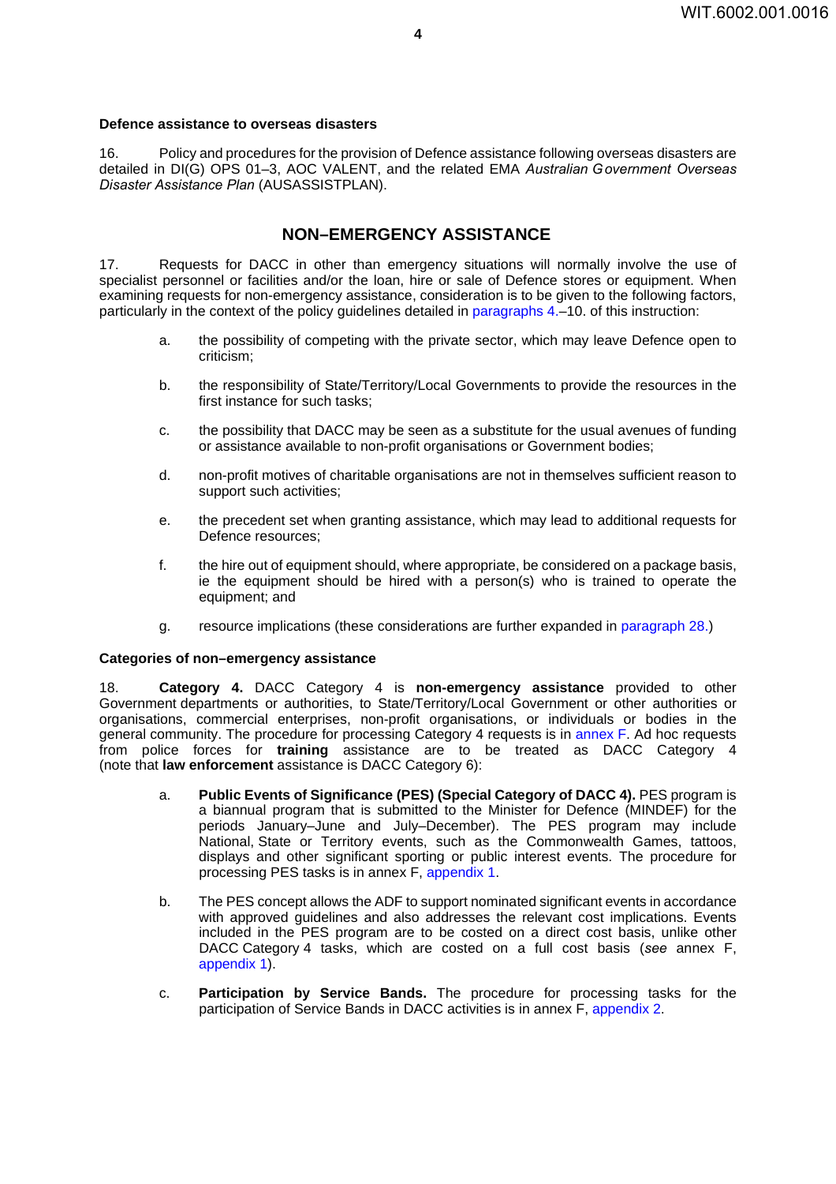### **Defence assistance to overseas disasters**

16. Policy and procedures for the provision of Defence assistance following overseas disasters are detailed in DI(G) OPS 01–3, AOC VALENT, and the related EMA *Australian Government Overseas Disaster Assistance Plan* (AUSASSISTPLAN).

### **NON–EMERGENCY ASSISTANCE <sup>17</sup>**

17. Requests for DACC in other than emergency situations will normally involve the use of specialist personnel or facilities and/or the loan, hire or sale of Defence stores or equipment. When examining requests for non-emergency assistance, consideration is to be given to the following factors, particularly in the context of the policy guidelines detailed in paragraphs 4.–10. of this instruction:

- a. the possibility of competing with the private sector, which may leave Defence open to criticism;
- b. the responsibility of State/Territory/Local Governments to provide the resources in the first instance for such tasks;
- c. the possibility that DACC may be seen as a substitute for the usual avenues of funding or assistance available to non-profit organisations or Government bodies;
- d. non-profit motives of charitable organisations are not in themselves sufficient reason to support such activities;
- e. the precedent set when granting assistance, which may lead to additional requests for Defence resources;
- f. the hire out of equipment should, where appropriate, be considered on a package basis, ie the equipment should be hired with a person(s) who is trained to operate the equipment; and
- g. resource implications (these considerations are further expanded in paragraph 28.)

### Categories of non–emergency assistance

18. **Category 4.** DACC Category 4 is **non-emergency assistance** provided to other Government departments or authorities, to State/Territory/Local Government or other authorities or organisations, commercial enterprises, non-profit organisations, or individuals or bodies in the general community. The procedure for processing Category 4 requests is in [annex](#page-24-0) F. Ad hoc requests from police forces for **training** assistance are to be treated as DACC Category 4 (note that **law enforcement** assistance is DACC Category 6):

- a. **Public Events of Significance (PES) (Special Category of DACC 4).** PES program is a biannual program that is submitted to the Minister for Defence (MINDEF) for the periods January–June and July–December). The PES program may include National, State or Territory events, such as the Commonwealth Games, tattoos, displays and other significant sporting or public interest events. The procedure for processing PES tasks is in annex F, [appendix](#page-28-0) 1.
- b. The PES concept allows the ADF to support nominated significant events in accordance with approved guidelines and also addresses the relevant cost implications. Events included in the PES program are to be costed on a direct cost basis, unlike other DACC Category 4 tasks, which are costed on a full cost basis (*see* annex F, [appendix](#page-28-0) 1).
- c. **Participation by Service Bands.** The procedure for processing tasks for the participation of Service Bands in DACC activities is in annex F, [appendix](#page-32-0) 2.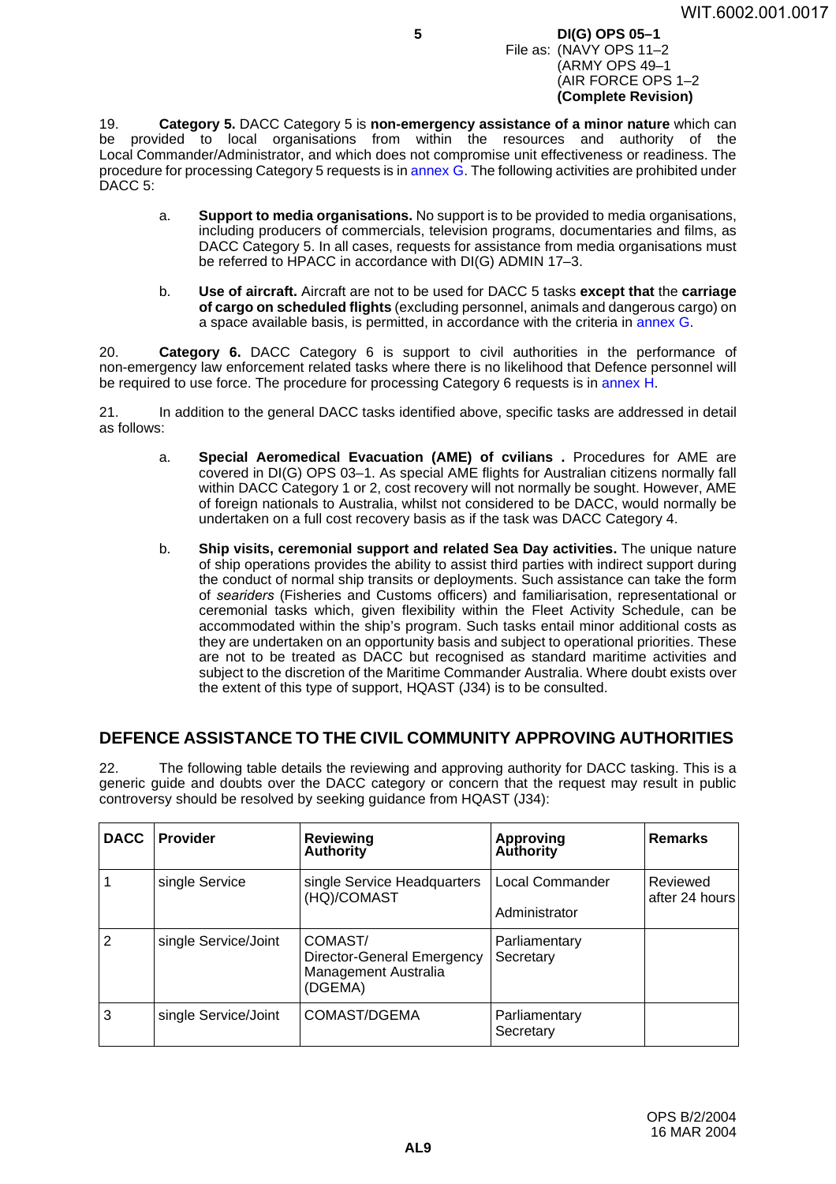#### **5 DI(G) OPS 05–1** File as: (NAVY OPS 11–2 (ARMY OPS 49–1 (AIR FORCE OPS 1–2 **(Complete Revision)**

19. **Category 5.** DACC Category 5 is **non-emergency assistance of a minor nature** which can be provided to local organisations from within the resources and authority of the Local Commander/Administrator, and which does not compromise unit effectiveness or readiness. The procedure for processing Category 5 requests is in [annex](#page-34-0) G. The following activities are prohibited under DACC<sub>5</sub>:

- a. **Support to media organisations.** No support is to be provided to media organisations, including producers of commercials, television programs, documentaries and films, as DACC Category 5. In all cases, requests for assistance from media organisations must be referred to HPACC in accordance with DI(G) ADMIN 17-3.
- b. **Use of aircraft.** Aircraft are not to be used for DACC 5 tasks **except that** the **carriage of cargo on scheduled flights** (excluding personnel, animals and dangerous cargo) on a space available basis, is permitted, in accordance with the criteria in [annex](#page-34-0) G.

20. **Category 6.** DACC Category 6 is support to civil authorities in the performance of non-emergency law enforcement related tasks where there is no likelihood that Defence personnel will be required to use force. The procedure for processing Category 6 requests is in [annex](#page-36-0) H.

21. In addition to the general DACC tasks identified above, specific tasks are addressed in detail as follows:

- a. **Special Aeromedical Evacuation (AME) of cvilians .** Procedures for AME are covered in DI(G) OPS 03–1. As special AME flights for Australian citizens normally fall within DACC Category 1 or 2, cost recovery will not normally be sought. However, AME of foreign nationals to Australia, whilst not considered to be DACC, would normally be undertaken on a full cost recovery basis as if the task was DACC Category 4.
- b. **Ship visits, ceremonial support and related Sea Day activities.** The unique nature of ship operations provides the ability to assist third parties with indirect support during the conduct of normal ship transits or deployments. Such assistance can take the form of *seariders* (Fisheries and Customs officers) and familiarisation, representational or ceremonial tasks which, given flexibility within the Fleet Activity Schedule, can be accommodated within the ship's program. Such tasks entail minor additional costs as they are undertaken on an opportunity basis and subject to operational priorities. These are not to be treated as DACC but recognised as standard maritime activities and subject to the discretion of the Maritime Commander Australia. Where doubt exists over the extent of this type of support, HQAST (J34) is to be consulted.

### **DEFENCE ASSISTANCE TO THE CIVIL COMMUNITY APPROVING AUTHORITIES22**

22. The following table details the reviewing and approving authority for DACC tasking. This is a generic guide and doubts over the DACC category or concern that the request may result in public controversy should be resolved by seeking guidance from HQAST (J34):

| <b>DACC</b>    | <b>Provider</b>      | <b>Reviewing</b><br><b>Authority</b>                                     | <b>Approving</b><br><b>Authority</b> | <b>Remarks</b>             |
|----------------|----------------------|--------------------------------------------------------------------------|--------------------------------------|----------------------------|
|                | single Service       | single Service Headquarters<br>(HQ)/COMAST                               | Local Commander<br>Administrator     | Reviewed<br>after 24 hours |
| $\overline{2}$ | single Service/Joint | COMAST/<br>Director-General Emergency<br>Management Australia<br>(DGEMA) | Parliamentary<br>Secretary           |                            |
| 3              | single Service/Joint | COMAST/DGEMA                                                             | Parliamentary<br>Secretary           |                            |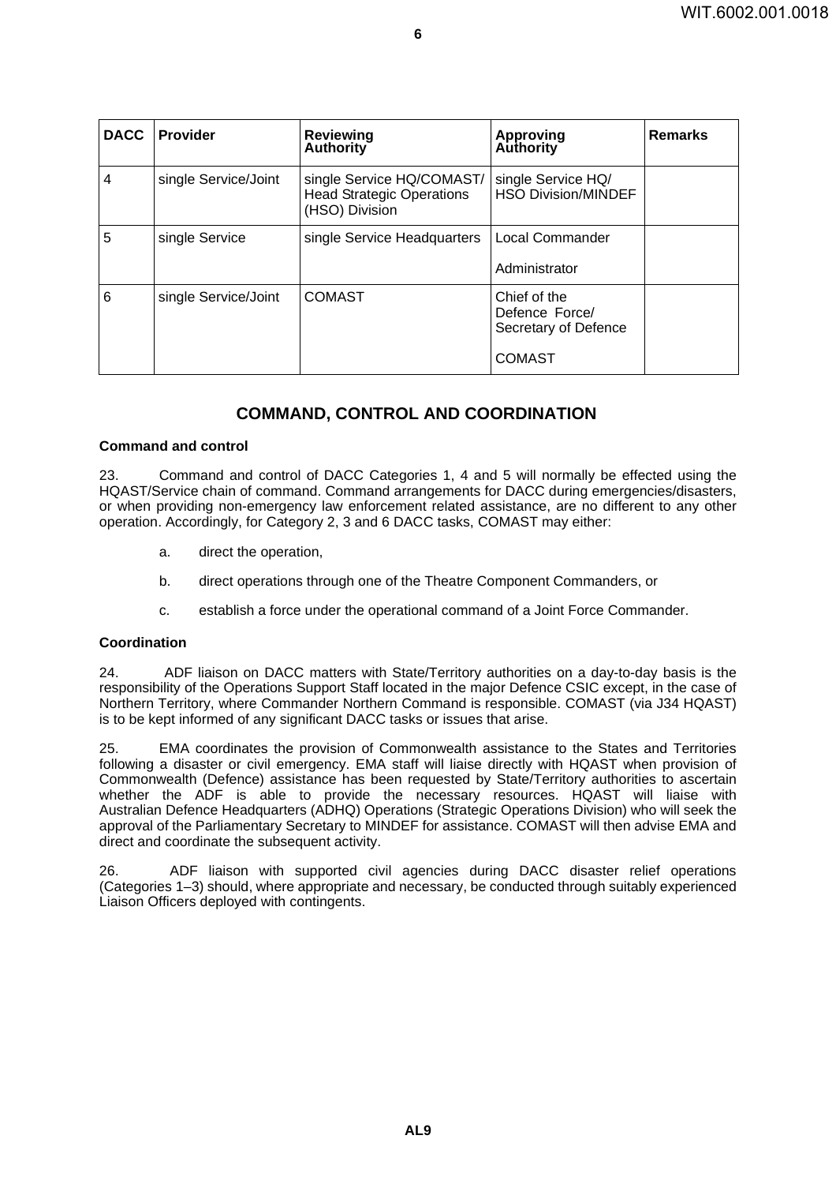| <b>DACC</b>    | <b>Provider</b>      | Reviewing<br><b>Authority</b>                                                   | <b>Approving</b><br><b>Authority</b>                                    | <b>Remarks</b> |  |  |  |  |
|----------------|----------------------|---------------------------------------------------------------------------------|-------------------------------------------------------------------------|----------------|--|--|--|--|
| $\overline{4}$ | single Service/Joint | single Service HQ/COMAST/<br><b>Head Strategic Operations</b><br>(HSO) Division | single Service HQ/<br><b>HSO Division/MINDEF</b>                        |                |  |  |  |  |
| $\overline{5}$ | single Service       | single Service Headquarters                                                     | Local Commander<br>Administrator                                        |                |  |  |  |  |
| $\overline{6}$ | single Service/Joint | <b>COMAST</b>                                                                   | Chief of the<br>Defence Force/<br>Secretary of Defence<br><b>COMAST</b> |                |  |  |  |  |

**6**

### **COMMAND, CONTROL AND COORDINATION <sup>23</sup>**

### **Command and control <sup>23</sup>**

23. Command and control of DACC Categories 1, 4 and 5 will normally be effected using the HQAST/Service chain of command. Command arrangements for DACC during emergencies/disasters, or when providing non-emergency law enforcement related assistance, are no different to any other operation. Accordingly, for Category 2, 3 and 6 DACC tasks, COMAST may either:

- a. direct the operation,
- b. direct operations through one of the Theatre Component Commanders, or
- c. establish a force under the operational command of a Joint Force Commander.

### **Coordination <sup>24</sup>**

24. ADF liaison on DACC matters with State/Territory authorities on a day-to-day basis is the responsibility of the Operations Support Staff located in the major Defence CSIC except, in the case of Northern Territory, where Commander Northern Command is responsible. COMAST (via J34 HQAST) is to be kept informed of any significant DACC tasks or issues that arise.

25. EMA coordinates the provision of Commonwealth assistance to the States and Territories following a disaster or civil emergency. EMA staff will liaise directly with HQAST when provision of Commonwealth (Defence) assistance has been requested by State/Territory authorities to ascertain whether the ADF is able to provide the necessary resources. HQAST will liaise with Australian Defence Headquarters (ADHQ) Operations (Strategic Operations Division) who will seek the approval of the Parliamentary Secretary to MINDEF for assistance. COMAST will then advise EMA and direct and coordinate the subsequent activity.

26. ADF liaison with supported civil agencies during DACC disaster relief operations (Categories 1–3) should, where appropriate and necessary, be conducted through suitably experienced Liaison Officers deployed with contingents.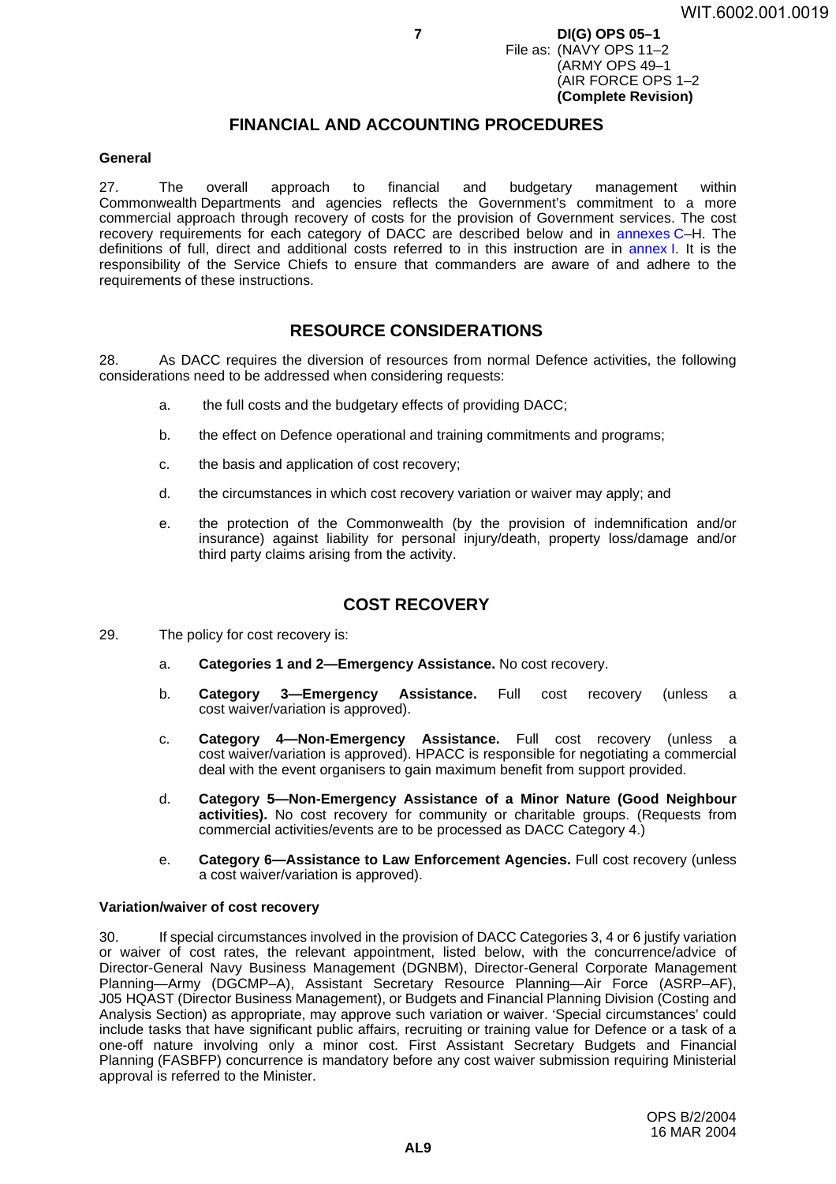**7 DI(G) OPS 05–1** File as: (NAVY OPS 11–2 (ARMY OPS 49–1 (AIR FORCE OPS 1–2 **(Complete Revision)**

### **FINANCIAL AND ACCOUNTING PROCEDURES <sup>27</sup>**

### **General <sup>27</sup>**

27. The overall approach to financial and budgetary management within Commonwealth Departments and agencies reflects the Government's commitment to a more commercial approach through recovery of costs for the provision of Government services. The cost recovery requirements for each category of DACC are described below and in [annexes](#page-18-0) C–H. The definitions of full, direct and additional costs referred to in this instruction are in [annex](#page-38-0) I. It is the responsibility of the Service Chiefs to ensure that commanders are aware of and adhere to the requirements of these instructions.

### **RESOURCE CONSIDERATIONS <sup>28</sup>**

28. As DACC requires the diversion of resources from normal Defence activities, the following considerations need to be addressed when considering requests:

- a. the full costs and the budgetary effects of providing DACC;
- b. the effect on Defence operational and training commitments and programs;
- c. the basis and application of cost recovery;
- d. the circumstances in which cost recovery variation or waiver may apply; and
- e. the protection of the Commonwealth (by the provision of indemnification and/or insurance) against liability for personal injury/death, property loss/damage and/or third party claims arising from the activity.

### **COST RECOVERY <sup>29</sup>**

- <span id="page-8-0"></span>29. The policy for cost recovery is:
	- a. **Categories 1 and 2—Emergency Assistance.** No cost recovery.
	- b. **Category 3—Emergency Assistance.** Full cost recovery (unless a cost waiver/variation is approved).
	- c. **Category 4—Non-Emergency Assistance.** Full cost recovery (unless a cost waiver/variation is approved). HPACC is responsible for negotiating a commercial deal with the event organisers to gain maximum benefit from support provided.
	- d. **Category 5—Non-Emergency Assistance of a Minor Nature (Good Neighbour activities).** No cost recovery for community or charitable groups. (Requests from commercial activities/events are to be processed as DACC Category 4.)
	- e. **Category 6—Assistance to Law Enforcement Agencies.** Full cost recovery (unless a cost waiver/variation is approved).

### **Variation/waiver of cost recovery <sup>30</sup>**

30. If special circumstances involved in the provision of DACC Categories 3, 4 or 6 justify variation or waiver of cost rates, the relevant appointment, listed below, with the concurrence/advice of Director-General Navy Business Management (DGNBM), Director-General Corporate Management Planning—Army (DGCMP–A), Assistant Secretary Resource Planning—Air Force (ASRP–AF), J05 HQAST (Director Business Management), or Budgets and Financial Planning Division (Costing and Analysis Section) as appropriate, may approve such variation or waiver. 'Special circumstances' could include tasks that have significant public affairs, recruiting or training value for Defence or a task of a one-off nature involving only a minor cost. First Assistant Secretary Budgets and Financial Planning (FASBFP) concurrence is mandatory before any cost waiver submission requiring Ministerial approval is referred to the Minister.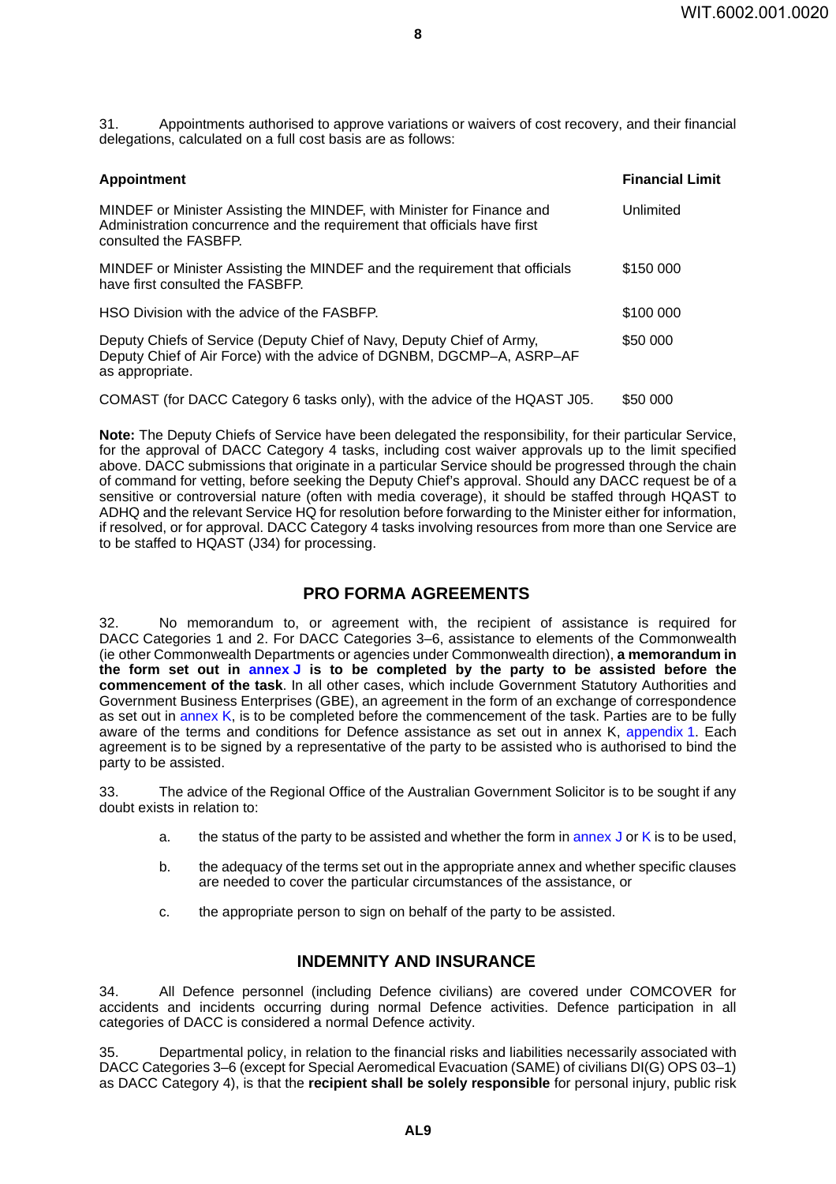31. Appointments authorised to approve variations or waivers of cost recovery, and their financial delegations, calculated on a full cost basis are as follows:

**8**

| <b>Appointment</b>                                                                                                                                                          | <b>Financial Limit</b> |
|-----------------------------------------------------------------------------------------------------------------------------------------------------------------------------|------------------------|
| MINDEF or Minister Assisting the MINDEF, with Minister for Finance and<br>Administration concurrence and the requirement that officials have first<br>consulted the FASBFP. | Unlimited              |
| MINDEF or Minister Assisting the MINDEF and the requirement that officials<br>have first consulted the FASBFP.                                                              | \$150 000              |
| HSO Division with the advice of the FASBFP.                                                                                                                                 | \$100 000              |
| Deputy Chiefs of Service (Deputy Chief of Navy, Deputy Chief of Army,<br>Deputy Chief of Air Force) with the advice of DGNBM, DGCMP-A, ASRP-AF<br>as appropriate.           | \$50 000               |
| COMAST (for DACC Category 6 tasks only), with the advice of the HOAST JOE                                                                                                   | ድደስ ሰሰሰ                |

COMAST (for DACC Category 6 tasks only), with the advice of the HQAST J05. \$50 000

**Note:** The Deputy Chiefs of Service have been delegated the responsibility, for their particular Service, for the approval of DACC Category 4 tasks, including cost waiver approvals up to the limit specified above. DACC submissions that originate in a particular Service should be progressed through the chain of command for vetting, before seeking the Deputy Chief's approval. Should any DACC request be of a sensitive or controversial nature (often with media coverage), it should be staffed through HQAST to ADHQ and the relevant Service HQ for resolution before forwarding to the Minister either for information, if resolved, or for approval. DACC Category 4 tasks involving resources from more than one Service are to be staffed to HQAST (J34) for processing.

### **PRO FORMA AGREEMENTS <sup>32</sup>**

<span id="page-9-0"></span>32. No memorandum to, or agreement with, the recipient of assistance is required for DACC Categories 1 and 2. For DACC Categories 3–6, assistance to elements of the Commonwealth (ie other Commonwealth Departments or agencies under Commonwealth direction), **a memorandum in the form set out in [annex](#page-40-0) J is to be completed by the party to be assisted before the commencement of the task**. In all other cases, which include Government Statutory Authorities and Government Business Enterprises (GBE), an agreement in the form of an exchange of correspondence as set out in [annex](#page-44-0) K, is to be completed before the commencement of the task. Parties are to be fully aware of the terms and conditions for Defence assistance as set out in annex K, [appendix](#page-46-0) 1. Each agreement is to be signed by a representative of the party to be assisted who is authorised to bind the party to be assisted.

33. The advice of the Regional Office of the Australian Government Solicitor is to be sought if any doubt exists in relation to:

- a. the status of the party to be assisted and whether the form in [annex](#page-40-0)  $J$  or  $K$  is to be used,
- b. the adequacy of the terms set out in the appropriate annex and whether specific clauses are needed to cover the particular circumstances of the assistance, or
- c. the appropriate person to sign on behalf of the party to be assisted.

### **INDEMNITY AND INSURANCE <sup>34</sup>**

34. All Defence personnel (including Defence civilians) are covered under COMCOVER for accidents and incidents occurring during normal Defence activities. Defence participation in all categories of DACC is considered a normal Defence activity.

35. Departmental policy, in relation to the financial risks and liabilities necessarily associated with DACC Categories 3–6 (except for Special Aeromedical Evacuation (SAME) of civilians DI(G) OPS 03–1) as DACC Category 4), is that the **recipient shall be solely responsible** for personal injury, public risk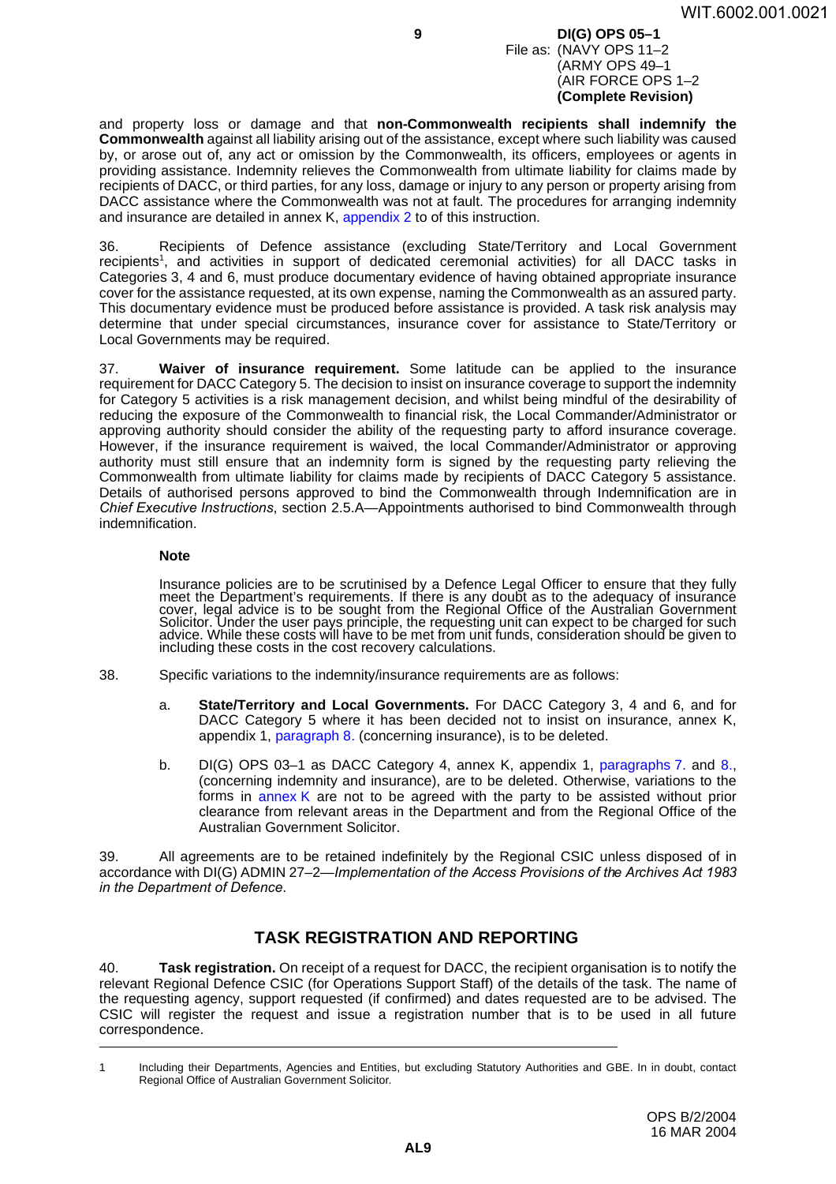#### **9 DI(G) OPS 05–1** File as: (NAVY OPS 11–2 (ARMY OPS 49–1 (AIR FORCE OPS 1–2 **(Complete Revision)**

and property loss or damage and that **non-Commonwealth recipients shall indemnify the Commonwealth** against all liability arising out of the assistance, except where such liability was caused by, or arose out of, any act or omission by the Commonwealth, its officers, employees or agents in providing assistance. Indemnity relieves the Commonwealth from ultimate liability for claims made by recipients of DACC, or third parties, for any loss, damage or injury to any person or property arising from DACC assistance where the Commonwealth was not at fault. The procedures for arranging indemnity and insurance are detailed in annex K, [appendix](#page-48-0) 2 to of this instruction.

36. Recipients of Defence assistance (excluding State/Territory and Local Government recipients<sup>1</sup>, and activities in support of dedicated ceremonial activities) for all DACC tasks in Categories 3, 4 and 6, must produce documentary evidence of having obtained appropriate insurance cover for the assistance requested, at its own expense, naming the Commonwealth as an assured party. This documentary evidence must be produced before assistance is provided. A task risk analysis may determine that under special circumstances, insurance cover for assistance to State/Territory or Local Governments may be required.

37. **Waiver of insurance requirement.** Some latitude can be applied to the insurance requirement for DACC Category 5. The decision to insist on insurance coverage to support the indemnity for Category 5 activities is a risk management decision, and whilst being mindful of the desirability of reducing the exposure of the Commonwealth to financial risk, the Local Commander/Administrator or approving authority should consider the ability of the requesting party to afford insurance coverage. However, if the insurance requirement is waived, the local Commander/Administrator or approving authority must still ensure that an indemnity form is signed by the requesting party relieving the Commonwealth from ultimate liability for claims made by recipients of DACC Category 5 assistance. Details of authorised persons approved to bind the Commonwealth through Indemnification are in *Chief Executive Instructions*, section 2.5.A—Appointments authorised to bind Commonwealth through indemnification.

### **Note**

Insurance policies are to be scrutinised by a Defence Legal Officer to ensure that they fully meet the Department's requirements. If there is any doubt as to the adequacy of insurance<br>cover, legal advice is to be sought from the Regional Office of the Australian Government Solicitor. Under the user pays principle, the requesting unit can expect to be charged for such advice. While these costs will have to be met from unit funds, consideration should be given to including these costs in the cost recovery calculations.

- 38. Specific variations to the indemnity/insurance requirements are as follows:
	- a. **State/Territory and Local Governments.** For DACC Category 3, 4 and 6, and for DACC Category 5 where it has been decided not to insist on insurance, annex K, appendix 1, paragraph 8. (concerning insurance), is to be deleted.
	- b. DI(G) OPS 03–1 as DACC Category 4, annex K, appendix 1, paragraphs 7. and 8., (concerning indemnity and insurance), are to be deleted. Otherwise, variations to the forms in [annex](#page-44-0) K are not to be agreed with the party to be assisted without prior clearance from relevant areas in the Department and from the Regional Office of the Australian Government Solicitor.

39. All agreements are to be retained indefinitely by the Regional CSIC unless disposed of in accordance with DI(G) ADMIN 27–2—*Implementation of the Access Provisions of the Archives Act 1983 in the Department of Defence*.

### **TASK REGISTRATION AND REPORTING <sup>40</sup>**

40. **Task registration.** On receipt of a request for DACC, the recipient organisation is to notify the relevant Regional Defence CSIC (for Operations Support Staff) of the details of the task. The name of the requesting agency, support requested (if confirmed) and dates requested are to be advised. The CSIC will register the request and issue a registration number that is to be used in all future correspondence.

<sup>1</sup> Including their Departments, Agencies and Entities, but excluding Statutory Authorities and GBE. In in doubt, contact Regional Office of Australian Government Solicitor.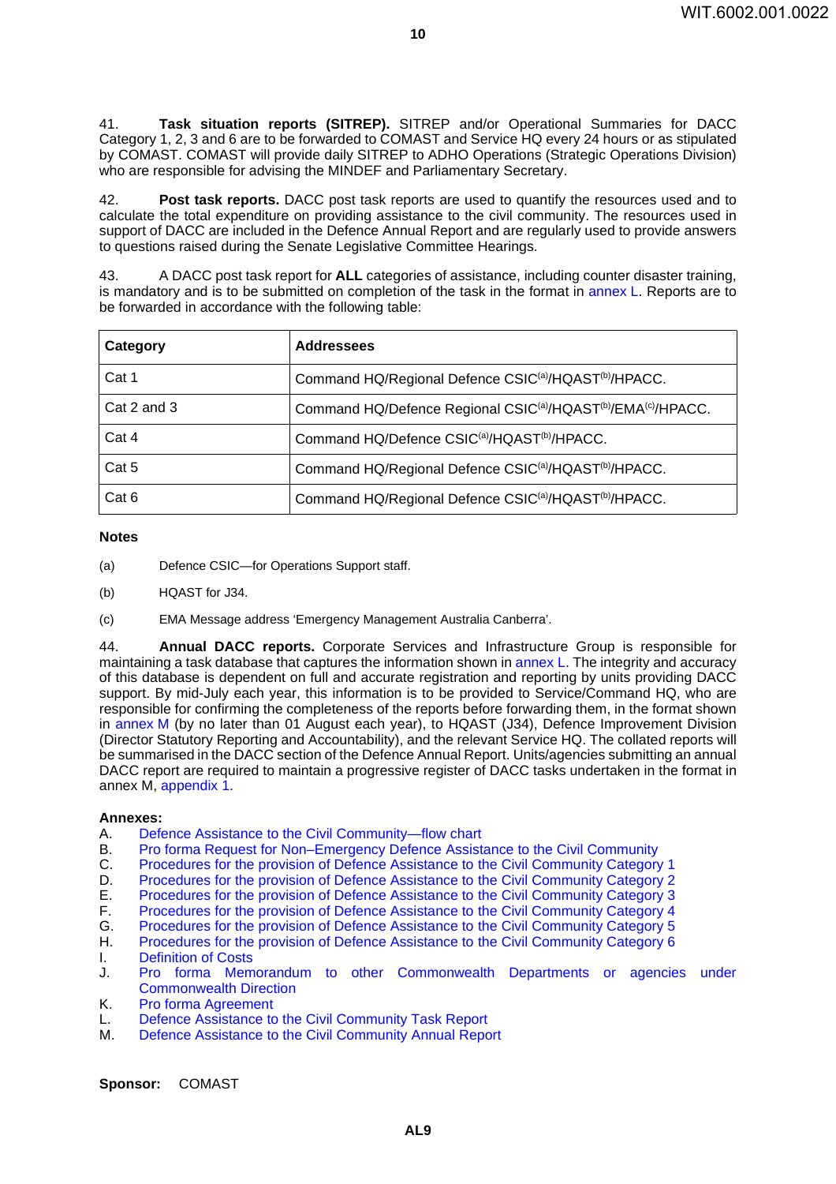41. **Task situation reports (SITREP).** SITREP and/or Operational Summaries for DACC Category 1, 2, 3 and 6 are to be forwarded to COMAST and Service HQ every 24 hours or as stipulated by COMAST. COMAST will provide daily SITREP to ADHO Operations (Strategic Operations Division) who are responsible for advising the MINDEF and Parliamentary Secretary.

42. **Post task reports.** DACC post task reports are used to quantify the resources used and to calculate the total expenditure on providing assistance to the civil community. The resources used in support of DACC are included in the Defence Annual Report and are regularly used to provide answers to questions raised during the Senate Legislative Committee Hearings.

43. A DACC post task report for **ALL** categories of assistance, including counter disaster training, is mandatory and is to be submitted on completion of the task in the format in [annex](#page-56-0)  $L$ . Reports are to be forwarded in accordance with the following table:

| Category    | <b>Addressees</b>                                                                                 |
|-------------|---------------------------------------------------------------------------------------------------|
| Cat 1       | Command HQ/Regional Defence CSIC <sup>(a)</sup> /HQAST <sup>(b)</sup> /HPACC.                     |
| Cat 2 and 3 | Command HQ/Defence Regional CSIC <sup>(a)</sup> /HQAST <sup>(b)</sup> /EMA <sup>(c)</sup> /HPACC. |
| Cat 4       | Command HQ/Defence CSIC <sup>(a)</sup> /HQAST <sup>(b)</sup> /HPACC.                              |
| Cat 5       | Command HQ/Regional Defence CSIC <sup>(a)</sup> /HQAST <sup>(b)</sup> /HPACC.                     |
| Cat 6       | Command HQ/Regional Defence CSIC <sup>(a)</sup> /HQAST <sup>(b)</sup> /HPACC.                     |

### **Notes**

- (a) Defence CSIC—for Operations Support staff.
- (b) HQAST for J34.
- (c) EMA Message address 'Emergency Management Australia Canberra'.

44. **Annual DACC reports.** Corporate Services and Infrastructure Group is responsible for maintaining a task database that captures the information shown in [annex](#page-56-0) L. The integrity and accuracy of this database is dependent on full and accurate registration and reporting by units providing DACC support. By mid-July each year, this information is to be provided to Service/Command HQ, who are responsible for confirming the completeness of the reports before forwarding them, in the format shown in [annex](#page-58-0) M (by no later than 01 August each year), to HQAST (J34), Defence Improvement Division (Director Statutory Reporting and Accountability), and the relevant Service HQ. The collated reports will be summarised in the DACC section of the Defence Annual Report. Units/agencies submitting an annual DACC report are required to maintain a progressive register of DACC tasks undertaken in the format in annex M, [appendix](#page-60-0) 1.

#### **Annexes:**

- A. [Defence Assistance to the Civil Community—flow chart](#page-12-0)
- B. [Pro forma Request for Non–Emergency Defence](#page-14-0) Assistance to the Civil Community
- C. [Procedures for the provision of Defence Assistance to](#page-18-0) the Civil Community Category 1
- D. [Procedures for the provision of Defence Assistance to](#page-20-0) the Civil Community Category 2
- E. [Procedures for the provision of Defence Assistance to](#page-22-0) the Civil Community Category 3
- F. [Procedures for the provision of Defence Assistance to](#page-24-0) the Civil Community Category 4
- G. [Procedures for the provision of Defence Assistance to](#page-34-0) the Civil Community Category 5
- H. [Procedures for the provision of Defence Assistance to](#page-36-0) the Civil Community Category 6
- I. [Definition of Costs](#page-38-0)
- J. [Pro forma Memorandum to other Commonwealth Departments or agencies under](#page-40-0) [Commonwealth](#page-40-0) Direction
- K. [Pro forma Agreement](#page-44-0)
- L. [Defence Assistance to the Civil Community Task Report](#page-56-0)
- M. [Defence Assistance to the Civil Community Annual](#page-58-0) Report

**Sponsor:** COMAST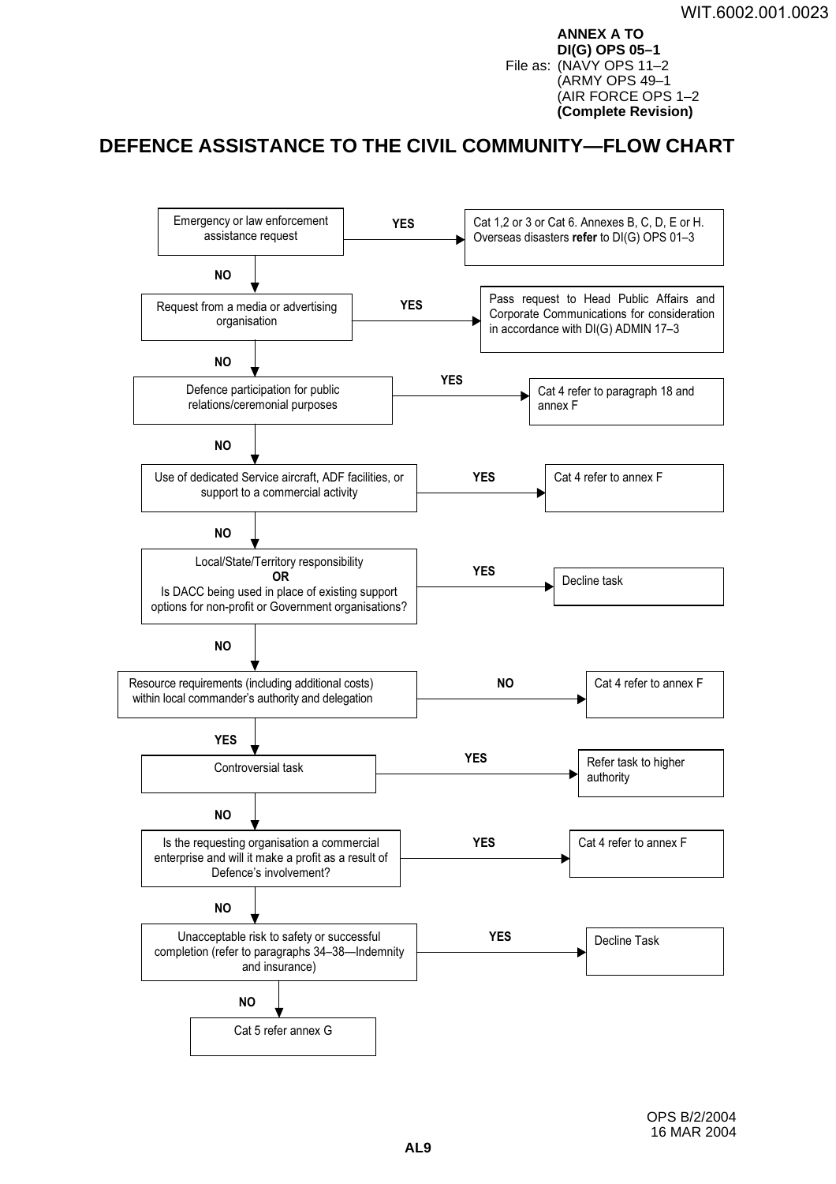**ANNEX A TO DI(G) OPS 05–1** File as: (NAVY OPS 11–2 (ARMY OPS 49–1 (AIR FORCE OPS 1–2 **(Complete Revision)**

# <span id="page-12-0"></span>DEFENCE ASSISTANCE TO THE CIVIL COMMUNITY—FLOW CHART

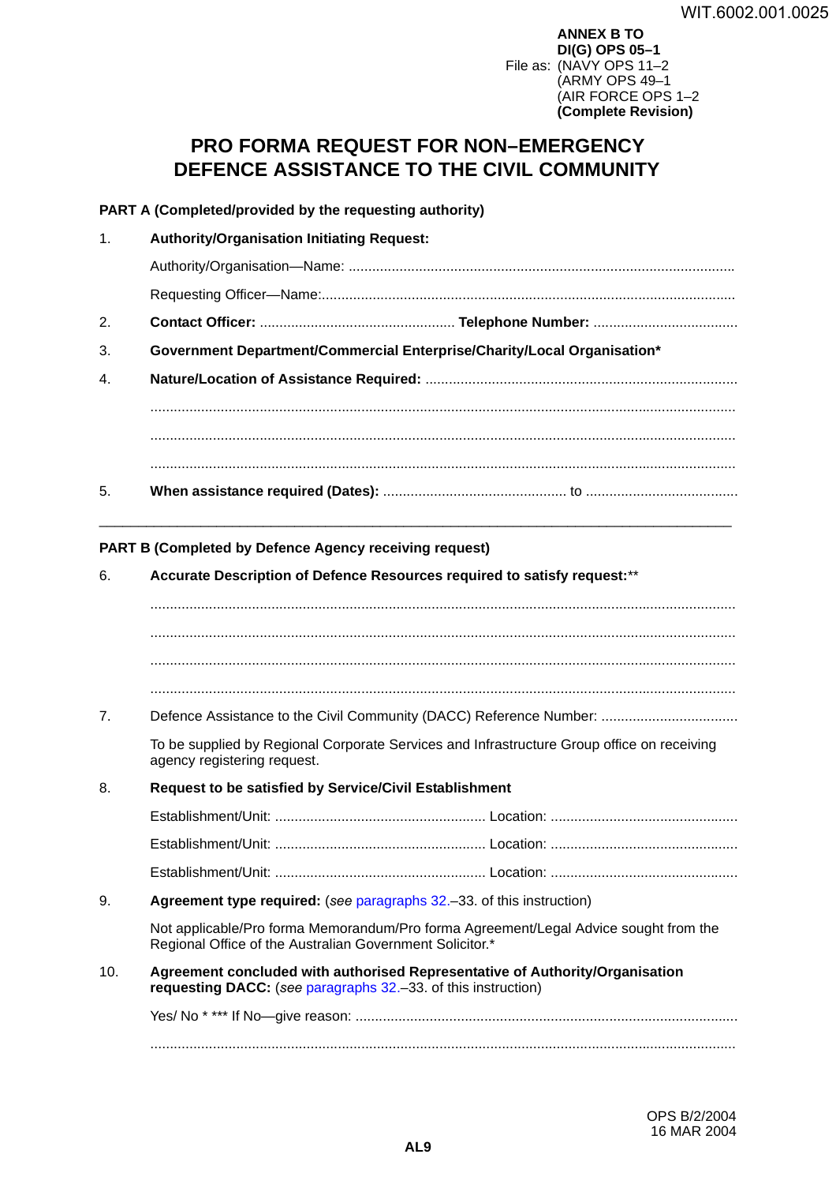**ANNEX B TO DI(G) OPS 05–1** File as: (NAVY OPS 11–2 (ARMY OPS 49–1 (AIR FORCE OPS 1–2 **(Complete Revision)**

# <span id="page-14-0"></span>**PRO FORMA REQUEST FOR NON–EMERGENCY DEFENCE ASSISTANCE TO THE CIVIL COMMUNITY <sup>B</sup>**

### **PART A (Completed/provided by the requesting authority)**

| $\mathbf{1}$ . | <b>Authority/Organisation Initiating Request:</b>                        |
|----------------|--------------------------------------------------------------------------|
|                |                                                                          |
|                |                                                                          |
| 2.             |                                                                          |
| 3.             | Government Department/Commercial Enterprise/Charity/Local Organisation*  |
| 4.             |                                                                          |
|                |                                                                          |
|                |                                                                          |
| 5.             |                                                                          |
|                | <b>PART B (Completed by Defence Agency receiving request)</b>            |
| 6.             | Accurate Description of Defence Resources required to satisfy request:** |
|                |                                                                          |

...................................................................................................................................................... ...................................................................................................................................................... ......................................................................................................................................................

7. Defence Assistance to the Civil Community (DACC) Reference Number: ...................................

To be supplied by Regional Corporate Services and Infrastructure Group office on receiving agency registering request.

8. **Request to be satisfied by Service/Civil Establishment** 

9. **Agreement type required:** (*see* [paragraphs](#page-9-0) 32.–33. of this instruction)

Not applicable/Pro forma Memorandum/Pro forma Agreement/Legal Advice sought from the Regional Office of the Australian Government Solicitor.\*

10. **Agreement concluded with authorised Representative of Authority/Organisation requesting DACC:** (*see* [paragraphs](#page-9-0) 32.–33. of this instruction)

Yes/ No \* \*\*\* If No—give reason: .................................................................................................. ......................................................................................................................................................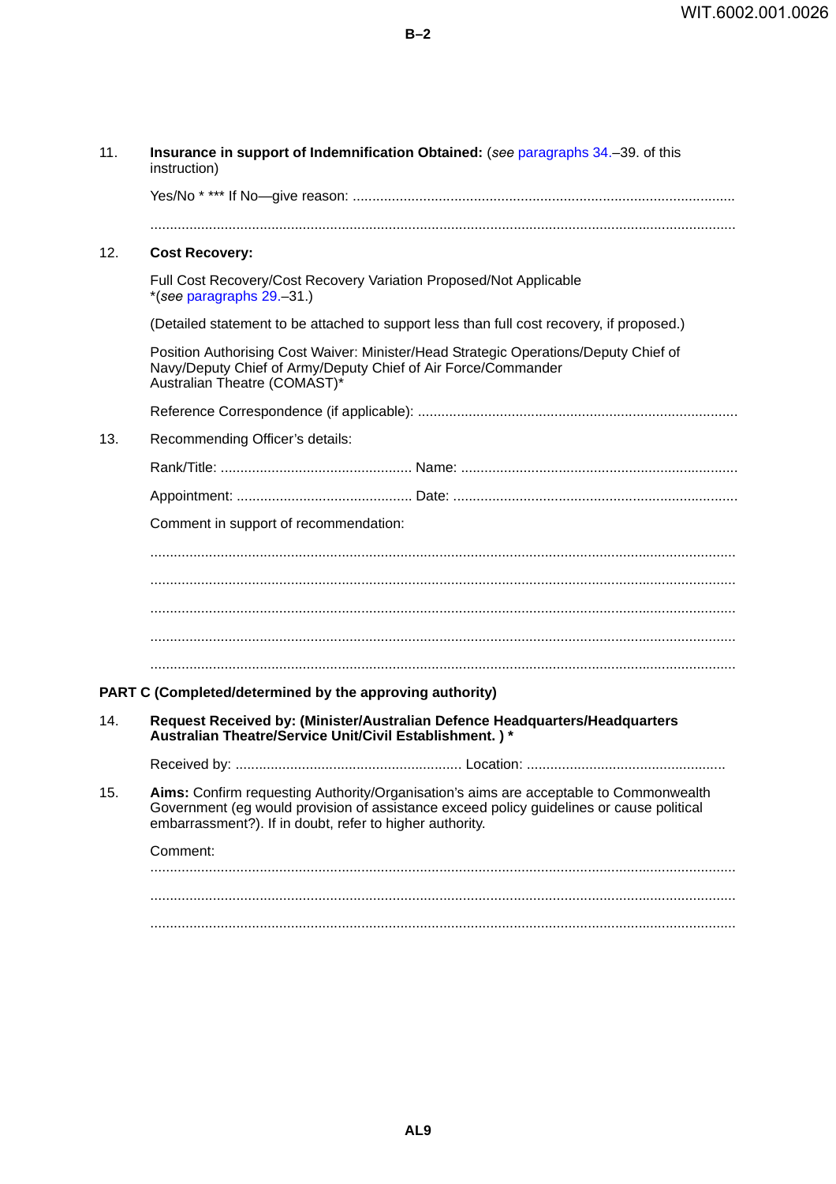Yes/No \* \*\*\* If No—give reason: ..................................................................................................

11. **Insurance in support of Indemnification Obtained:** (*see* paragraphs 34.–39. of this

instruction)

| 12. | <b>Cost Recovery:</b>                                                                                                                                                                                                                         |
|-----|-----------------------------------------------------------------------------------------------------------------------------------------------------------------------------------------------------------------------------------------------|
|     | Full Cost Recovery/Cost Recovery Variation Proposed/Not Applicable<br>*(see paragraphs 29.-31.)                                                                                                                                               |
|     | (Detailed statement to be attached to support less than full cost recovery, if proposed.)                                                                                                                                                     |
|     | Position Authorising Cost Waiver: Minister/Head Strategic Operations/Deputy Chief of<br>Navy/Deputy Chief of Army/Deputy Chief of Air Force/Commander<br>Australian Theatre (COMAST)*                                                         |
|     |                                                                                                                                                                                                                                               |
| 13. | Recommending Officer's details:                                                                                                                                                                                                               |
|     |                                                                                                                                                                                                                                               |
|     |                                                                                                                                                                                                                                               |
|     | Comment in support of recommendation:                                                                                                                                                                                                         |
|     |                                                                                                                                                                                                                                               |
|     |                                                                                                                                                                                                                                               |
|     |                                                                                                                                                                                                                                               |
|     |                                                                                                                                                                                                                                               |
|     |                                                                                                                                                                                                                                               |
|     | PART C (Completed/determined by the approving authority)                                                                                                                                                                                      |
| 14. | Request Received by: (Minister/Australian Defence Headquarters/Headquarters<br>Australian Theatre/Service Unit/Civil Establishment.)*                                                                                                         |
|     |                                                                                                                                                                                                                                               |
| 15. | Aims: Confirm requesting Authority/Organisation's aims are acceptable to Commonwealth<br>Government (eg would provision of assistance exceed policy guidelines or cause political<br>embarrassment?). If in doubt, refer to higher authority. |
|     | Comment:                                                                                                                                                                                                                                      |
|     |                                                                                                                                                                                                                                               |
|     |                                                                                                                                                                                                                                               |

......................................................................................................................................................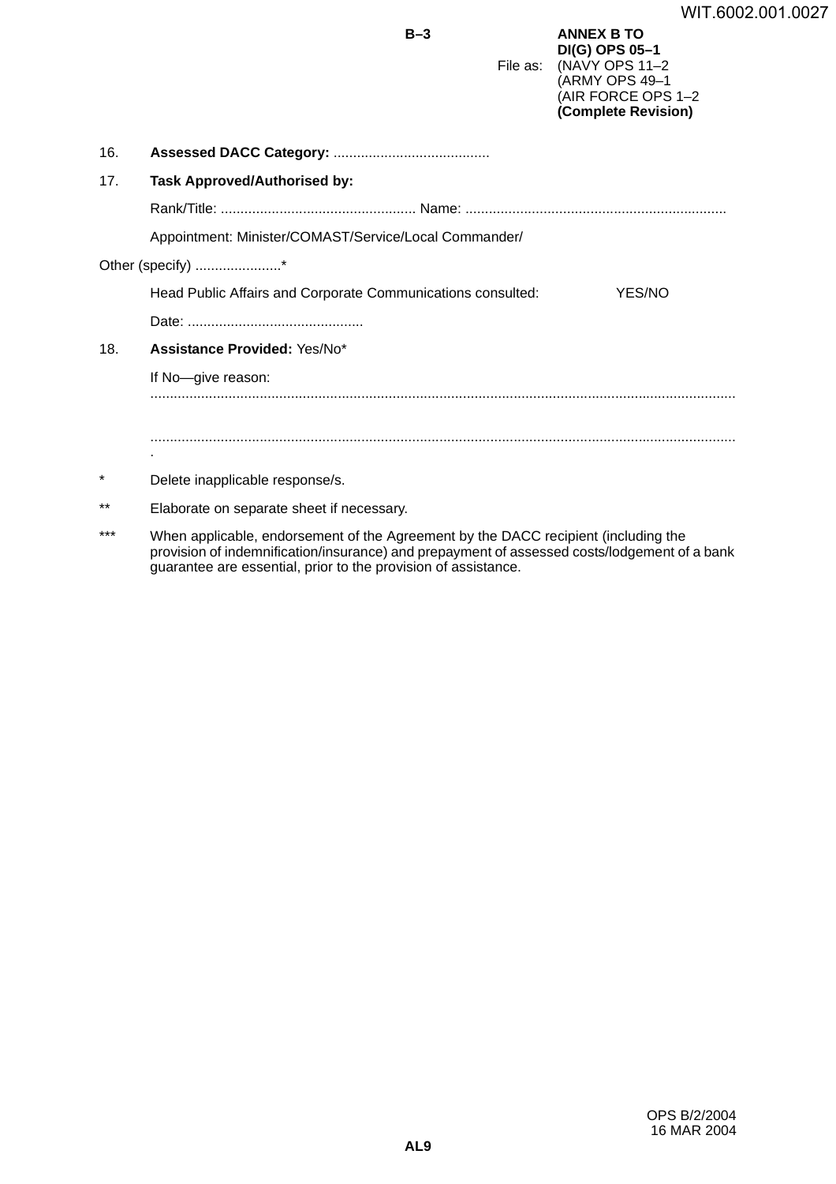|         | $B-3$                                                                                                                          | File as: | <b>ANNEX B TO</b><br>DI(G) OPS 05-1<br>(NAVY OPS 11-2<br>(ARMY OPS 49-1<br>(AIR FORCE OPS 1-2<br>(Complete Revision) |  |  |  |  |
|---------|--------------------------------------------------------------------------------------------------------------------------------|----------|----------------------------------------------------------------------------------------------------------------------|--|--|--|--|
| 16.     |                                                                                                                                |          |                                                                                                                      |  |  |  |  |
| 17.     | <b>Task Approved/Authorised by:</b>                                                                                            |          |                                                                                                                      |  |  |  |  |
|         |                                                                                                                                |          |                                                                                                                      |  |  |  |  |
|         | Appointment: Minister/COMAST/Service/Local Commander/<br>Head Public Affairs and Corporate Communications consulted:<br>YES/NO |          |                                                                                                                      |  |  |  |  |
|         | Other (specify) *                                                                                                              |          |                                                                                                                      |  |  |  |  |
|         |                                                                                                                                |          |                                                                                                                      |  |  |  |  |
|         |                                                                                                                                |          |                                                                                                                      |  |  |  |  |
| 18.     | Assistance Provided: Yes/No*                                                                                                   |          |                                                                                                                      |  |  |  |  |
|         | If No-give reason:                                                                                                             |          |                                                                                                                      |  |  |  |  |
|         |                                                                                                                                |          |                                                                                                                      |  |  |  |  |
|         |                                                                                                                                |          |                                                                                                                      |  |  |  |  |
| $\star$ | Delete inapplicable response/s.                                                                                                |          |                                                                                                                      |  |  |  |  |
| $***$   | Elaborate on separate sheet if necessary.                                                                                      |          |                                                                                                                      |  |  |  |  |

\*\*\* When applicable, endorsement of the Agreement by the DACC recipient (including the provision of indemnification/insurance) and prepayment of assessed costs/lodgement of a bank guarantee are essential, prior to the provision of assistance.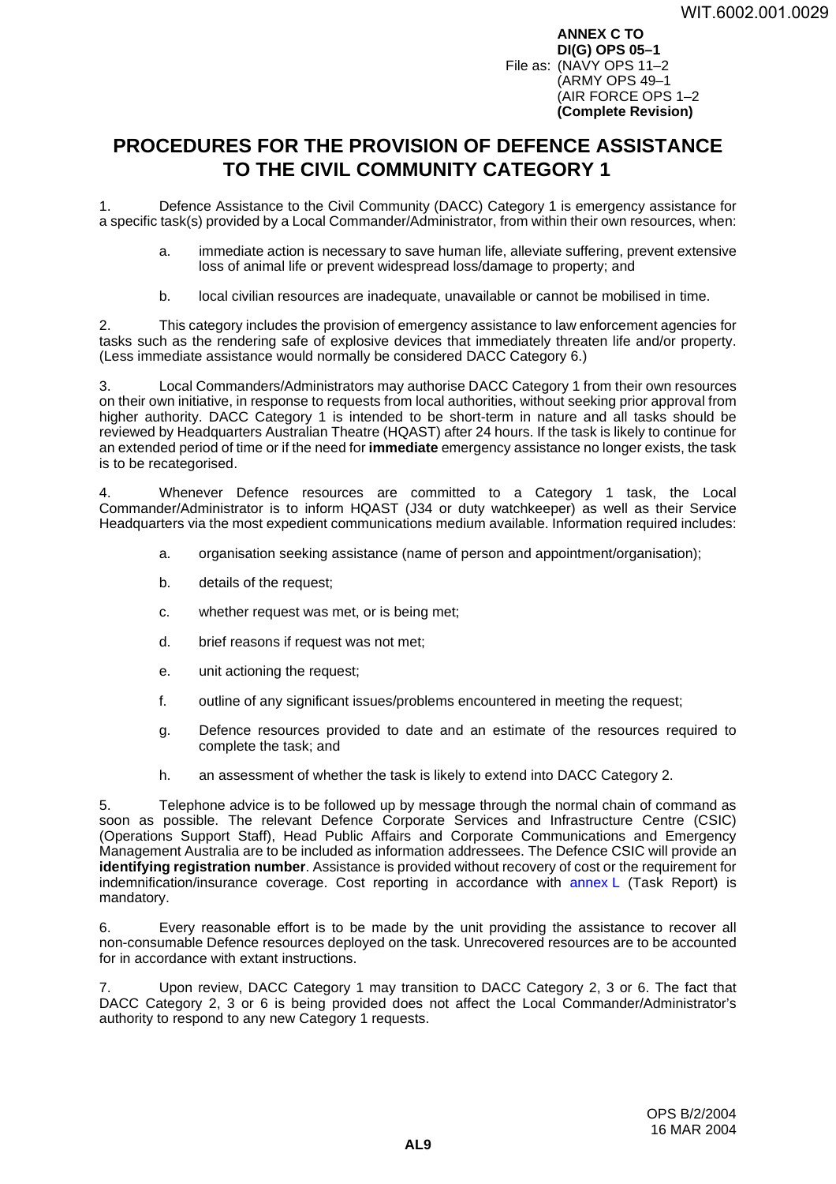**ANNEX C TO DI(G) OPS 05–1** File as: (NAVY OPS 11–2 (ARMY OPS 49–1 (AIR FORCE OPS 1–2 **(Complete Revision)**

# <span id="page-18-0"></span>**PROCEDURES FOR THE PROVISION OF DEFENCE ASSISTANCE TO THE CIVIL COMMUNITY CATEGORY 1 <sup>C</sup>**

1. Defence Assistance to the Civil Community (DACC) Category 1 is emergency assistance for a specific task(s) provided by a Local Commander/Administrator, from within their own resources, when:

- a. immediate action is necessary to save human life, alleviate suffering, prevent extensive loss of animal life or prevent widespread loss/damage to property; and
- b. local civilian resources are inadequate, unavailable or cannot be mobilised in time.

2. This category includes the provision of emergency assistance to law enforcement agencies for tasks such as the rendering safe of explosive devices that immediately threaten life and/or property. (Less immediate assistance would normally be considered DACC Category 6.)

3. Local Commanders/Administrators may authorise DACC Category 1 from their own resources on their own initiative, in response to requests from local authorities, without seeking prior approval from higher authority. DACC Category 1 is intended to be short-term in nature and all tasks should be reviewed by Headquarters Australian Theatre (HQAST) after 24 hours. If the task is likely to continue for an extended period of time or if the need for **immediate** emergency assistance no longer exists, the task is to be recategorised.

4. Whenever Defence resources are committed to a Category 1 task, the Local Commander/Administrator is to inform HQAST (J34 or duty watchkeeper) as well as their Service Headquarters via the most expedient communications medium available. Information required includes:

- a. organisation seeking assistance (name of person and appointment/organisation);
- b. details of the request;
- c. whether request was met, or is being met;
- d. brief reasons if request was not met;
- e. unit actioning the request;
- f. outline of any significant issues/problems encountered in meeting the request;
- g. Defence resources provided to date and an estimate of the resources required to complete the task; and
- h. an assessment of whether the task is likely to extend into DACC Category 2.

5. Telephone advice is to be followed up by message through the normal chain of command as soon as possible. The relevant Defence Corporate Services and Infrastructure Centre (CSIC) (Operations Support Staff), Head Public Affairs and Corporate Communications and Emergency Management Australia are to be included as information addressees. The Defence CSIC will provide an **identifying registration number**. Assistance is provided without recovery of cost or the requirement for indemnification/insurance coverage. Cost reporting in accordance with [annex](#page-56-0) L (Task Report) is mandatory.

6. Every reasonable effort is to be made by the unit providing the assistance to recover all non-consumable Defence resources deployed on the task. Unrecovered resources are to be accounted for in accordance with extant instructions.

7. Upon review, DACC Category 1 may transition to DACC Category 2, 3 or 6. The fact that DACC Category 2, 3 or 6 is being provided does not affect the Local Commander/Administrator's authority to respond to any new Category 1 requests.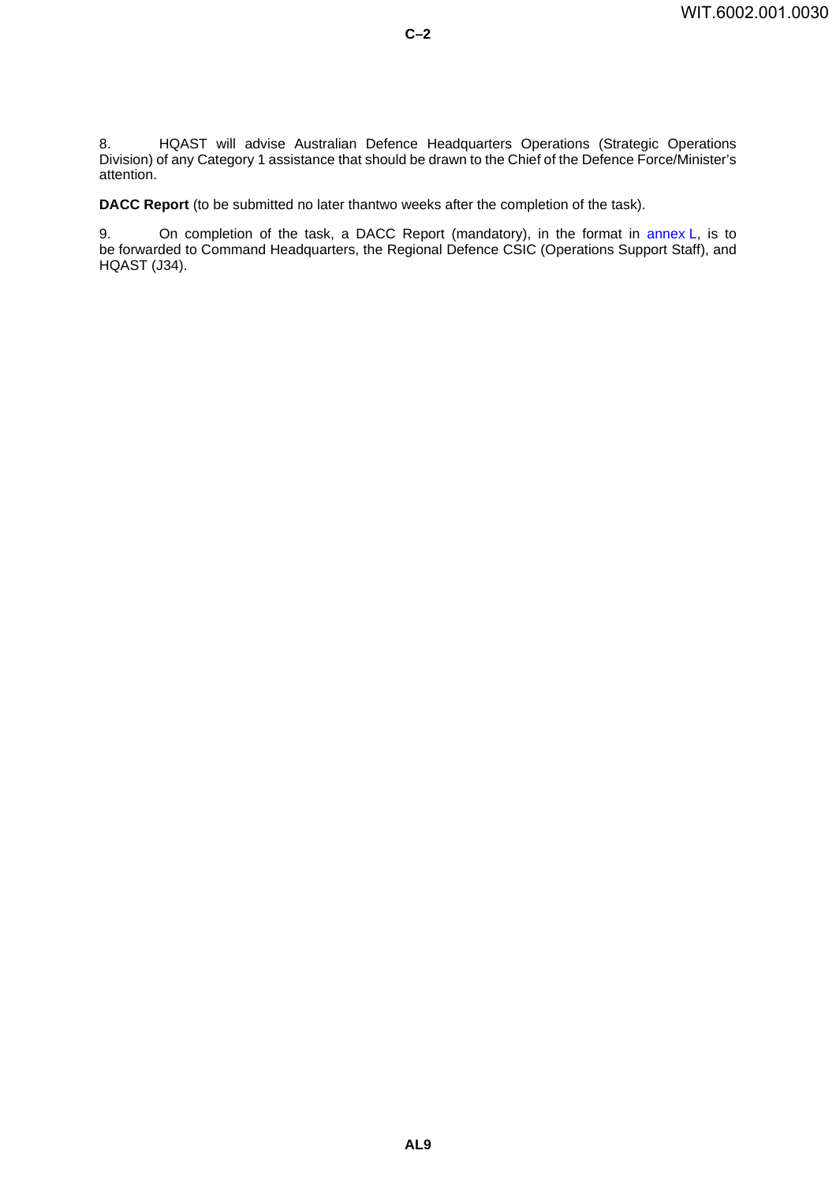8. HQAST will advise Australian Defence Headquarters Operations (Strategic Operations Division) of any Category 1 assistance that should be drawn to the Chief of the Defence Force/Minister's attention.

**C–2**

**DACC Report** (to be submitted no later thantwo weeks after the completion of the task).

9. On completion of the task, a DACC Report (mandatory), in the format in [annex](#page-56-0) L, is to be forwarded to Command Headquarters, the Regional Defence CSIC (Operations Support Staff), and HQAST (J34).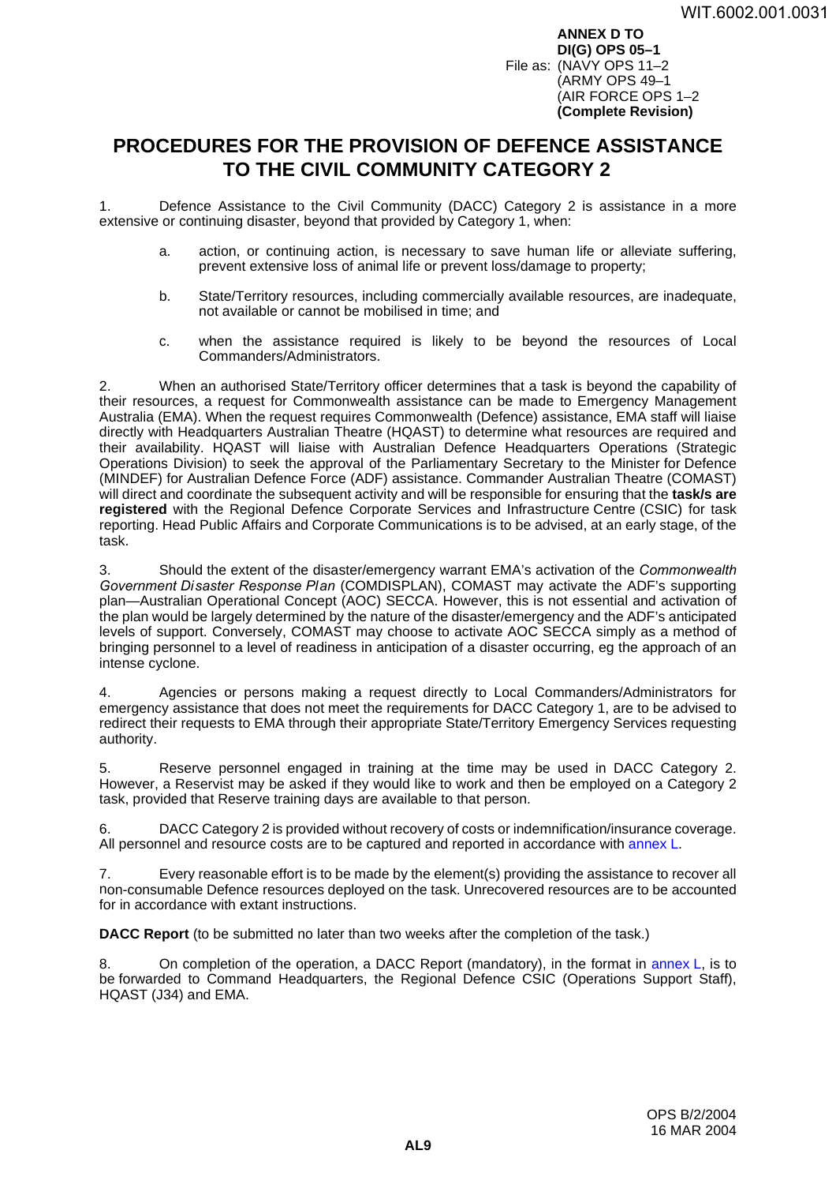**ANNEX D TO DI(G) OPS 05–1** File as: (NAVY OPS 11–2 (ARMY OPS 49–1 (AIR FORCE OPS 1–2 **(Complete Revision)**

# <span id="page-20-0"></span>**PROCEDURES FOR THE PROVISION OF DEFENCE ASSISTANCE TO THE CIVIL COMMUNITY CATEGORY 2**

1. Defence Assistance to the Civil Community (DACC) Category 2 is assistance in a more extensive or continuing disaster, beyond that provided by Category 1, when:

- a. action, or continuing action, is necessary to save human life or alleviate suffering, prevent extensive loss of animal life or prevent loss/damage to property;
- b. State/Territory resources, including commercially available resources, are inadequate, not available or cannot be mobilised in time; and
- c. when the assistance required is likely to be beyond the resources of Local Commanders/Administrators.

2. When an authorised State/Territory officer determines that a task is beyond the capability of their resources, a request for Commonwealth assistance can be made to Emergency Management Australia (EMA). When the request requires Commonwealth (Defence) assistance, EMA staff will liaise directly with Headquarters Australian Theatre (HQAST) to determine what resources are required and their availability. HQAST will liaise with Australian Defence Headquarters Operations (Strategic Operations Division) to seek the approval of the Parliamentary Secretary to the Minister for Defence (MINDEF) for Australian Defence Force (ADF) assistance. Commander Australian Theatre (COMAST) will direct and coordinate the subsequent activity and will be responsible for ensuring that the **task/s are registered** with the Regional Defence Corporate Services and Infrastructure Centre (CSIC) for task reporting. Head Public Affairs and Corporate Communications is to be advised, at an early stage, of the task.

3. Should the extent of the disaster/emergency warrant EMA's activation of the *Commonwealth Government Disaster Response Plan* (COMDISPLAN), COMAST may activate the ADF's supporting plan—Australian Operational Concept (AOC) SECCA. However, this is not essential and activation of the plan would be largely determined by the nature of the disaster/emergency and the ADF's anticipated levels of support. Conversely, COMAST may choose to activate AOC SECCA simply as a method of bringing personnel to a level of readiness in anticipation of a disaster occurring, eg the approach of an intense cyclone.

4. Agencies or persons making a request directly to Local Commanders/Administrators for emergency assistance that does not meet the requirements for DACC Category 1, are to be advised to redirect their requests to EMA through their appropriate State/Territory Emergency Services requesting authority.

5. Reserve personnel engaged in training at the time may be used in DACC Category 2. However, a Reservist may be asked if they would like to work and then be employed on a Category 2 task, provided that Reserve training days are available to that person.

6. DACC Category 2 is provided without recovery of costs or indemnification/insurance coverage. All personnel and resource costs are to be captured and reported in accordance with [annex](#page-56-0) L.

7. Every reasonable effort is to be made by the element(s) providing the assistance to recover all non-consumable Defence resources deployed on the task. Unrecovered resources are to be accounted for in accordance with extant instructions.

**DACC Report** (to be submitted no later than two weeks after the completion of the task.)

8. On completion of the operation, a DACC Report (mandatory), in the format in [annex](#page-56-0) L, is to be forwarded to Command Headquarters, the Regional Defence CSIC (Operations Support Staff), HQAST (J34) and EMA.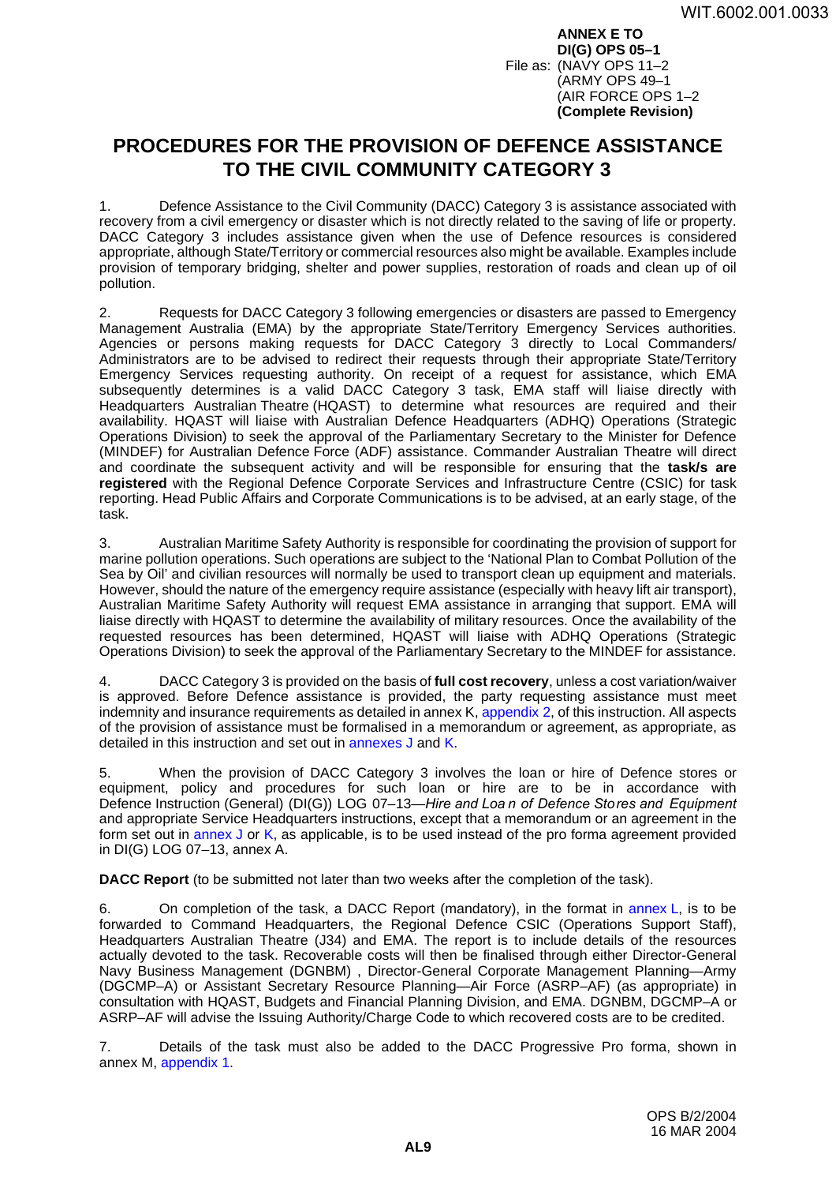**ANNEX E TO DI(G) OPS 05–1** File as: (NAVY OPS 11–2 (ARMY OPS 49–1 (AIR FORCE OPS 1–2 **(Complete Revision)**

# <span id="page-22-0"></span>**PROCEDURES FOR THE PROVISION OF DEFENCE ASSISTANCE TO THE CIVIL COMMUNITY CATEGORY 3**

1. Defence Assistance to the Civil Community (DACC) Category 3 is assistance associated with recovery from a civil emergency or disaster which is not directly related to the saving of life or property. DACC Category 3 includes assistance given when the use of Defence resources is considered appropriate, although State/Territory or commercial resources also might be available. Examples include provision of temporary bridging, shelter and power supplies, restoration of roads and clean up of oil pollution.

2. Requests for DACC Category 3 following emergencies or disasters are passed to Emergency Management Australia (EMA) by the appropriate State/Territory Emergency Services authorities. Agencies or persons making requests for DACC Category 3 directly to Local Commanders/ Administrators are to be advised to redirect their requests through their appropriate State/Territory Emergency Services requesting authority. On receipt of a request for assistance, which EMA subsequently determines is a valid DACC Category 3 task, EMA staff will liaise directly with Headquarters Australian Theatre (HQAST) to determine what resources are required and their availability. HQAST will liaise with Australian Defence Headquarters (ADHQ) Operations (Strategic Operations Division) to seek the approval of the Parliamentary Secretary to the Minister for Defence (MINDEF) for Australian Defence Force (ADF) assistance. Commander Australian Theatre will direct and coordinate the subsequent activity and will be responsible for ensuring that the **task/s are registered** with the Regional Defence Corporate Services and Infrastructure Centre (CSIC) for task reporting. Head Public Affairs and Corporate Communications is to be advised, at an early stage, of the task.

3. Australian Maritime Safety Authority is responsible for coordinating the provision of support for marine pollution operations. Such operations are subject to the 'National Plan to Combat Pollution of the Sea by Oil' and civilian resources will normally be used to transport clean up equipment and materials. However, should the nature of the emergency require assistance (especially with heavy lift air transport), Australian Maritime Safety Authority will request EMA assistance in arranging that support. EMA will liaise directly with HQAST to determine the availability of military resources. Once the availability of the requested resources has been determined, HQAST will liaise with ADHQ Operations (Strategic Operations Division) to seek the approval of the Parliamentary Secretary to the MINDEF for assistance.

4. DACC Category 3 is provided on the basis of **full cost recovery**, unless a cost variation/waiver is approved. Before Defence assistance is provided, the party requesting assistance must meet indemnity and insurance requirements as detailed in annex K, [appendix](#page-48-0) 2, of this instruction. All aspects of the provision of assistance must be formalised in a memorandum or agreement, as appropriate, as detailed in this instruction and set out in [annexes](#page-40-0) J and [K.](#page-44-0)

5. When the provision of DACC Category 3 involves the loan or hire of Defence stores or equipment, policy and procedures for such loan or hire are to be in accordance with Defence Instruction (General) (DI(G)) LOG 07–13—*Hire and Loa n of Defence Stores and Equipment* and appropriate Service Headquarters instructions, except that a memorandum or an agreement in the form set out in [annex](#page-40-0) J or [K,](#page-44-0) as applicable, is to be used instead of the pro forma agreement provided in DI(G) LOG 07–13, annex A.

**DACC Report** (to be submitted not later than two weeks after the completion of the task).

6. On completion of the task, a DACC Report (mandatory), in the format in [annex](#page-56-0) L, is to be forwarded to Command Headquarters, the Regional Defence CSIC (Operations Support Staff), Headquarters Australian Theatre (J34) and EMA. The report is to include details of the resources actually devoted to the task. Recoverable costs will then be finalised through either Director-General Navy Business Management (DGNBM) , Director-General Corporate Management Planning—Army (DGCMP–A) or Assistant Secretary Resource Planning—Air Force (ASRP–AF) (as appropriate) in consultation with HQAST, Budgets and Financial Planning Division, and EMA. DGNBM, DGCMP–A or ASRP–AF will advise the Issuing Authority/Charge Code to which recovered costs are to be credited.

7. Details of the task must also be added to the DACC Progressive Pro forma, shown in annex M, [appendix](#page-60-0) 1.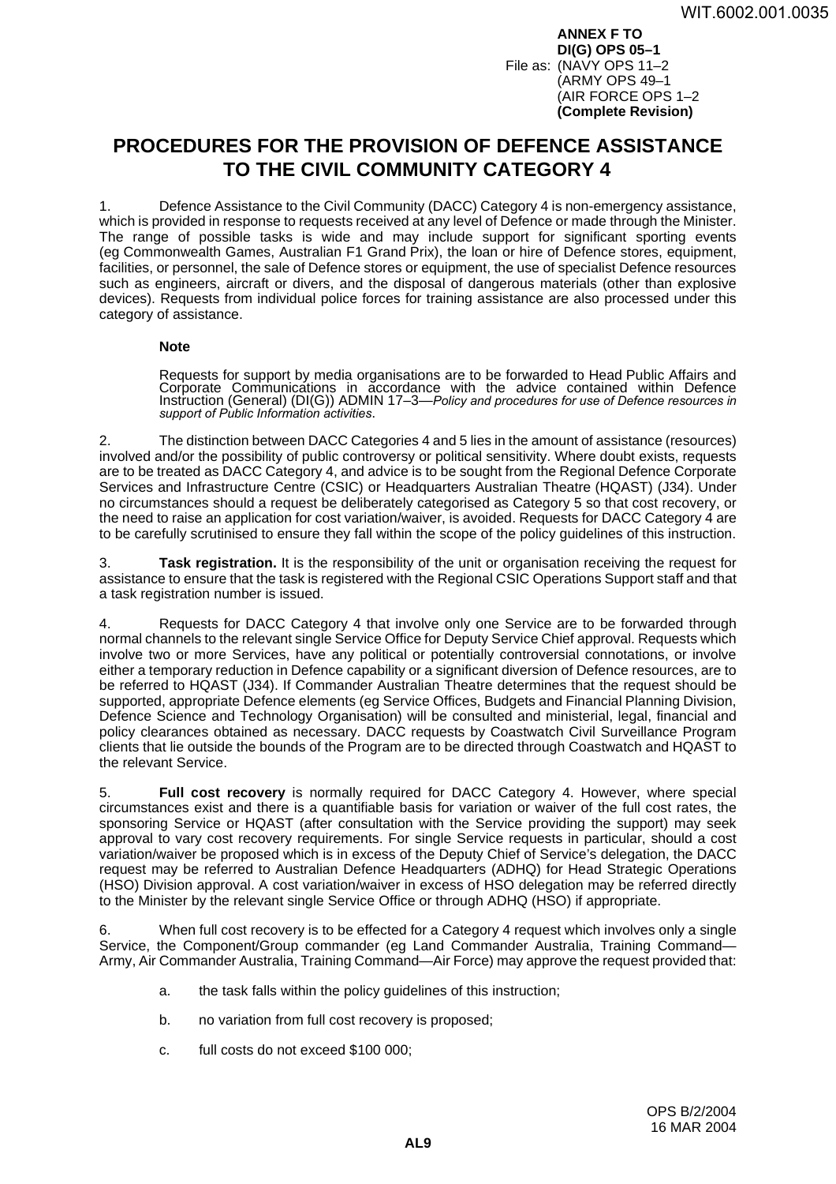**ANNEX F TO DI(G) OPS 05–1** File as: (NAVY OPS 11–2 (ARMY OPS 49–1 (AIR FORCE OPS 1–2 **(Complete Revision)**

# <span id="page-24-0"></span>**PROCEDURES FOR THE PROVISION OF DEFENCE ASSISTANCE TO THE CIVIL COMMUNITY CATEGORY 4**

1. Defence Assistance to the Civil Community (DACC) Category 4 is non-emergency assistance, which is provided in response to requests received at any level of Defence or made through the Minister. The range of possible tasks is wide and may include support for significant sporting events (eg Commonwealth Games, Australian F1 Grand Prix), the loan or hire of Defence stores, equipment, facilities, or personnel, the sale of Defence stores or equipment, the use of specialist Defence resources such as engineers, aircraft or divers, and the disposal of dangerous materials (other than explosive devices). Requests from individual police forces for training assistance are also processed under this category of assistance.

### **Note**

Requests for support by media organisations are to be forwarded to Head Public Affairs and Corporate Communications in accordance with the advice contained within Defence Instruction (General) (DI(G)) ADMIN 17–3—*Policy and procedures for use of Defence resources in support of Public Information activities*.

2. The distinction between DACC Categories 4 and 5 lies in the amount of assistance (resources) involved and/or the possibility of public controversy or political sensitivity. Where doubt exists, requests are to be treated as DACC Category 4, and advice is to be sought from the Regional Defence Corporate Services and Infrastructure Centre (CSIC) or Headquarters Australian Theatre (HQAST) (J34). Under no circumstances should a request be deliberately categorised as Category 5 so that cost recovery, or the need to raise an application for cost variation/waiver, is avoided. Requests for DACC Category 4 are to be carefully scrutinised to ensure they fall within the scope of the policy guidelines of this instruction.

3. **Task registration.** It is the responsibility of the unit or organisation receiving the request for assistance to ensure that the task is registered with the Regional CSIC Operations Support staff and that a task registration number is issued.

4. Requests for DACC Category 4 that involve only one Service are to be forwarded through normal channels to the relevant single Service Office for Deputy Service Chief approval. Requests which involve two or more Services, have any political or potentially controversial connotations, or involve either a temporary reduction in Defence capability or a significant diversion of Defence resources, are to be referred to HQAST (J34). If Commander Australian Theatre determines that the request should be supported, appropriate Defence elements (eg Service Offices, Budgets and Financial Planning Division, Defence Science and Technology Organisation) will be consulted and ministerial, legal, financial and policy clearances obtained as necessary. DACC requests by Coastwatch Civil Surveillance Program clients that lie outside the bounds of the Program are to be directed through Coastwatch and HQAST to the relevant Service.

5. **Full cost recovery** is normally required for DACC Category 4. However, where special circumstances exist and there is a quantifiable basis for variation or waiver of the full cost rates, the sponsoring Service or HQAST (after consultation with the Service providing the support) may seek approval to vary cost recovery requirements. For single Service requests in particular, should a cost variation/waiver be proposed which is in excess of the Deputy Chief of Service's delegation, the DACC request may be referred to Australian Defence Headquarters (ADHQ) for Head Strategic Operations (HSO) Division approval. A cost variation/waiver in excess of HSO delegation may be referred directly to the Minister by the relevant single Service Office or through ADHQ (HSO) if appropriate.

6. When full cost recovery is to be effected for a Category 4 request which involves only a single Service, the Component/Group commander (eg Land Commander Australia, Training Command-Army, Air Commander Australia, Training Command—Air Force) may approve the request provided that:

- a. the task falls within the policy guidelines of this instruction;
- b. no variation from full cost recovery is proposed;
- c. full costs do not exceed \$100 000;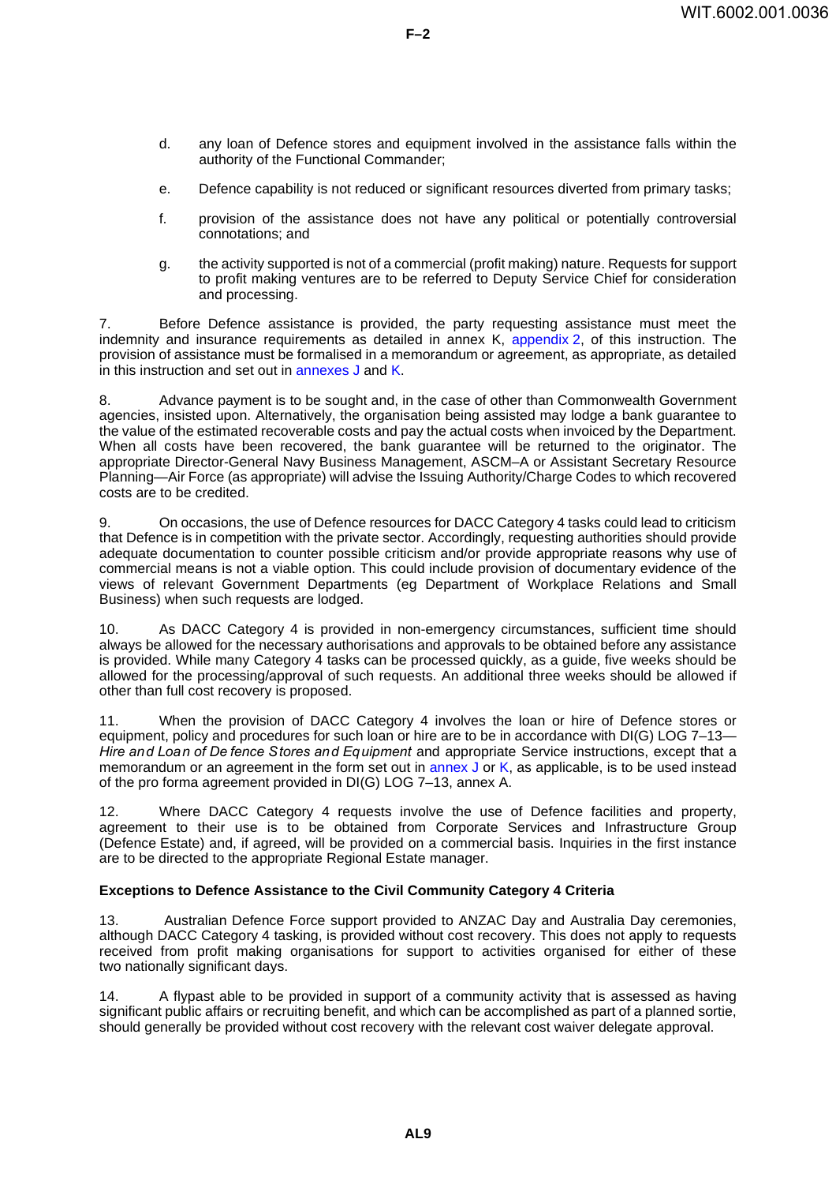d. any loan of Defence stores and equipment involved in the assistance falls within the authority of the Functional Commander;

**F–2**

- e. Defence capability is not reduced or significant resources diverted from primary tasks;
- f. provision of the assistance does not have any political or potentially controversial connotations; and
- g. the activity supported is not of a commercial (profit making) nature. Requests for support to profit making ventures are to be referred to Deputy Service Chief for consideration and processing.

7. Before Defence assistance is provided, the party requesting assistance must meet the indemnity and insurance requirements as detailed in annex K, [appendix](#page-48-0) 2, of this instruction. The provision of assistance must be formalised in a memorandum or agreement, as appropriate, as detailed in this instruction and set out in [annexes](#page-40-0) J and [K](#page-44-0).

8. Advance payment is to be sought and, in the case of other than Commonwealth Government agencies, insisted upon. Alternatively, the organisation being assisted may lodge a bank guarantee to the value of the estimated recoverable costs and pay the actual costs when invoiced by the Department. When all costs have been recovered, the bank guarantee will be returned to the originator. The appropriate Director-General Navy Business Management, ASCM–A or Assistant Secretary Resource Planning—Air Force (as appropriate) will advise the Issuing Authority/Charge Codes to which recovered costs are to be credited.

9. On occasions, the use of Defence resources for DACC Category 4 tasks could lead to criticism that Defence is in competition with the private sector. Accordingly, requesting authorities should provide adequate documentation to counter possible criticism and/or provide appropriate reasons why use of commercial means is not a viable option. This could include provision of documentary evidence of the views of relevant Government Departments (eg Department of Workplace Relations and Small Business) when such requests are lodged.

10. As DACC Category 4 is provided in non-emergency circumstances, sufficient time should always be allowed for the necessary authorisations and approvals to be obtained before any assistance is provided. While many Category 4 tasks can be processed quickly, as a guide, five weeks should be allowed for the processing/approval of such requests. An additional three weeks should be allowed if other than full cost recovery is proposed.

11. When the provision of DACC Category 4 involves the loan or hire of Defence stores or equipment, policy and procedures for such loan or hire are to be in accordance with DI(G) LOG 7–13— *Hire and Loan of De fence Stores and Equipment* and appropriate Service instructions, except that a memorandum or an agreement in the form set out in [annex](#page-40-0) J or [K](#page-44-0), as applicable, is to be used instead of the pro forma agreement provided in DI(G) LOG 7–13, annex A.

12. Where DACC Category 4 requests involve the use of Defence facilities and property, agreement to their use is to be obtained from Corporate Services and Infrastructure Group (Defence Estate) and, if agreed, will be provided on a commercial basis. Inquiries in the first instance are to be directed to the appropriate Regional Estate manager.

### **Exceptions to Defence Assistance to the Civil Community Category 4 Criteria <sup>13</sup>**

13. Australian Defence Force support provided to ANZAC Day and Australia Day ceremonies, although DACC Category 4 tasking, is provided without cost recovery. This does not apply to requests received from profit making organisations for support to activities organised for either of these two nationally significant days.

14. A flypast able to be provided in support of a community activity that is assessed as having significant public affairs or recruiting benefit, and which can be accomplished as part of a planned sortie, should generally be provided without cost recovery with the relevant cost waiver delegate approval.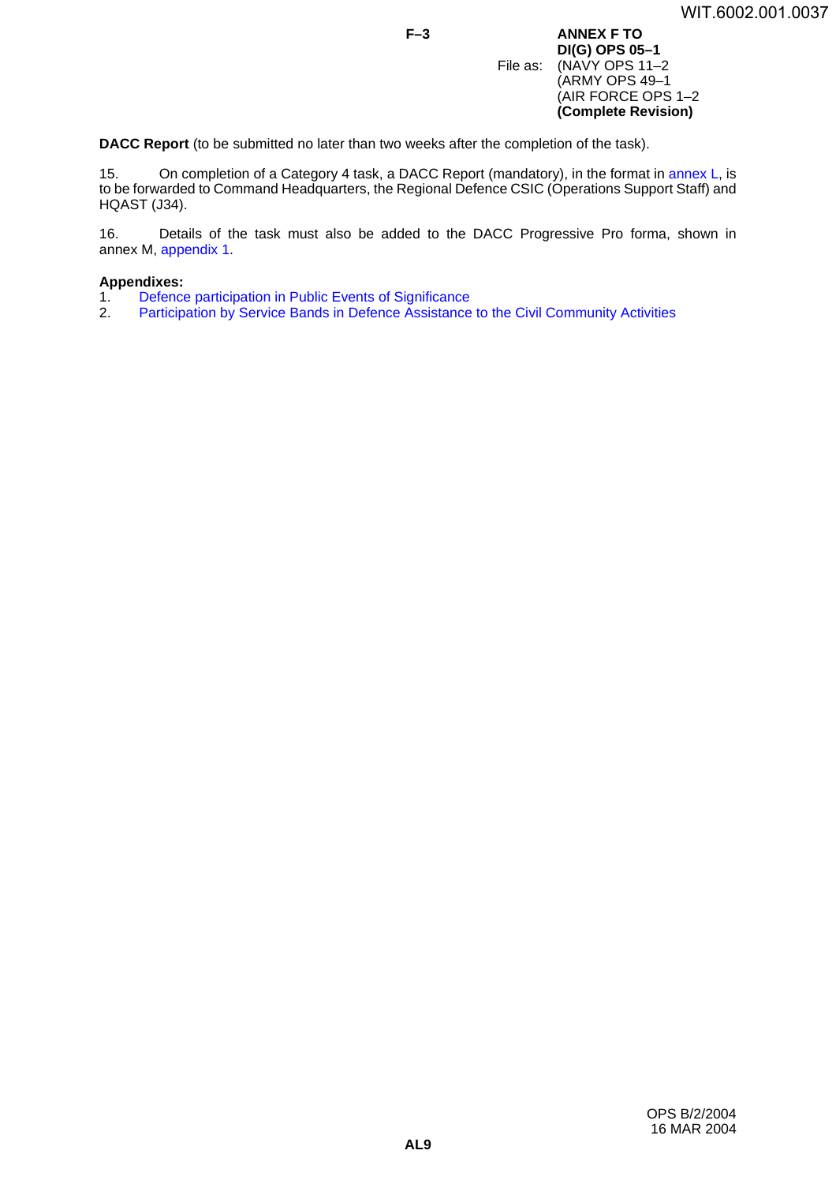**F–3 ANNEX F TO DI(G) OPS 05–1** File as: (NAVY OPS 11-2) (ARMY OPS 49–1 (AIR FORCE OPS 1–2 **(Complete Revision)**

**DACC Report** (to be submitted no later than two weeks after the completion of the task).

15. On completion of a Category 4 task, a DACC Report (mandatory), in the format in [annex](#page-56-0) L, is to be forwarded to Command Headquarters, the Regional Defence CSIC (Operations Support Staff) and HQAST (J34).

16. Details of the task must also be added to the DACC Progressive Pro forma, shown in annex M, [appendix](#page-60-0) 1.

### **Appendixes:**

- 1. [Defence participation in Public Events of Significance](#page-28-0)<br>2. Participation by Service Bands in Defence Assistance
- [Participation by Service Bands in Defence Assistance to](#page-32-0) the Civil Community Activities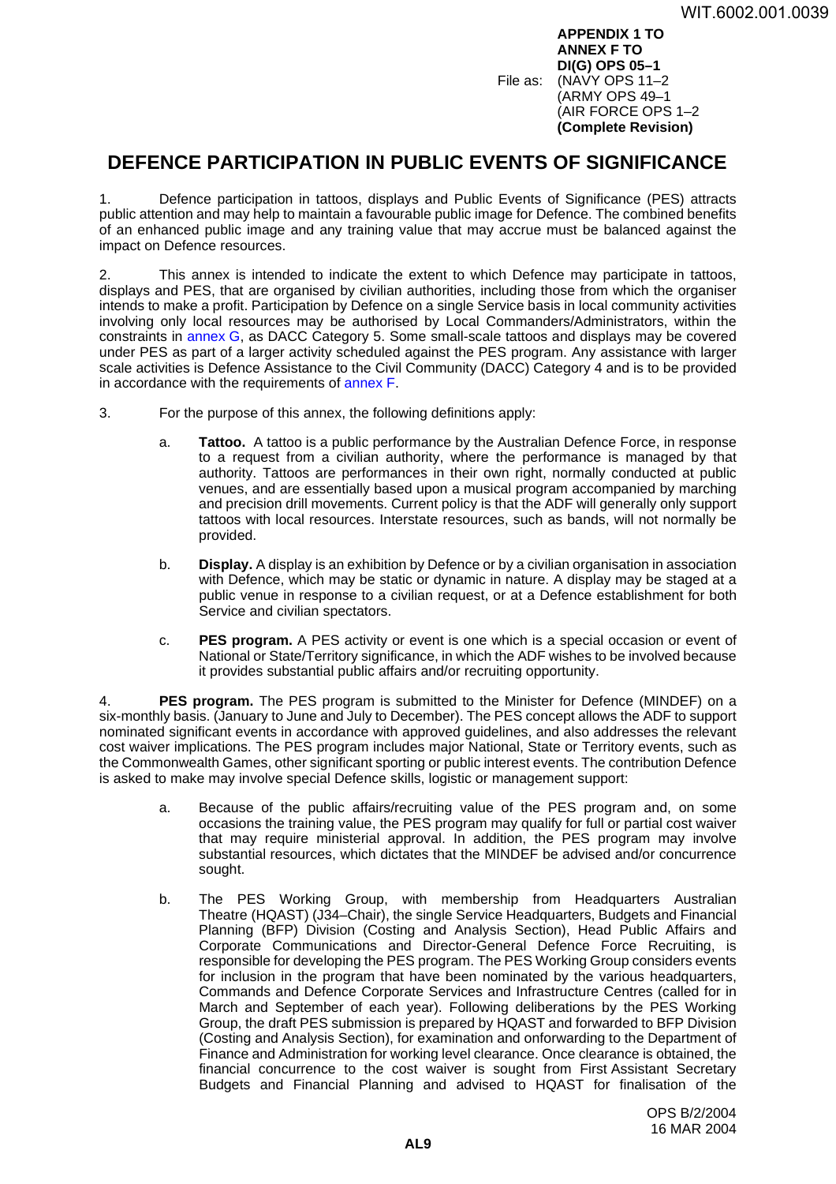**APPENDIX 1 TO ANNEX F TO DI(G) OPS 05–1** File as: (NAVY OPS 11–2 (ARMY OPS 49–1 (AIR FORCE OPS 1–2 **(Complete Revision)**

## <span id="page-28-0"></span>**DEFENCE PARTICIPATION IN PUBLIC EVENTS OF SIGNIFICANCE <sup>1</sup>**

1. Defence participation in tattoos, displays and Public Events of Significance (PES) attracts public attention and may help to maintain a favourable public image for Defence. The combined benefits of an enhanced public image and any training value that may accrue must be balanced against the impact on Defence resources.

2. This annex is intended to indicate the extent to which Defence may participate in tattoos, displays and PES, that are organised by civilian authorities, including those from which the organiser intends to make a profit. Participation by Defence on a single Service basis in local community activities involving only local resources may be authorised by Local Commanders/Administrators, within the constraints in [annex](#page-34-0) G, as DACC Category 5. Some small-scale tattoos and displays may be covered under PES as part of a larger activity scheduled against the PES program. Any assistance with larger scale activities is Defence Assistance to the Civil Community (DACC) Category 4 and is to be provided in accordance with the requirements of [annex](#page-24-0) F.

- 3. For the purpose of this annex, the following definitions apply:
	- a. **Tattoo.** A tattoo is a public performance by the Australian Defence Force, in response to a request from a civilian authority, where the performance is managed by that authority. Tattoos are performances in their own right, normally conducted at public venues, and are essentially based upon a musical program accompanied by marching and precision drill movements. Current policy is that the ADF will generally only support tattoos with local resources. Interstate resources, such as bands, will not normally be provided.
	- b. **Display.** A display is an exhibition by Defence or by a civilian organisation in association with Defence, which may be static or dynamic in nature. A display may be staged at a public venue in response to a civilian request, or at a Defence establishment for both Service and civilian spectators.
	- c. **PES program.** A PES activity or event is one which is a special occasion or event of National or State/Territory significance, in which the ADF wishes to be involved because it provides substantial public affairs and/or recruiting opportunity.

4. **PES program.** The PES program is submitted to the Minister for Defence (MINDEF) on a six-monthly basis. (January to June and July to December). The PES concept allows the ADF to support nominated significant events in accordance with approved guidelines, and also addresses the relevant cost waiver implications. The PES program includes major National, State or Territory events, such as the Commonwealth Games, other significant sporting or public interest events. The contribution Defence is asked to make may involve special Defence skills, logistic or management support:

- a. Because of the public affairs/recruiting value of the PES program and, on some occasions the training value, the PES program may qualify for full or partial cost waiver that may require ministerial approval. In addition, the PES program may involve substantial resources, which dictates that the MINDEF be advised and/or concurrence sought.
- b. The PES Working Group, with membership from Headquarters Australian Theatre (HQAST) (J34–Chair), the single Service Headquarters, Budgets and Financial Planning (BFP) Division (Costing and Analysis Section), Head Public Affairs and Corporate Communications and Director-General Defence Force Recruiting, is responsible for developing the PES program. The PES Working Group considers events for inclusion in the program that have been nominated by the various headquarters, Commands and Defence Corporate Services and Infrastructure Centres (called for in March and September of each year). Following deliberations by the PES Working Group, the draft PES submission is prepared by HQAST and forwarded to BFP Division (Costing and Analysis Section), for examination and onforwarding to the Department of Finance and Administration for working level clearance. Once clearance is obtained, the financial concurrence to the cost waiver is sought from First Assistant Secretary Budgets and Financial Planning and advised to HQAST for finalisation of the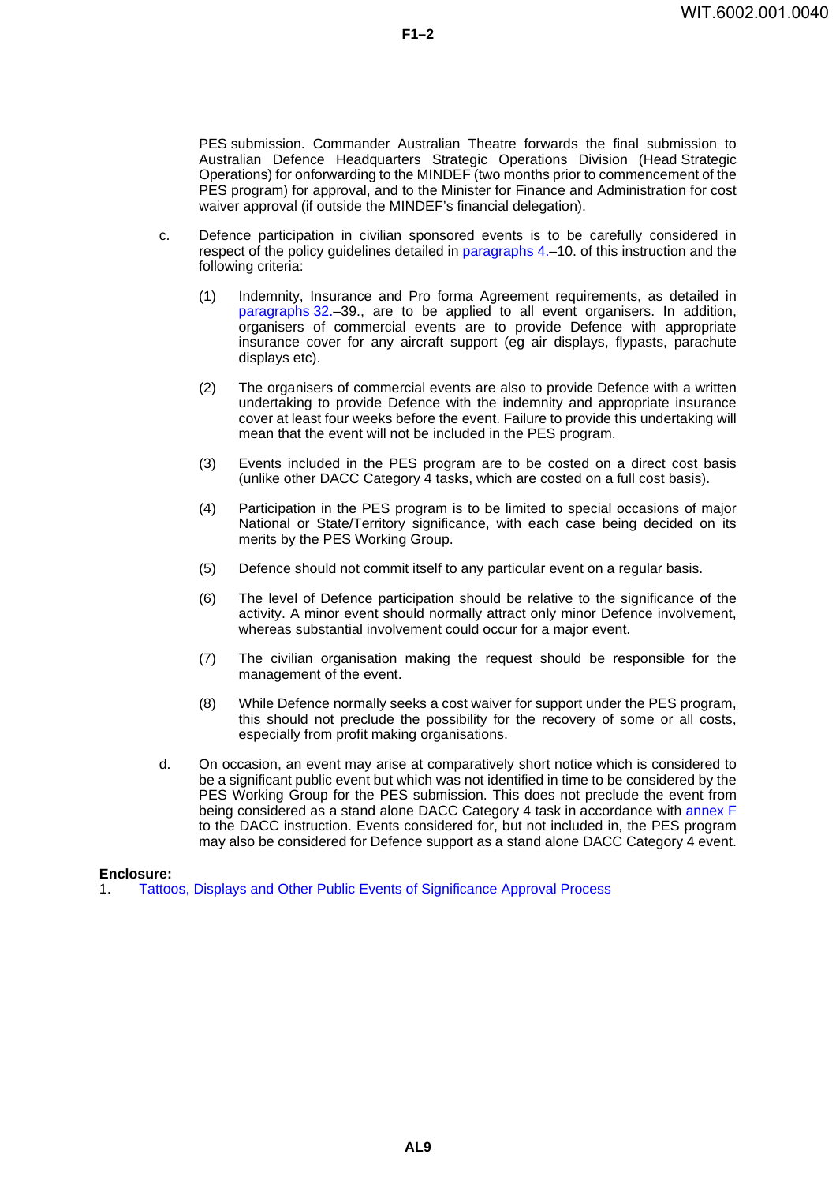PES submission. Commander Australian Theatre forwards the final submission to Australian Defence Headquarters Strategic Operations Division (Head Strategic Operations) for onforwarding to the MINDEF (two months prior to commencement of the PES program) for approval, and to the Minister for Finance and Administration for cost waiver approval (if outside the MINDEF's financial delegation).

- c. Defence participation in civilian sponsored events is to be carefully considered in respect of the policy guidelines detailed in [paragraphs](#page-2-1) 4.–10. of this instruction and the following criteria:
	- (1) Indemnity, Insurance and Pro forma Agreement requirements, as detailed in [paragraphs](#page-9-0) 32.–39., are to be applied to all event organisers. In addition, organisers of commercial events are to provide Defence with appropriate insurance cover for any aircraft support (eg air displays, flypasts, parachute displays etc).
	- (2) The organisers of commercial events are also to provide Defence with a written undertaking to provide Defence with the indemnity and appropriate insurance cover at least four weeks before the event. Failure to provide this undertaking will mean that the event will not be included in the PES program.
	- (3) Events included in the PES program are to be costed on a direct cost basis (unlike other DACC Category 4 tasks, which are costed on a full cost basis).
	- (4) Participation in the PES program is to be limited to special occasions of major National or State/Territory significance, with each case being decided on its merits by the PES Working Group.
	- (5) Defence should not commit itself to any particular event on a regular basis.
	- (6) The level of Defence participation should be relative to the significance of the activity. A minor event should normally attract only minor Defence involvement, whereas substantial involvement could occur for a major event.
	- (7) The civilian organisation making the request should be responsible for the management of the event.
	- (8) While Defence normally seeks a cost waiver for support under the PES program, this should not preclude the possibility for the recovery of some or all costs, especially from profit making organisations.
- d. On occasion, an event may arise at comparatively short notice which is considered to be a significant public event but which was not identified in time to be considered by the PES Working Group for the PES submission. This does not preclude the event from being considered as a stand alone DACC Category 4 task in accordance with [annex](#page-24-0) F to the DACC instruction. Events considered for, but not included in, the PES program may also be considered for Defence support as a stand alone DACC Category 4 event.

### **Enclosure:**

1. [Tattoos, Displays and Other Public Events of Significance Approval Process](#page-30-0)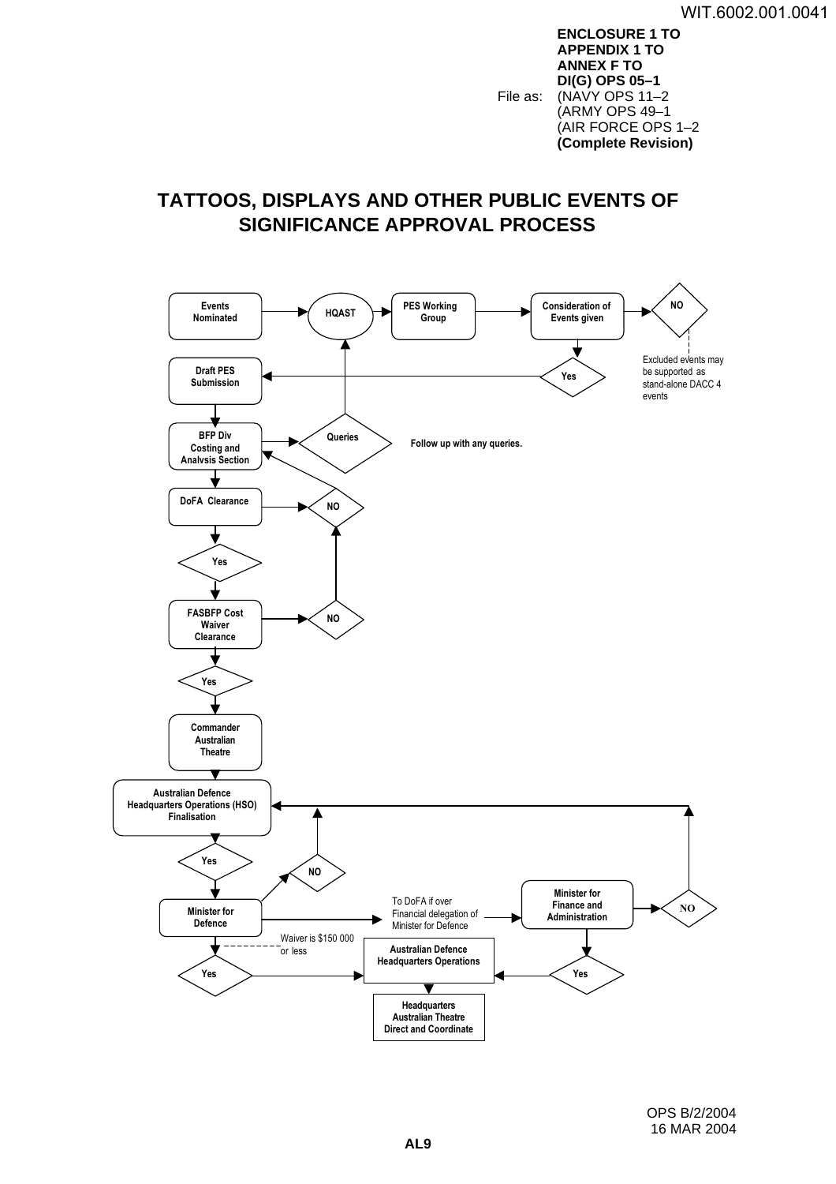**ENCLOSURE 1 TO APPENDIX 1 TO ANNEX F TO DI(G) OPS 05–1** File as: (NAVY OPS 11-2) (ARMY OPS 49–1 (AIR FORCE OPS 1–2 **(Complete Revision)**

# <span id="page-30-0"></span>**TATTOOS, DISPLAYS AND OTHER PUBLIC EVENTS OF SIGNIFICANCE APPROVAL PROCESS <sup>1</sup>**

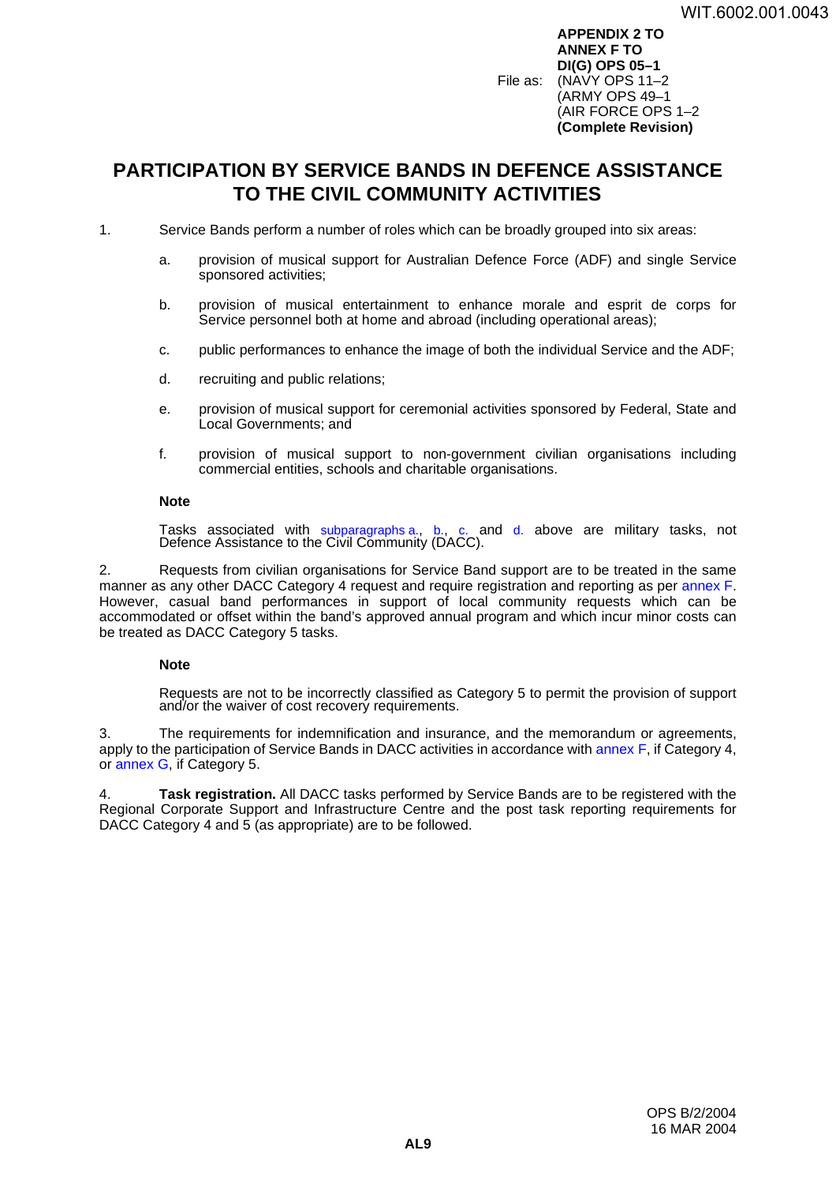**APPENDIX 2 TO ANNEX F TO DI(G) OPS 05–1** File as: (NAVY OPS 11–2 (ARMY OPS 49–1 (AIR FORCE OPS 1–2 **(Complete Revision)**

# <span id="page-32-0"></span>**PARTICIPATION BY SERVICE BANDS IN DEFENCE ASSISTANCE TO THE CIVIL COMMUNITY ACTIVITIES <sup>2</sup>**

- 1. Service Bands perform a number of roles which can be broadly grouped into six areas:
	- a. provision of musical support for Australian Defence Force (ADF) and single Service sponsored activities;
	- b. provision of musical entertainment to enhance morale and esprit de corps for Service personnel both at home and abroad (including operational areas);
	- c. public performances to enhance the image of both the individual Service and the ADF;
	- d. recruiting and public relations;
	- e. provision of musical support for ceremonial activities sponsored by Federal, State and Local Governments; and
	- f. provision of musical support to non-government civilian organisations including commercial entities, schools and charitable organisations.

#### **Note**

Tasks associated with subparagraphs a., b., c. and d. above are military tasks, not Defence Assistance to the Civil Community (DACC).

2. Requests from civilian organisations for Service Band support are to be treated in the same manner as any other DACC Category 4 request and require registration and reporting as per [annex](#page-24-0) F. However, casual band performances in support of local community requests which can be accommodated or offset within the band's approved annual program and which incur minor costs can be treated as DACC Category 5 tasks.

### **Note**

Requests are not to be incorrectly classified as Category 5 to permit the provision of support and/or the waiver of cost recovery requirements.

3. The requirements for indemnification and insurance, and the memorandum or agreements, apply to the participation of Service Bands in DACC activities in accordance with [annex](#page-24-0) F, if Category 4, or [annex](#page-34-0) G, if Category 5.

4. **Task registration.** All DACC tasks performed by Service Bands are to be registered with the Regional Corporate Support and Infrastructure Centre and the post task reporting requirements for DACC Category 4 and 5 (as appropriate) are to be followed.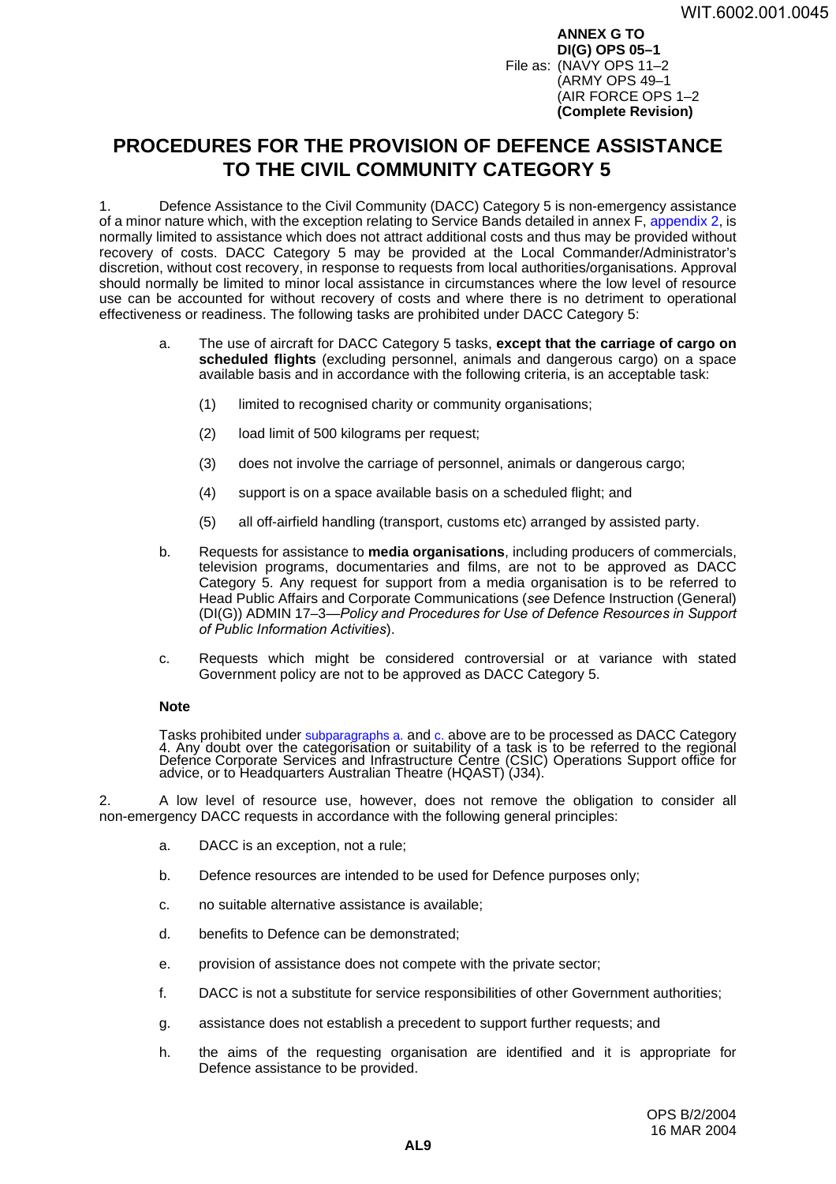**ANNEX G TO DI(G) OPS 05–1** File as: (NAVY OPS 11–2 (ARMY OPS 49–1 (AIR FORCE OPS 1–2 **(Complete Revision)**

# <span id="page-34-0"></span>**PROCEDURES FOR THE PROVISION OF DEFENCE ASSISTANCE TO THE CIVIL COMMUNITY CATEGORY 5 <sup>G</sup>**

1. Defence Assistance to the Civil Community (DACC) Category 5 is non-emergency assistance of a minor nature which, with the exception relating to Service Bands detailed in annex F, [appendix](#page-32-0) 2, is normally limited to assistance which does not attract additional costs and thus may be provided without recovery of costs. DACC Category 5 may be provided at the Local Commander/Administrator's discretion, without cost recovery, in response to requests from local authorities/organisations. Approval should normally be limited to minor local assistance in circumstances where the low level of resource use can be accounted for without recovery of costs and where there is no detriment to operational effectiveness or readiness. The following tasks are prohibited under DACC Category 5:

- a. The use of aircraft for DACC Category 5 tasks, **except that the carriage of cargo on scheduled flights** (excluding personnel, animals and dangerous cargo) on a space available basis and in accordance with the following criteria, is an acceptable task:
	- (1) limited to recognised charity or community organisations;
	- (2) load limit of 500 kilograms per request;
	- (3) does not involve the carriage of personnel, animals or dangerous cargo;
	- (4) support is on a space available basis on a scheduled flight; and
	- (5) all off-airfield handling (transport, customs etc) arranged by assisted party.
- b. Requests for assistance to **media organisations**, including producers of commercials, television programs, documentaries and films, are not to be approved as DACC Category 5. Any request for support from a media organisation is to be referred to Head Public Affairs and Corporate Communications (*see* Defence Instruction (General) (DI(G)) ADMIN 17–3—*Policy and Procedures for Use of Defence Resources in Support of Public Information Activities*).
- c. Requests which might be considered controversial or at variance with stated Government policy are not to be approved as DACC Category 5.

#### **Note**

Tasks prohibited under subparagraphs a. and c. above are to be processed as DACC Category<br>4. Any doubt over the categorisation or suitability of a task is to be referred to the regional Defence Corporate Services and Infrastructure Centre (CSIC) Operations Support office for<br>advice, or to Headquarters Australian Theatre (HQAST) (J34).

2. A low level of resource use, however, does not remove the obligation to consider all non-emergency DACC requests in accordance with the following general principles:

- a. DACC is an exception, not a rule;
- b. Defence resources are intended to be used for Defence purposes only;
- c. no suitable alternative assistance is available;
- d. benefits to Defence can be demonstrated;
- e. provision of assistance does not compete with the private sector;
- f. DACC is not a substitute for service responsibilities of other Government authorities;
- g. assistance does not establish a precedent to support further requests; and
- h. the aims of the requesting organisation are identified and it is appropriate for Defence assistance to be provided.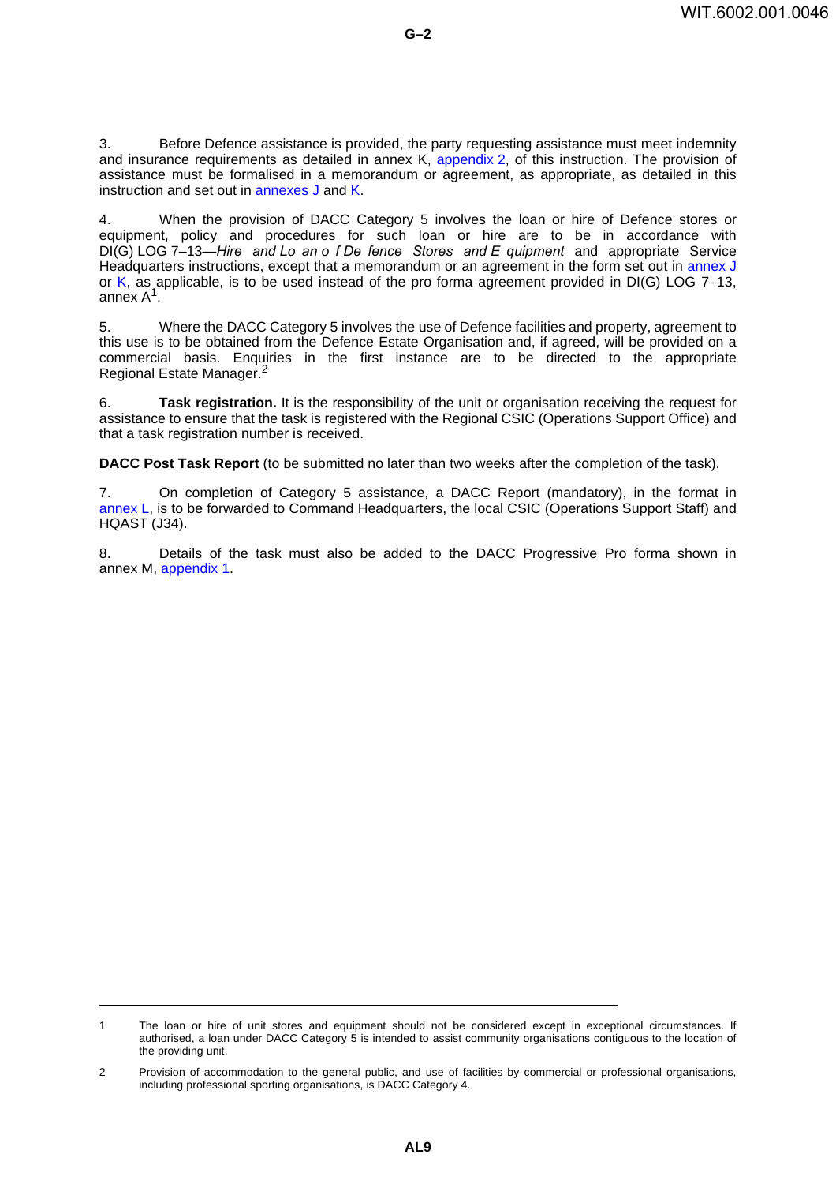3. Before Defence assistance is provided, the party requesting assistance must meet indemnity and insurance requirements as detailed in annex K, [appendix](#page-48-0) 2, of this instruction. The provision of assistance must be formalised in a memorandum or agreement, as appropriate, as detailed in this instruction and set out in [annexes](#page-40-0) J and [K](#page-44-0).

4. When the provision of DACC Category 5 involves the loan or hire of Defence stores or equipment, policy and procedures for such loan or hire are to be in accordance with DI(G) LOG 7–13—*Hire and Lo an o f De fence Stores and E quipment* and appropriate Service Headquarters instructions, except that a memorandum or an agreement in the form set out in [annex](#page-40-0) J or [K](#page-44-0), as applicable, is to be used instead of the pro forma agreement provided in  $DI(G)$  LOG 7–13, annex A1.

5. Where the DACC Category 5 involves the use of Defence facilities and property, agreement to this use is to be obtained from the Defence Estate Organisation and, if agreed, will be provided on a commercial basis. Enquiries in the first instance are to be directed to the appropriate Regional Estate Manager.<sup>2</sup>

6. **Task registration.** It is the responsibility of the unit or organisation receiving the request for assistance to ensure that the task is registered with the Regional CSIC (Operations Support Office) and that a task registration number is received.

**DACC Post Task Report** (to be submitted no later than two weeks after the completion of the task).

7. On completion of Category 5 assistance, a DACC Report (mandatory), in the format in [annex](#page-56-0) L, is to be forwarded to Command Headquarters, the local CSIC (Operations Support Staff) and HQAST (J34).

8. Details of the task must also be added to the DACC Progressive Pro forma shown in annex M, [appendix](#page-60-0) 1.

<sup>1</sup> The loan or hire of unit stores and equipment should not be considered except in exceptional circumstances. If authorised, a loan under DACC Category 5 is intended to assist community organisations contiguous to the location of the providing unit.

<sup>2</sup> Provision of accommodation to the general public, and use of facilities by commercial or professional organisations, including professional sporting organisations, is DACC Category 4.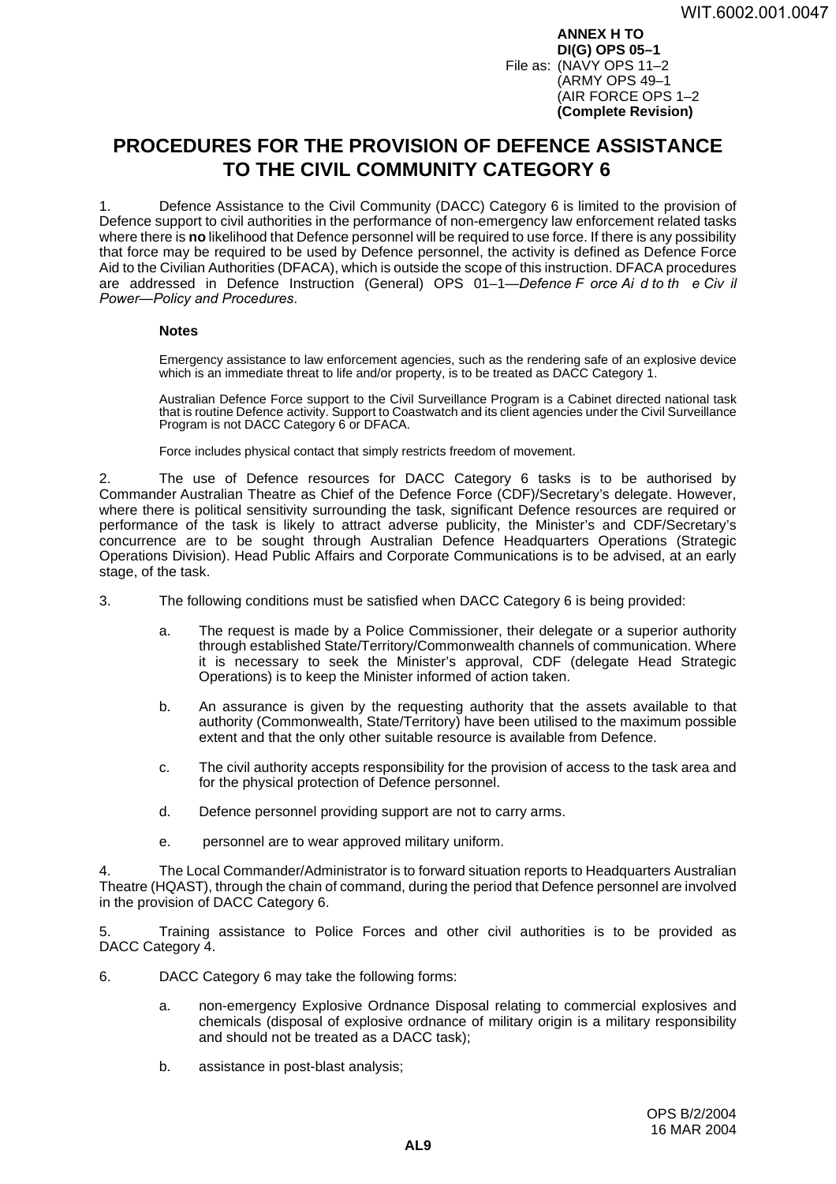**ANNEX H TO DI(G) OPS 05–1** File as: (NAVY OPS 11–2 (ARMY OPS 49–1 (AIR FORCE OPS 1–2 **(Complete Revision)**

# <span id="page-36-0"></span>**PROCEDURES FOR THE PROVISION OF DEFENCE ASSISTANCE TO THE CIVIL COMMUNITY CATEGORY 6**

1. Defence Assistance to the Civil Community (DACC) Category 6 is limited to the provision of Defence support to civil authorities in the performance of non-emergency law enforcement related tasks where there is **no** likelihood that Defence personnel will be required to use force. If there is any possibility that force may be required to be used by Defence personnel, the activity is defined as Defence Force Aid to the Civilian Authorities (DFACA), which is outside the scope of this instruction. DFACA procedures are addressed in Defence Instruction (General) OPS 01–1—*Defence F orce Ai d to th e Civ il Power—Policy and Procedures*.

### **Notes**

Emergency assistance to law enforcement agencies, such as the rendering safe of an explosive device which is an immediate threat to life and/or property, is to be treated as DACC Category 1.

Australian Defence Force support to the Civil Surveillance Program is a Cabinet directed national task that is routine Defence activity. Support to Coastwatch and its client agencies under the Civil Surveillance Program is not DACC Category 6 or DFACA.

Force includes physical contact that simply restricts freedom of movement.

The use of Defence resources for DACC Category 6 tasks is to be authorised by Commander Australian Theatre as Chief of the Defence Force (CDF)/Secretary's delegate. However, where there is political sensitivity surrounding the task, significant Defence resources are required or performance of the task is likely to attract adverse publicity, the Minister's and CDF/Secretary's concurrence are to be sought through Australian Defence Headquarters Operations (Strategic Operations Division). Head Public Affairs and Corporate Communications is to be advised, at an early stage, of the task.

- 3. The following conditions must be satisfied when DACC Category 6 is being provided:
	- a. The request is made by a Police Commissioner, their delegate or a superior authority through established State/Territory/Commonwealth channels of communication. Where it is necessary to seek the Minister's approval, CDF (delegate Head Strategic Operations) is to keep the Minister informed of action taken.
	- b. An assurance is given by the requesting authority that the assets available to that authority (Commonwealth, State/Territory) have been utilised to the maximum possible extent and that the only other suitable resource is available from Defence.
	- c. The civil authority accepts responsibility for the provision of access to the task area and for the physical protection of Defence personnel.
	- d. Defence personnel providing support are not to carry arms.
	- e. personnel are to wear approved military uniform.

4. The Local Commander/Administrator is to forward situation reports to Headquarters Australian Theatre (HQAST), through the chain of command, during the period that Defence personnel are involved in the provision of DACC Category 6.

5. Training assistance to Police Forces and other civil authorities is to be provided as DACC Category 4.

- 6. DACC Category 6 may take the following forms:
	- a. non-emergency Explosive Ordnance Disposal relating to commercial explosives and chemicals (disposal of explosive ordnance of military origin is a military responsibility and should not be treated as a DACC task);
	- b. assistance in post-blast analysis;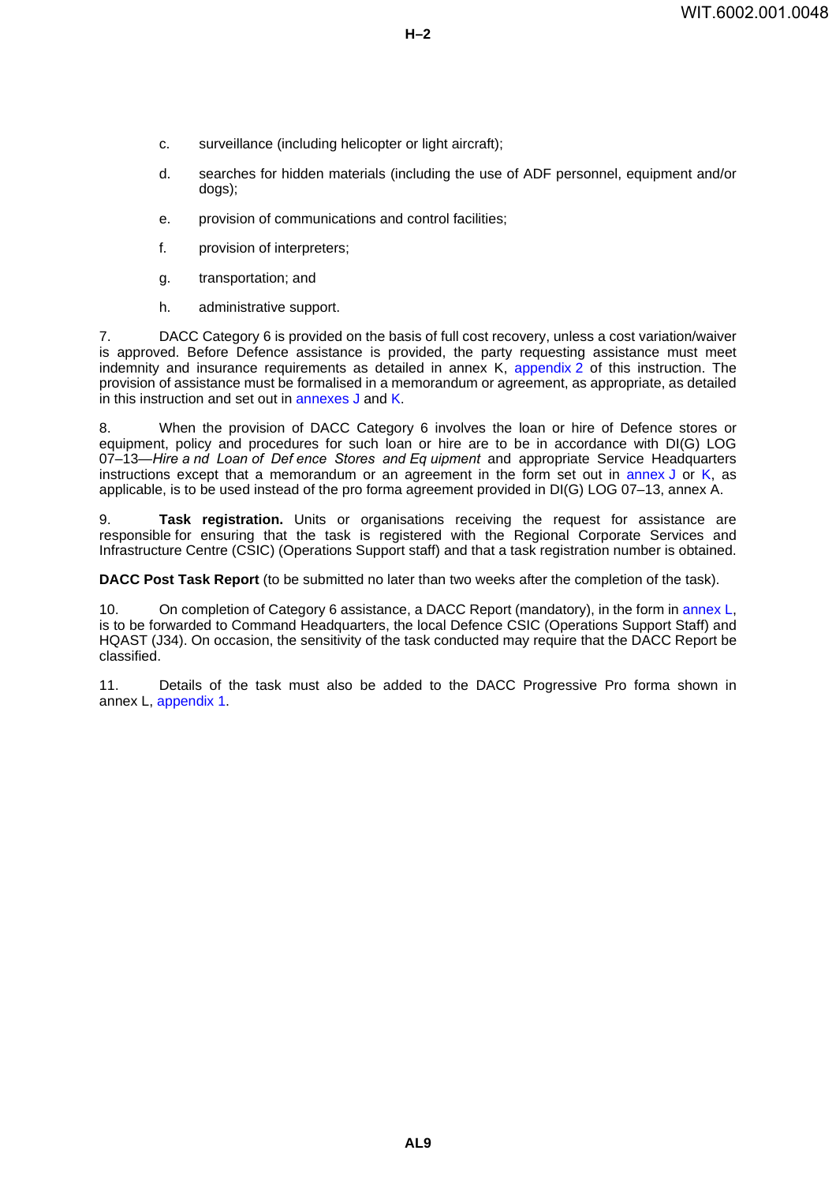- **H–2**
- c. surveillance (including helicopter or light aircraft);
- d. searches for hidden materials (including the use of ADF personnel, equipment and/or dogs);
- e. provision of communications and control facilities;
- f. provision of interpreters;
- g. transportation; and
- h. administrative support.

7. DACC Category 6 is provided on the basis of full cost recovery, unless a cost variation/waiver is approved. Before Defence assistance is provided, the party requesting assistance must meet indemnity and insurance requirements as detailed in annex K, [appendix](#page-48-0)  $\overline{2}$  of this instruction. The provision of assistance must be formalised in a memorandum or agreement, as appropriate, as detailed in this instruction and set out in [annexes](#page-40-0) J and [K](#page-44-0).

8. When the provision of DACC Category 6 involves the loan or hire of Defence stores or equipment, policy and procedures for such loan or hire are to be in accordance with DI(G) LOG 07–13—*Hire a nd Loan of Def ence Stores and Eq uipment* and appropriate Service Headquarters instructions except that a memorandum or an agreement in the form set out in [annex](#page-40-0)  $J$  or  $K$ , as applicable, is to be used instead of the pro forma agreement provided in DI(G) LOG 07–13, annex A.

9. **Task registration.** Units or organisations receiving the request for assistance are responsible for ensuring that the task is registered with the Regional Corporate Services and Infrastructure Centre (CSIC) (Operations Support staff) and that a task registration number is obtained.

**DACC Post Task Report** (to be submitted no later than two weeks after the completion of the task).

10. On completion of Category 6 assistance, a DACC Report (mandatory), in the form in [annex](#page-56-0) L, is to be forwarded to Command Headquarters, the local Defence CSIC (Operations Support Staff) and HQAST (J34). On occasion, the sensitivity of the task conducted may require that the DACC Report be classified.

11. Details of the task must also be added to the DACC Progressive Pro forma shown in annex L, [appendix](#page-60-0) 1.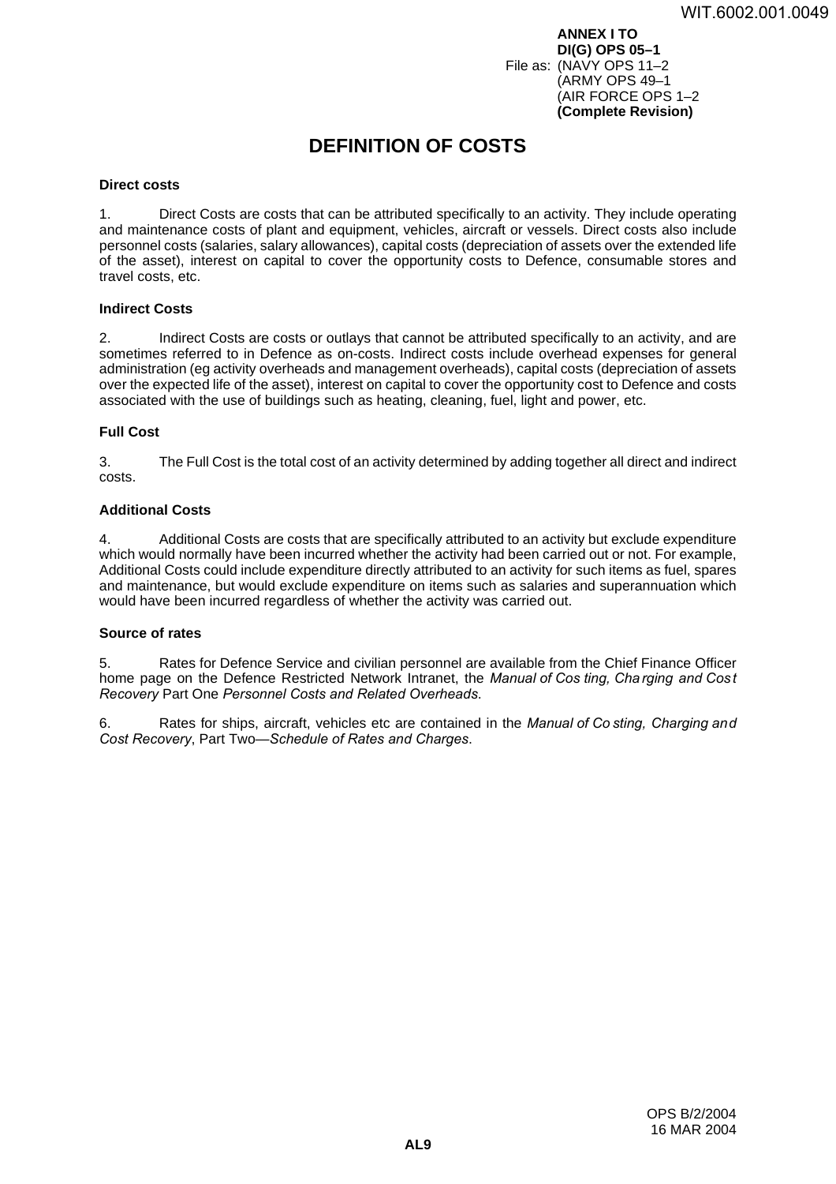**ANNEX I TO DI(G) OPS 05–1** File as: (NAVY OPS 11–2 (ARMY OPS 49–1 (AIR FORCE OPS 1–2 **(Complete Revision)**

# <span id="page-38-0"></span>**DEFINITION OF COSTS <sup>I</sup>**

#### **Direct costs <sup>1</sup>**

1. Direct Costs are costs that can be attributed specifically to an activity. They include operating and maintenance costs of plant and equipment, vehicles, aircraft or vessels. Direct costs also include personnel costs (salaries, salary allowances), capital costs (depreciation of assets over the extended life of the asset), interest on capital to cover the opportunity costs to Defence, consumable stores and travel costs, etc.

#### **Indirect Costs <sup>2</sup>**

2. Indirect Costs are costs or outlays that cannot be attributed specifically to an activity, and are sometimes referred to in Defence as on-costs. Indirect costs include overhead expenses for general administration (eg activity overheads and management overheads), capital costs (depreciation of assets over the expected life of the asset), interest on capital to cover the opportunity cost to Defence and costs associated with the use of buildings such as heating, cleaning, fuel, light and power, etc.

### **Full Cost <sup>3</sup>**

3. The Full Cost is the total cost of an activity determined by adding together all direct and indirect costs.

### **Additional Costs <sup>4</sup>**

4. Additional Costs are costs that are specifically attributed to an activity but exclude expenditure which would normally have been incurred whether the activity had been carried out or not. For example, Additional Costs could include expenditure directly attributed to an activity for such items as fuel, spares and maintenance, but would exclude expenditure on items such as salaries and superannuation which would have been incurred regardless of whether the activity was carried out.

### **Source of rates <sup>5</sup>**

5. Rates for Defence Service and civilian personnel are available from the Chief Finance Officer home page on the Defence Restricted Network Intranet, the *Manual of Cos ting, Charging and Cost Recovery* Part One *Personnel Costs and Related Overheads*.

6. Rates for ships, aircraft, vehicles etc are contained in the *Manual of Co sting, Charging and Cost Recovery*, Part Two—*Schedule of Rates and Charges*.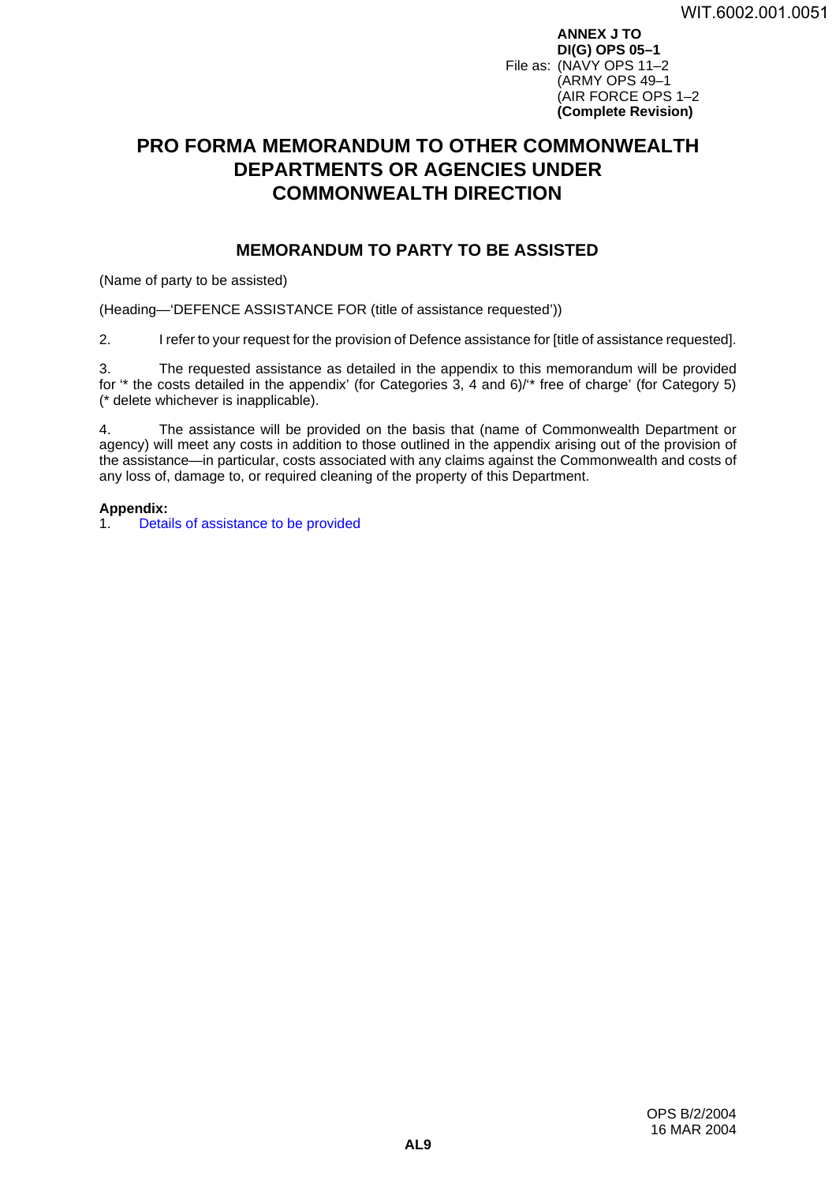**ANNEX J TO DI(G) OPS 05–1** File as: (NAVY OPS 11–2 (ARMY OPS 49–1 (AIR FORCE OPS 1–2 **(Complete Revision)**

# <span id="page-40-0"></span>**PRO FORMA MEMORANDUM TO OTHER COMMONWEALTH DEPARTMENTS OR AGENCIES UNDER COMMONWEALTH DIRECTION <sup>J</sup>**

### **MEMORANDUM TO PARTY TO BE ASSISTED <sup>1</sup>**

(Name of party to be assisted)

(Heading—'DEFENCE ASSISTANCE FOR (title of assistance requested'))

2. I refer to your request for the provision of Defence assistance for [title of assistance requested].

3. The requested assistance as detailed in the appendix to this memorandum will be provided for "\* the costs detailed in the appendix' (for Categories 3, 4 and 6)/"\* free of charge' (for Category 5) (\* delete whichever is inapplicable).

4. The assistance will be provided on the basis that (name of Commonwealth Department or agency) will meet any costs in addition to those outlined in the appendix arising out of the provision of the assistance—in particular, costs associated with any claims against the Commonwealth and costs of any loss of, damage to, or required cleaning of the property of this Department.

### **Appendix:**

1. [Details of assistance to be provided](#page-42-0)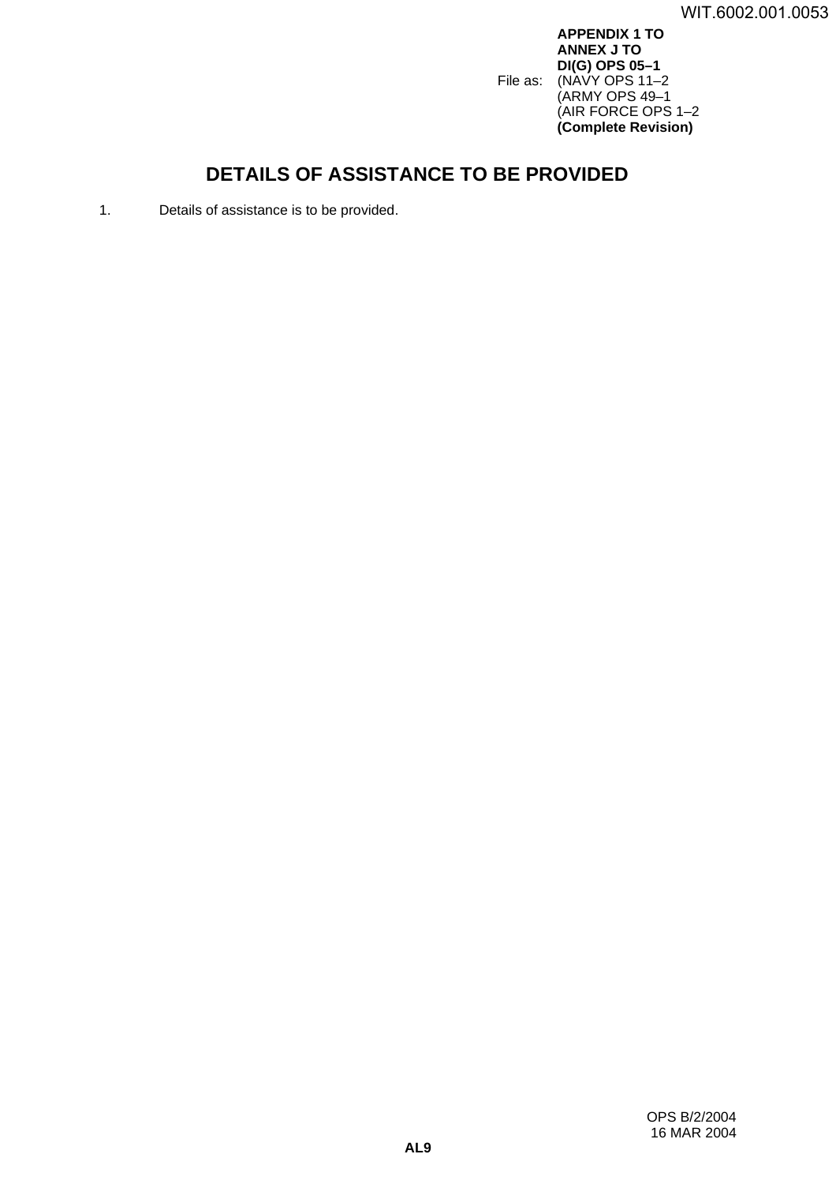**APPENDIX 1 TO ANNEX J TO DI(G) OPS 05–1** File as: (NAVY OPS 11–2 (ARMY OPS 49–1 (AIR FORCE OPS 1–2 **(Complete Revision)**

# <span id="page-42-0"></span>**DETAILS OF ASSISTANCE TO BE PROVIDED <sup>1</sup>**

1. Details of assistance is to be provided.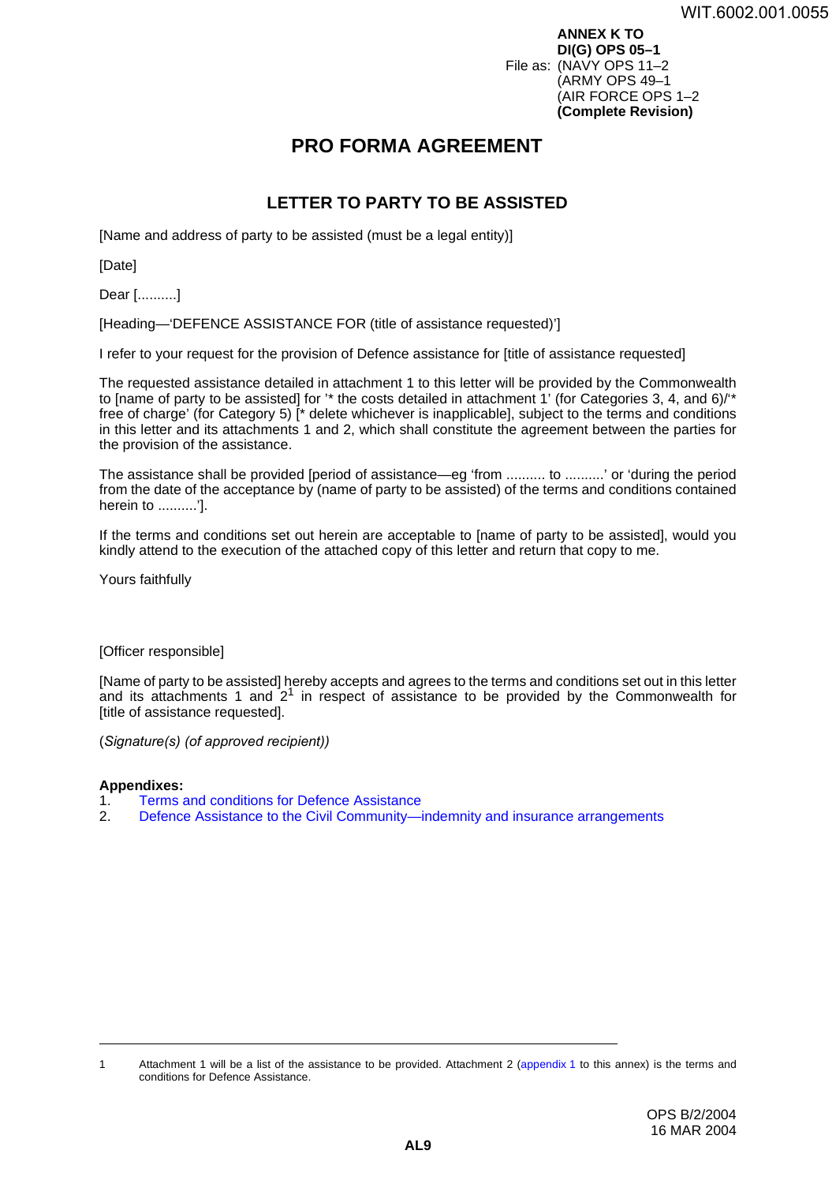**ANNEX K TO DI(G) OPS 05–1** File as: (NAVY OPS 11–2 (ARMY OPS 49–1 (AIR FORCE OPS 1–2 **(Complete Revision)**

# <span id="page-44-0"></span>**PRO FORMA AGREEMENT <sup>K</sup>**

### **LETTER TO PARTY TO BE ASSISTED <sup>1</sup>**

[Name and address of party to be assisted (must be a legal entity)]

[Date]

Dear [..........]

[Heading—'DEFENCE ASSISTANCE FOR (title of assistance requested)']

I refer to your request for the provision of Defence assistance for [title of assistance requested]

The requested assistance detailed in attachment 1 to this letter will be provided by the Commonwealth to [name of party to be assisted] for '\* the costs detailed in attachment 1' (for Categories 3, 4, and 6)/'\* free of charge' (for Category 5) [\* delete whichever is inapplicable], subject to the terms and conditions in this letter and its attachments 1 and 2, which shall constitute the agreement between the parties for the provision of the assistance.

The assistance shall be provided [period of assistance—eg 'from .......... to ..........' or 'during the period from the date of the acceptance by (name of party to be assisted) of the terms and conditions contained herein to ..........'].

If the terms and conditions set out herein are acceptable to [name of party to be assisted], would you kindly attend to the execution of the attached copy of this letter and return that copy to me.

Yours faithfully

### [Officer responsible]

[Name of party to be assisted] hereby accepts and agrees to the terms and conditions set out in this letter and its attachments 1 and  $2<sup>1</sup>$  in respect of assistance to be provided by the Commonwealth for [title of assistance requested].

(*Signature(s) (of approved recipient))*

### **Appendixes:**

- 1. [Terms and conditions for Defence Assistance](#page-46-0)
- 2. [Defence Assistance to the Civil Community—indemnity and insurance arrangements](#page-48-0)

<sup>1</sup> Attachment 1 will be a list of the assistance to be provided. Attachment 2 ([appendix](#page-46-0) 1 to this annex) is the terms and conditions for Defence Assistance.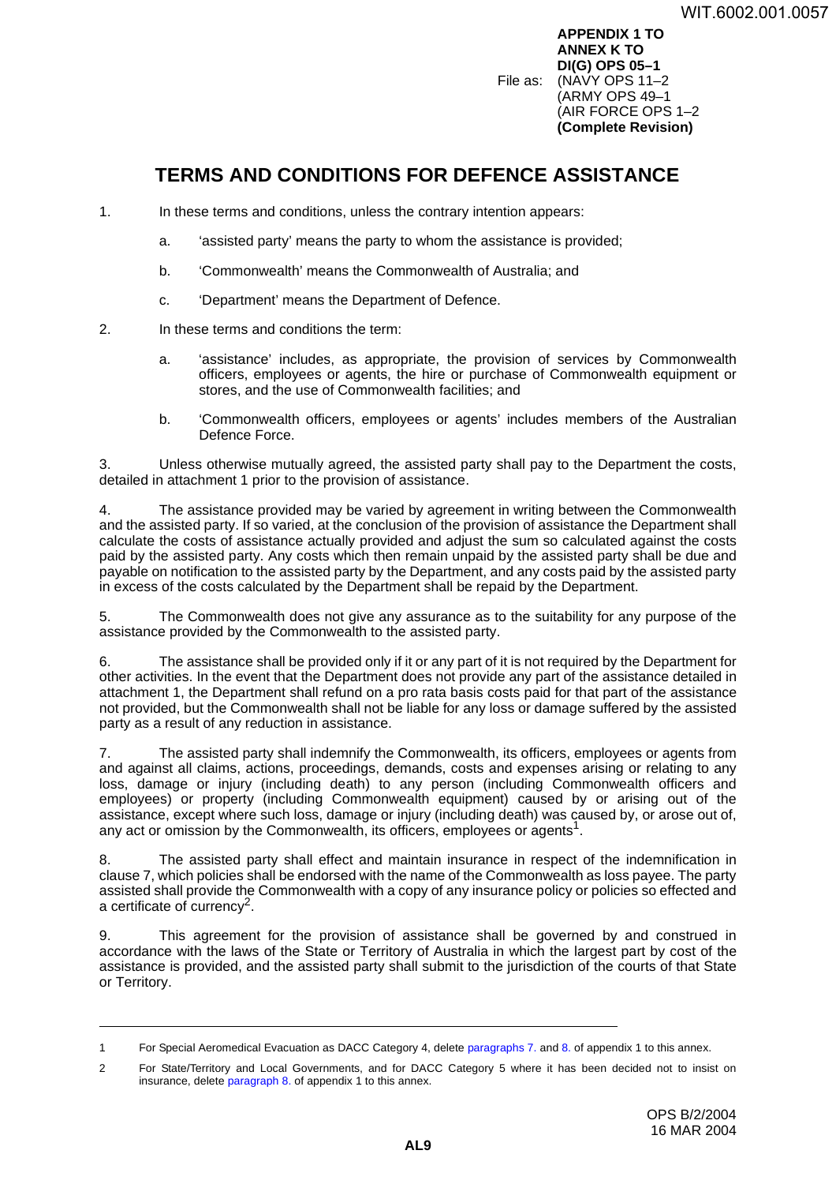**APPENDIX 1 TO ANNEX K TO DI(G) OPS 05–1** File as: (NAVY OPS 11–2 (ARMY OPS 49–1 (AIR FORCE OPS 1–2 **(Complete Revision)**

# <span id="page-46-0"></span>**TERMS AND CONDITIONS FOR DEFENCE ASSISTANCE <sup>1</sup>**

- 1. In these terms and conditions, unless the contrary intention appears:
	- a. 'assisted party' means the party to whom the assistance is provided;
	- b. 'Commonwealth' means the Commonwealth of Australia; and
	- c. 'Department' means the Department of Defence.
- 2. In these terms and conditions the term:
	- a. 'assistance' includes, as appropriate, the provision of services by Commonwealth officers, employees or agents, the hire or purchase of Commonwealth equipment or stores, and the use of Commonwealth facilities; and
	- b. 'Commonwealth officers, employees or agents' includes members of the Australian Defence Force.

3. Unless otherwise mutually agreed, the assisted party shall pay to the Department the costs, detailed in attachment 1 prior to the provision of assistance.

4. The assistance provided may be varied by agreement in writing between the Commonwealth and the assisted party. If so varied, at the conclusion of the provision of assistance the Department shall calculate the costs of assistance actually provided and adjust the sum so calculated against the costs paid by the assisted party. Any costs which then remain unpaid by the assisted party shall be due and payable on notification to the assisted party by the Department, and any costs paid by the assisted party in excess of the costs calculated by the Department shall be repaid by the Department.

5. The Commonwealth does not give any assurance as to the suitability for any purpose of the assistance provided by the Commonwealth to the assisted party.

6. The assistance shall be provided only if it or any part of it is not required by the Department for other activities. In the event that the Department does not provide any part of the assistance detailed in attachment 1, the Department shall refund on a pro rata basis costs paid for that part of the assistance not provided, but the Commonwealth shall not be liable for any loss or damage suffered by the assisted party as a result of any reduction in assistance.

7. The assisted party shall indemnify the Commonwealth, its officers, employees or agents from and against all claims, actions, proceedings, demands, costs and expenses arising or relating to any loss, damage or injury (including death) to any person (including Commonwealth officers and employees) or property (including Commonwealth equipment) caused by or arising out of the assistance, except where such loss, damage or injury (including death) was caused by, or arose out of, any act or omission by the Commonwealth, its officers, employees or agents<sup>1</sup>.

8. The assisted party shall effect and maintain insurance in respect of the indemnification in clause 7, which policies shall be endorsed with the name of the Commonwealth as loss payee. The party assisted shall provide the Commonwealth with a copy of any insurance policy or policies so effected and a certificate of currency2.

9. This agreement for the provision of assistance shall be governed by and construed in accordance with the laws of the State or Territory of Australia in which the largest part by cost of the assistance is provided, and the assisted party shall submit to the jurisdiction of the courts of that State or Territory.

<sup>1</sup> For Special Aeromedical Evacuation as DACC Category 4, delete paragraphs 7. and 8. of appendix 1 to this annex.

<sup>2</sup> For State/Territory and Local Governments, and for DACC Category 5 where it has been decided not to insist on insurance, delete paragraph 8. of appendix 1 to this annex.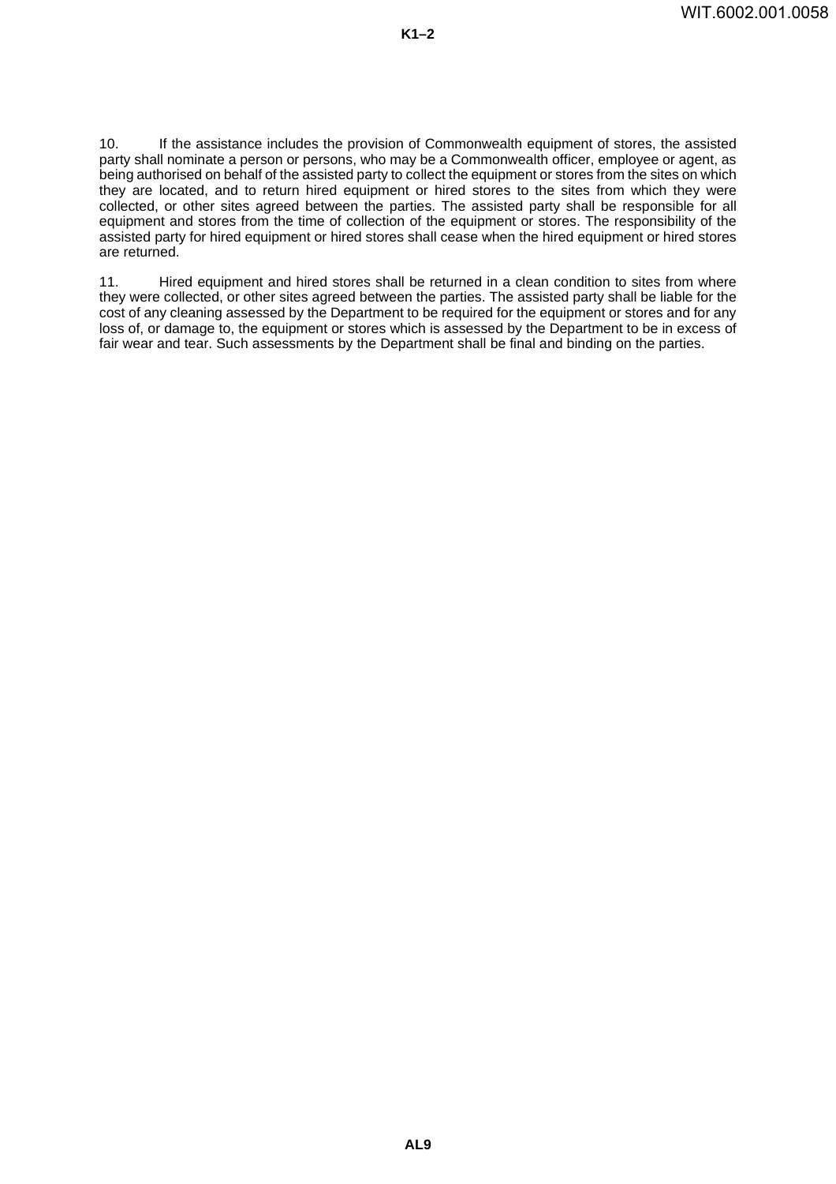10. If the assistance includes the provision of Commonwealth equipment of stores, the assisted party shall nominate a person or persons, who may be a Commonwealth officer, employee or agent, as being authorised on behalf of the assisted party to collect the equipment or stores from the sites on which they are located, and to return hired equipment or hired stores to the sites from which they were collected, or other sites agreed between the parties. The assisted party shall be responsible for all equipment and stores from the time of collection of the equipment or stores. The responsibility of the assisted party for hired equipment or hired stores shall cease when the hired equipment or hired stores are returned.

11. Hired equipment and hired stores shall be returned in a clean condition to sites from where they were collected, or other sites agreed between the parties. The assisted party shall be liable for the cost of any cleaning assessed by the Department to be required for the equipment or stores and for any loss of, or damage to, the equipment or stores which is assessed by the Department to be in excess of fair wear and tear. Such assessments by the Department shall be final and binding on the parties.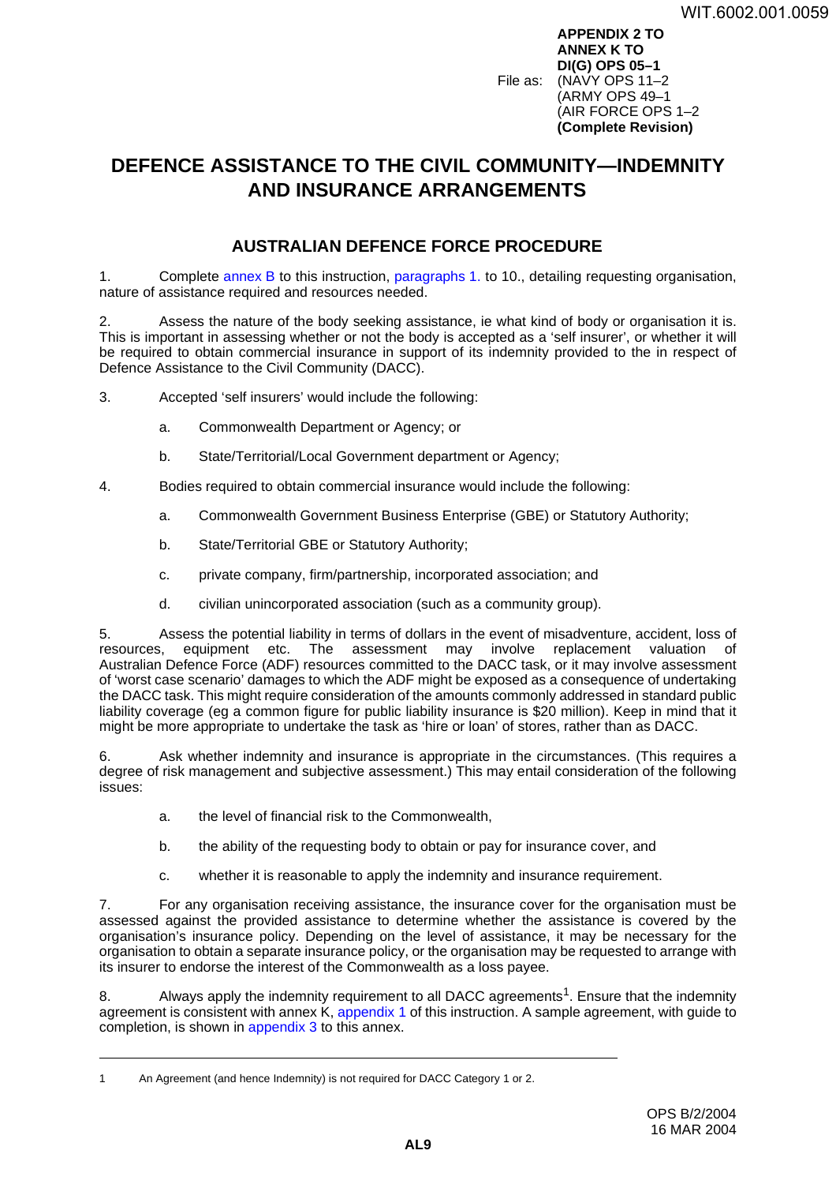**APPENDIX 2 TO ANNEX K TO DI(G) OPS 05–1** File as: (NAVY OPS 11–2 (ARMY OPS 49–1 (AIR FORCE OPS 1–2 **(Complete Revision)**

# <span id="page-48-0"></span>**DEFENCE ASSISTANCE TO THE CIVIL COMMUNITY—INDEMNITY AND INSURANCE ARRANGEMENTS <sup>2</sup>**

### **AUSTRALIAN DEFENCE FORCE PROCEDURE <sup>1</sup>**

1. Complete [annex](#page-14-0) B to this instruction, paragraphs 1. to 10., detailing requesting organisation, nature of assistance required and resources needed.

Assess the nature of the body seeking assistance, ie what kind of body or organisation it is. This is important in assessing whether or not the body is accepted as a 'self insurer', or whether it will be required to obtain commercial insurance in support of its indemnity provided to the in respect of Defence Assistance to the Civil Community (DACC).

3. Accepted 'self insurers' would include the following:

- a. Commonwealth Department or Agency; or
- b. State/Territorial/Local Government department or Agency;
- 4. Bodies required to obtain commercial insurance would include the following:
	- a. Commonwealth Government Business Enterprise (GBE) or Statutory Authority;
	- b. State/Territorial GBE or Statutory Authority;
	- c. private company, firm/partnership, incorporated association; and
	- d. civilian unincorporated association (such as a community group).

5. Assess the potential liability in terms of dollars in the event of misadventure, accident, loss of The assessment may involve replacement valuation of Australian Defence Force (ADF) resources committed to the DACC task, or it may involve assessment of 'worst case scenario' damages to which the ADF might be exposed as a consequence of undertaking the DACC task. This might require consideration of the amounts commonly addressed in standard public liability coverage (eg a common figure for public liability insurance is \$20 million). Keep in mind that it might be more appropriate to undertake the task as 'hire or loan' of stores, rather than as DACC.

6. Ask whether indemnity and insurance is appropriate in the circumstances. (This requires a degree of risk management and subjective assessment.) This may entail consideration of the following issues:

- a. the level of financial risk to the Commonwealth,
- b. the ability of the requesting body to obtain or pay for insurance cover, and
- c. whether it is reasonable to apply the indemnity and insurance requirement.

7. For any organisation receiving assistance, the insurance cover for the organisation must be assessed against the provided assistance to determine whether the assistance is covered by the organisation's insurance policy. Depending on the level of assistance, it may be necessary for the organisation to obtain a separate insurance policy, or the organisation may be requested to arrange with its insurer to endorse the interest of the Commonwealth as a loss payee.

8. Always apply the indemnity requirement to all DACC agreements<sup>1</sup>. Ensure that the indemnity agreement is consistent with annex K, [appendix](#page-46-0) 1 of this instruction. A sample agreement, with guide to completion, is shown in [appendix](#page-50-0) 3 to this annex.

<sup>1</sup> An Agreement (and hence Indemnity) is not required for DACC Category 1 or 2.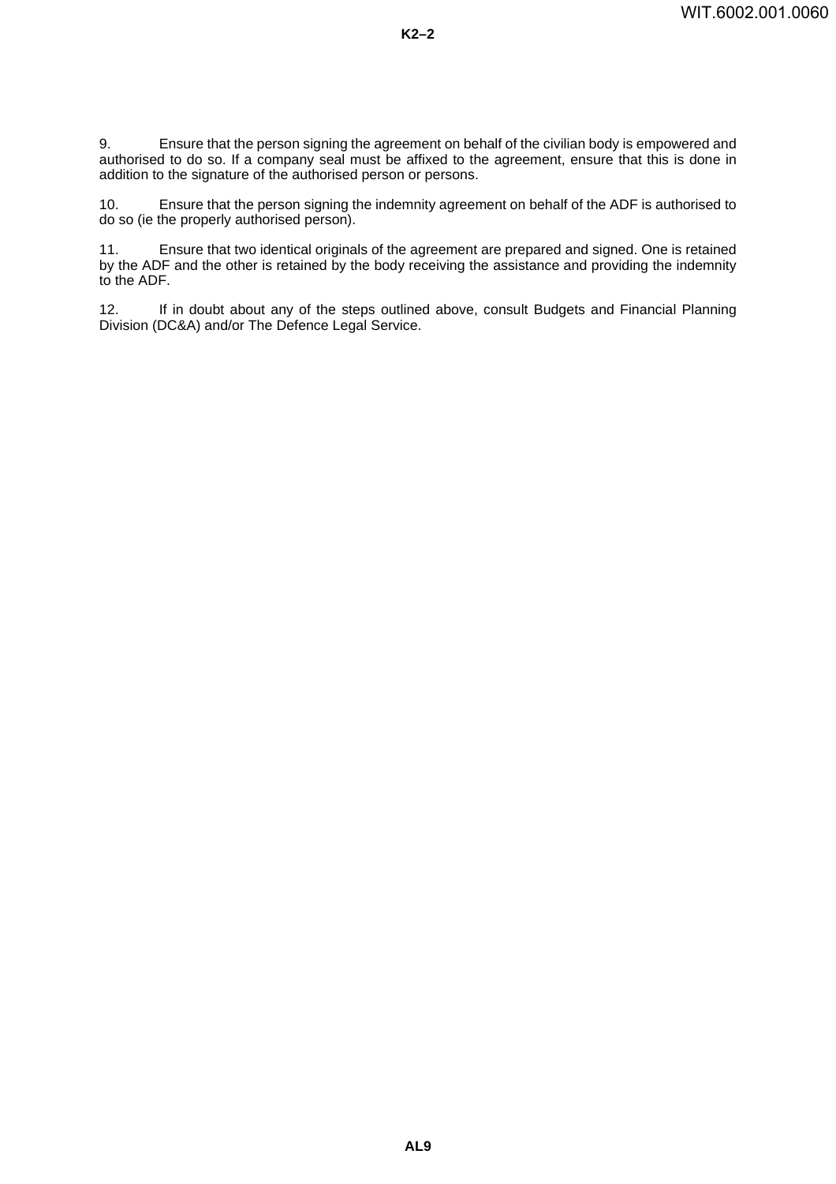9. Ensure that the person signing the agreement on behalf of the civilian body is empowered and authorised to do so. If a company seal must be affixed to the agreement, ensure that this is done in addition to the signature of the authorised person or persons.

10. Ensure that the person signing the indemnity agreement on behalf of the ADF is authorised to do so (ie the properly authorised person).

11. Ensure that two identical originals of the agreement are prepared and signed. One is retained by the ADF and the other is retained by the body receiving the assistance and providing the indemnity to the ADF.

12. If in doubt about any of the steps outlined above, consult Budgets and Financial Planning Division (DC&A) and/or The Defence Legal Service.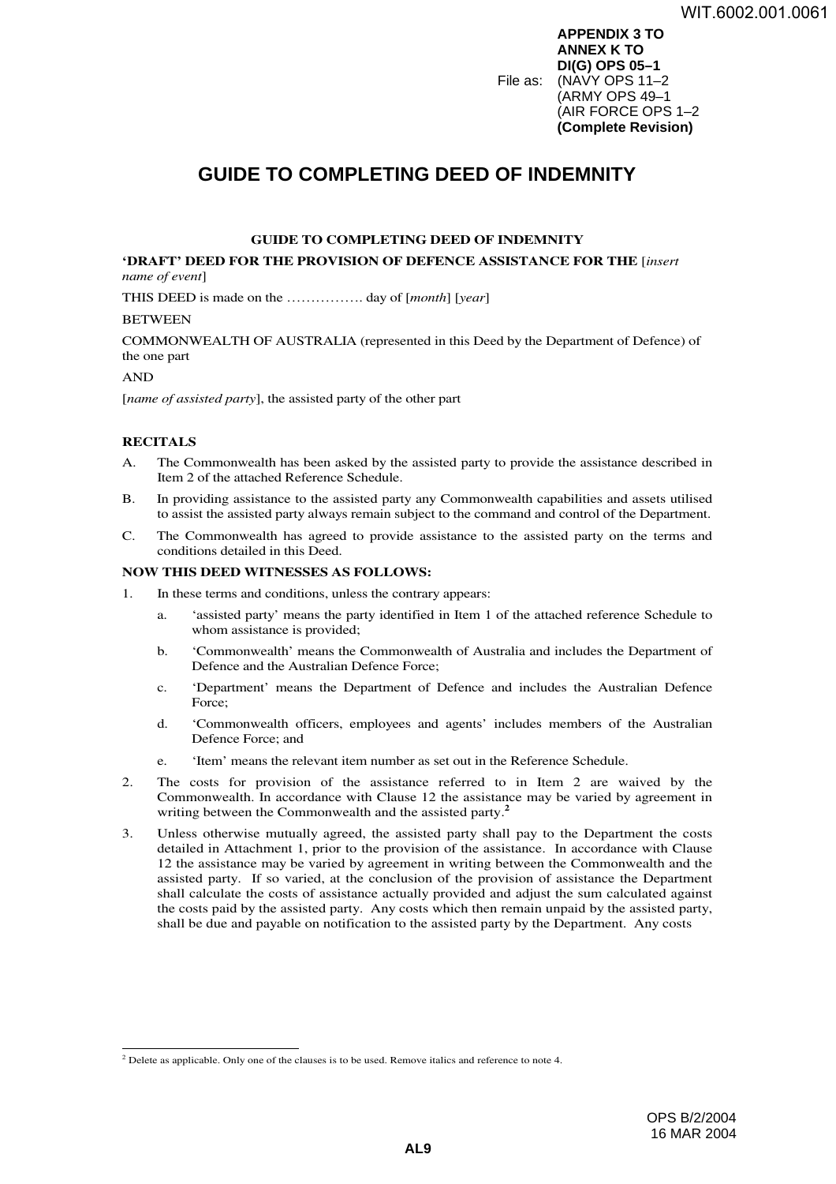**APPENDIX 3 TO ANNEX K TO DI(G) OPS 05–1** File as: (NAVY OPS 11–2 (ARMY OPS 49–1 (AIR FORCE OPS 1–2 **(Complete Revision)**

# <span id="page-50-0"></span>**GUIDE TO COMPLETING DEED OF INDEMNITY <sup>3</sup>**

#### **GUIDE TO COMPLETING DEED OF INDEMNITY**

**'DRAFT' DEED FOR THE PROVISION OF DEFENCE ASSISTANCE FOR THE** [*insert name of event*]

THIS DEED is made on the ……………. day of [*month*] [*year*]

#### **BETWEEN**

COMMONWEALTH OF AUSTRALIA (represented in this Deed by the Department of Defence) of the one part

#### AND

[*name of assisted party*], the assisted party of the other part

### **RECITALS**

- A. The Commonwealth has been asked by the assisted party to provide the assistance described in Item 2 of the attached Reference Schedule.
- B. In providing assistance to the assisted party any Commonwealth capabilities and assets utilised to assist the assisted party always remain subject to the command and control of the Department.
- C. The Commonwealth has agreed to provide assistance to the assisted party on the terms and conditions detailed in this Deed.

#### **NOW THIS DEED WITNESSES AS FOLLOWS:**

- 1. In these terms and conditions, unless the contrary appears:
	- a. 'assisted party' means the party identified in Item 1 of the attached reference Schedule to whom assistance is provided;
	- b. 'Commonwealth' means the Commonwealth of Australia and includes the Department of Defence and the Australian Defence Force;
	- c. 'Department' means the Department of Defence and includes the Australian Defence Force;
	- d. 'Commonwealth officers, employees and agents' includes members of the Australian Defence Force; and
	- e. 'Item' means the relevant item number as set out in the Reference Schedule.
- 2. The costs for provision of the assistance referred to in Item 2 are waived by the Commonwealth. In accordance with Clause 12 the assistance may be varied by agreement in writing between the Commonwealth and the assisted party.**<sup>2</sup>**
- 3. Unless otherwise mutually agreed, the assisted party shall pay to the Department the costs detailed in Attachment 1, prior to the provision of the assistance. In accordance with Clause 12 the assistance may be varied by agreement in writing between the Commonwealth and the assisted party. If so varied, at the conclusion of the provision of assistance the Department shall calculate the costs of assistance actually provided and adjust the sum calculated against the costs paid by the assisted party. Any costs which then remain unpaid by the assisted party, shall be due and payable on notification to the assisted party by the Department. Any costs

 $2^2$  Delete as applicable. Only one of the clauses is to be used. Remove italics and reference to note 4.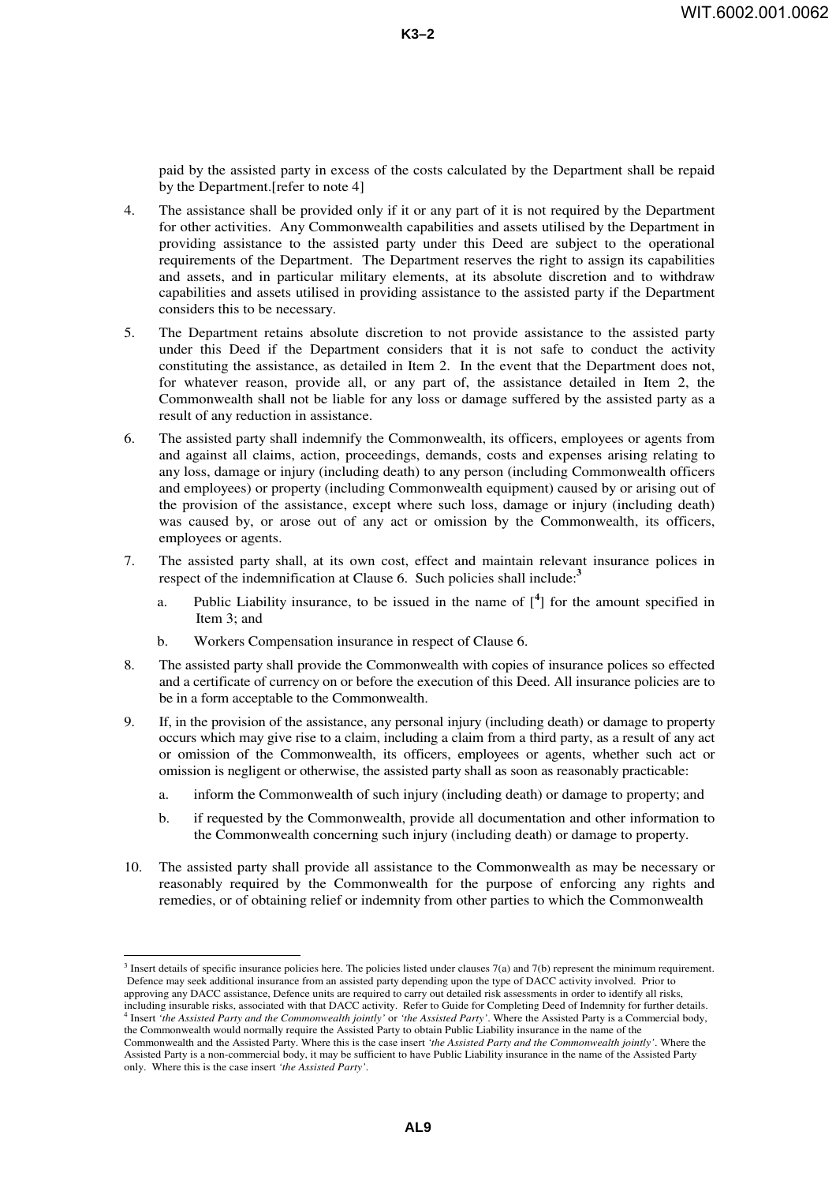paid by the assisted party in excess of the costs calculated by the Department shall be repaid by the Department.[refer to note 4]

- 4. The assistance shall be provided only if it or any part of it is not required by the Department for other activities. Any Commonwealth capabilities and assets utilised by the Department in providing assistance to the assisted party under this Deed are subject to the operational requirements of the Department. The Department reserves the right to assign its capabilities and assets, and in particular military elements, at its absolute discretion and to withdraw capabilities and assets utilised in providing assistance to the assisted party if the Department considers this to be necessary.
- 5. The Department retains absolute discretion to not provide assistance to the assisted party under this Deed if the Department considers that it is not safe to conduct the activity constituting the assistance, as detailed in Item 2. In the event that the Department does not, for whatever reason, provide all, or any part of, the assistance detailed in Item 2, the Commonwealth shall not be liable for any loss or damage suffered by the assisted party as a result of any reduction in assistance.
- 6. The assisted party shall indemnify the Commonwealth, its officers, employees or agents from and against all claims, action, proceedings, demands, costs and expenses arising relating to any loss, damage or injury (including death) to any person (including Commonwealth officers and employees) or property (including Commonwealth equipment) caused by or arising out of the provision of the assistance, except where such loss, damage or injury (including death) was caused by, or arose out of any act or omission by the Commonwealth, its officers, employees or agents.
- 7. The assisted party shall, at its own cost, effect and maintain relevant insurance polices in respect of the indemnification at Clause 6. Such policies shall include:**<sup>3</sup>**
	- a. Public Liability insurance, to be issued in the name of  $\binom{4}{1}$  for the amount specified in Item 3; and
	- b. Workers Compensation insurance in respect of Clause 6.
- 8. The assisted party shall provide the Commonwealth with copies of insurance polices so effected and a certificate of currency on or before the execution of this Deed. All insurance policies are to be in a form acceptable to the Commonwealth.
- 9. If, in the provision of the assistance, any personal injury (including death) or damage to property occurs which may give rise to a claim, including a claim from a third party, as a result of any act or omission of the Commonwealth, its officers, employees or agents, whether such act or omission is negligent or otherwise, the assisted party shall as soon as reasonably practicable:
	- a. inform the Commonwealth of such injury (including death) or damage to property; and
	- b. if requested by the Commonwealth, provide all documentation and other information to the Commonwealth concerning such injury (including death) or damage to property.
- 10. The assisted party shall provide all assistance to the Commonwealth as may be necessary or reasonably required by the Commonwealth for the purpose of enforcing any rights and remedies, or of obtaining relief or indemnity from other parties to which the Commonwealth

 $3$  Insert details of specific insurance policies here. The policies listed under clauses 7(a) and 7(b) represent the minimum requirement. Defence may seek additional insurance from an assisted party depending upon the type of DACC activity involved. Prior to approving any DACC assistance, Defence units are required to carry out detailed risk assessments in order to identify all risks, including insurable risks, associated with that DACC activity. Refer to Guide for Completing Deed of Indemnity for further details. <sup>4</sup>

Insert *'the Assisted Party and the Commonwealth jointly'* or *'the Assisted Party'*. Where the Assisted Party is a Commercial body, the Commonwealth would normally require the Assisted Party to obtain Public Liability insurance in the name of the Commonwealth and the Assisted Party. Where this is the case insert *'the Assisted Party and the Commonwealth jointly'*. Where the

Assisted Party is a non-commercial body, it may be sufficient to have Public Liability insurance in the name of the Assisted Party only. Where this is the case insert *'the Assisted Party'*.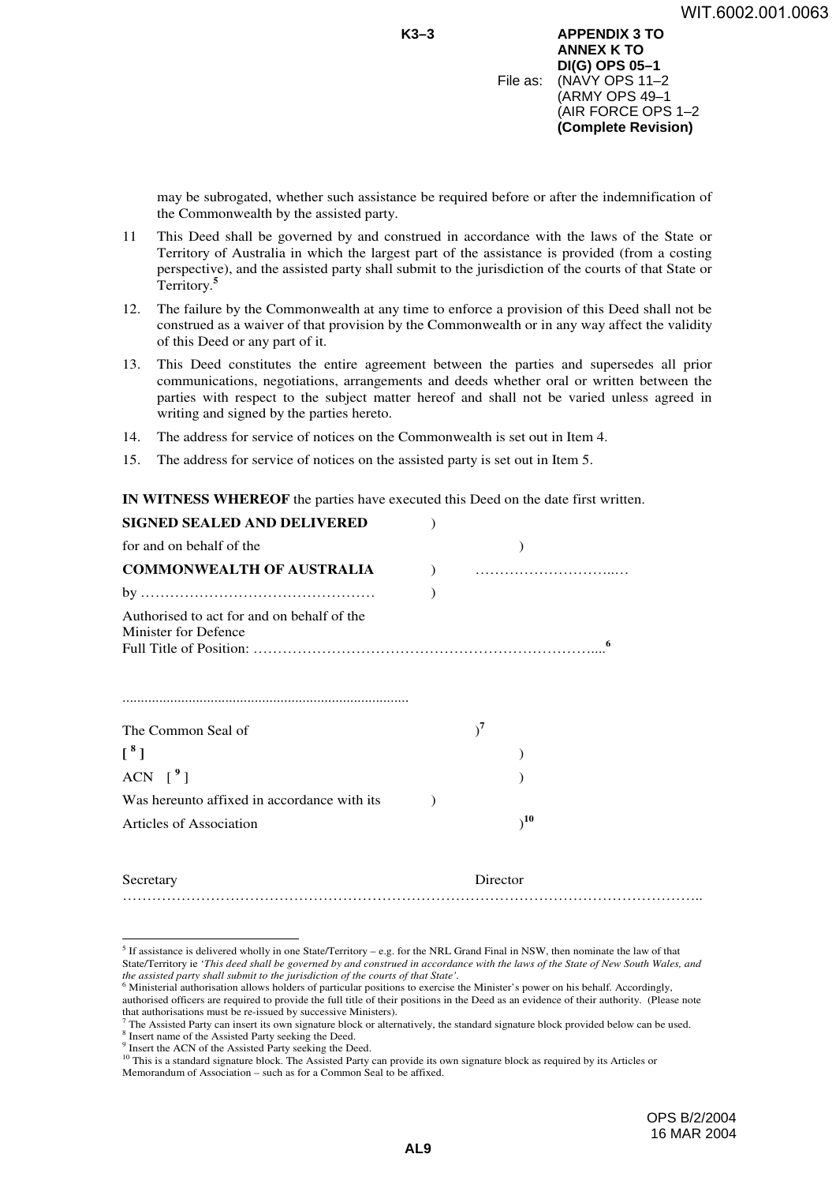**K3–3 APPENDIX 3 TO ANNEX K TO DI(G) OPS 05–1** File as: (NAVY OPS 11–2 (ARMY OPS 49–1 (AIR FORCE OPS 1–2 **(Complete Revision)**

may be subrogated, whether such assistance be required before or after the indemnification of the Commonwealth by the assisted party.

- 11 This Deed shall be governed by and construed in accordance with the laws of the State or Territory of Australia in which the largest part of the assistance is provided (from a costing perspective), and the assisted party shall submit to the jurisdiction of the courts of that State or Territory.**<sup>5</sup>**
- 12. The failure by the Commonwealth at any time to enforce a provision of this Deed shall not be construed as a waiver of that provision by the Commonwealth or in any way affect the validity of this Deed or any part of it.
- 13. This Deed constitutes the entire agreement between the parties and supersedes all prior communications, negotiations, arrangements and deeds whether oral or written between the parties with respect to the subject matter hereof and shall not be varied unless agreed in writing and signed by the parties hereto.
- 14. The address for service of notices on the Commonwealth is set out in Item 4.
- 15. The address for service of notices on the assisted party is set out in Item 5.

**IN WITNESS WHEREOF** the parties have executed this Deed on the date first written.

| <b>SIGNED SEALED AND DELIVERED</b>                                 |          |
|--------------------------------------------------------------------|----------|
| for and on behalf of the                                           |          |
| <b>COMMONWEALTH OF AUSTRALIA</b>                                   |          |
|                                                                    |          |
| Authorised to act for and on behalf of the<br>Minister for Defence |          |
| The Common Seal of                                                 | $)^7$    |
| $\left[ \begin{array}{c} 8 \\ 1 \end{array} \right]$               |          |
| ACN $\lceil \frac{9}{1} \rceil$                                    |          |
| Was hereunto affixed in accordance with its                        |          |
| Articles of Association                                            | 10       |
| Secretary                                                          | Director |

 $<sup>5</sup>$  If assistance is delivered wholly in one State/Territory – e.g. for the NRL Grand Final in NSW, then nominate the law of that</sup> State/Territory ie '*This deed shall be governed by and construed in accordance with the laws of the State of New South Wales, and the assisted party shall submit to the jurisdiction of the courts of that State'.* 6 Ministerial authorisation allows holders of particular positions to exercise the Minister's power on his behalf. Accordingly,

authorised officers are required to provide the full title of their positions in the Deed as an evidence of their authority. (Please note that authorisations must be re-issued by successive Ministers). <sup>7</sup>

The Assisted Party can insert its own signature block or alternatively, the standard signature block provided below can be used. <sup>8</sup> Insert name of the Assisted Party seeking the Deed.<br><sup>9</sup> Insert the ACN of the Assisted Party seeking the De

Insert the ACN of the Assisted Party seeking the Deed.

<sup>&</sup>lt;sup>10</sup> This is a standard signature block. The Assisted Party can provide its own signature block as required by its Articles or Memorandum of Association – such as for a Common Seal to be affixed.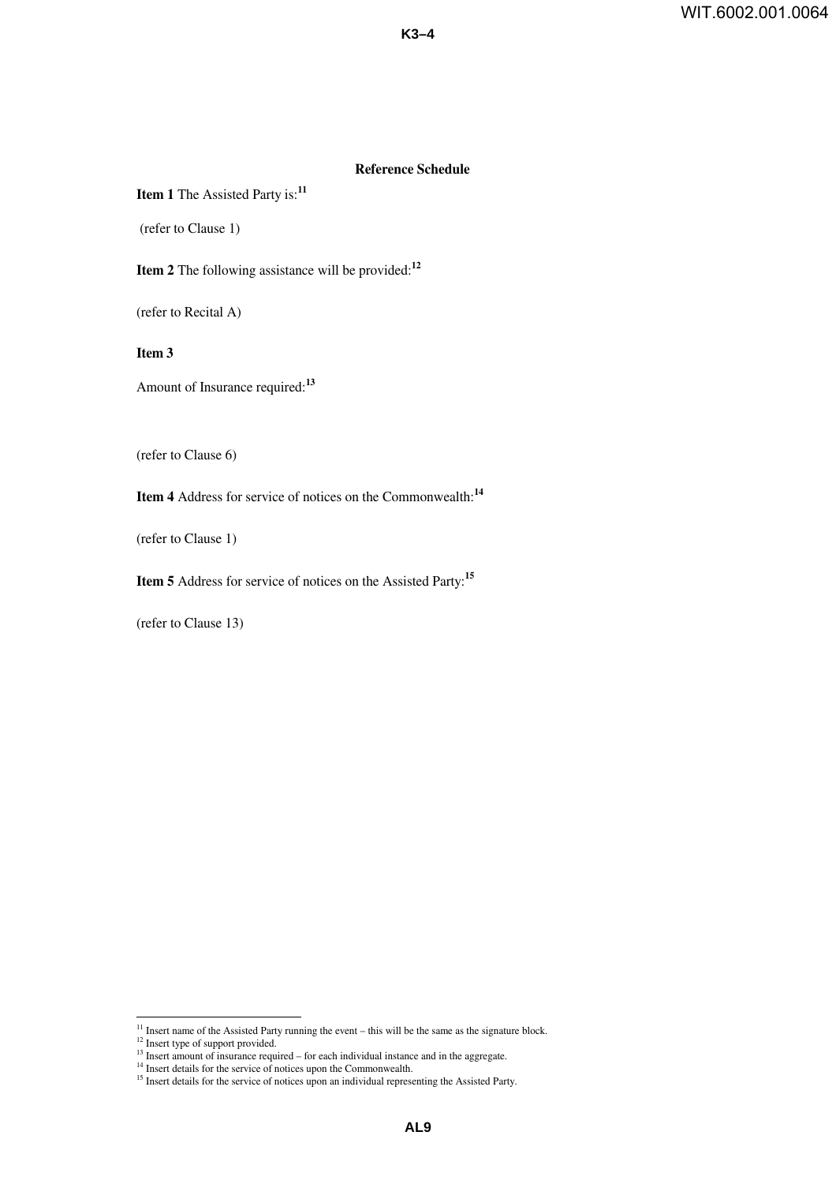#### **Reference Schedule**

**K3–4**

### **Item 1** The Assisted Party is:**<sup>11</sup>**

(refer to Clause 1)

**Item 2** The following assistance will be provided:**<sup>12</sup>**

(refer to Recital A)

**Item 3**

Amount of Insurance required:**<sup>13</sup>**

(refer to Clause 6)

**Item 4** Address for service of notices on the Commonwealth:**<sup>14</sup>**

(refer to Clause 1)

**Item 5** Address for service of notices on the Assisted Party:**<sup>15</sup>**

(refer to Clause 13)

<sup>12</sup> Insert type of support provided.

 $11$  Insert name of the Assisted Party running the event – this will be the same as the signature block.

 $13$  Insert amount of insurance required – for each individual instance and in the aggregate.

<sup>&</sup>lt;sup>14</sup> Insert details for the service of notices upon the Commonwealth.

<sup>&</sup>lt;sup>15</sup> Insert details for the service of notices upon an individual representing the Assisted Party.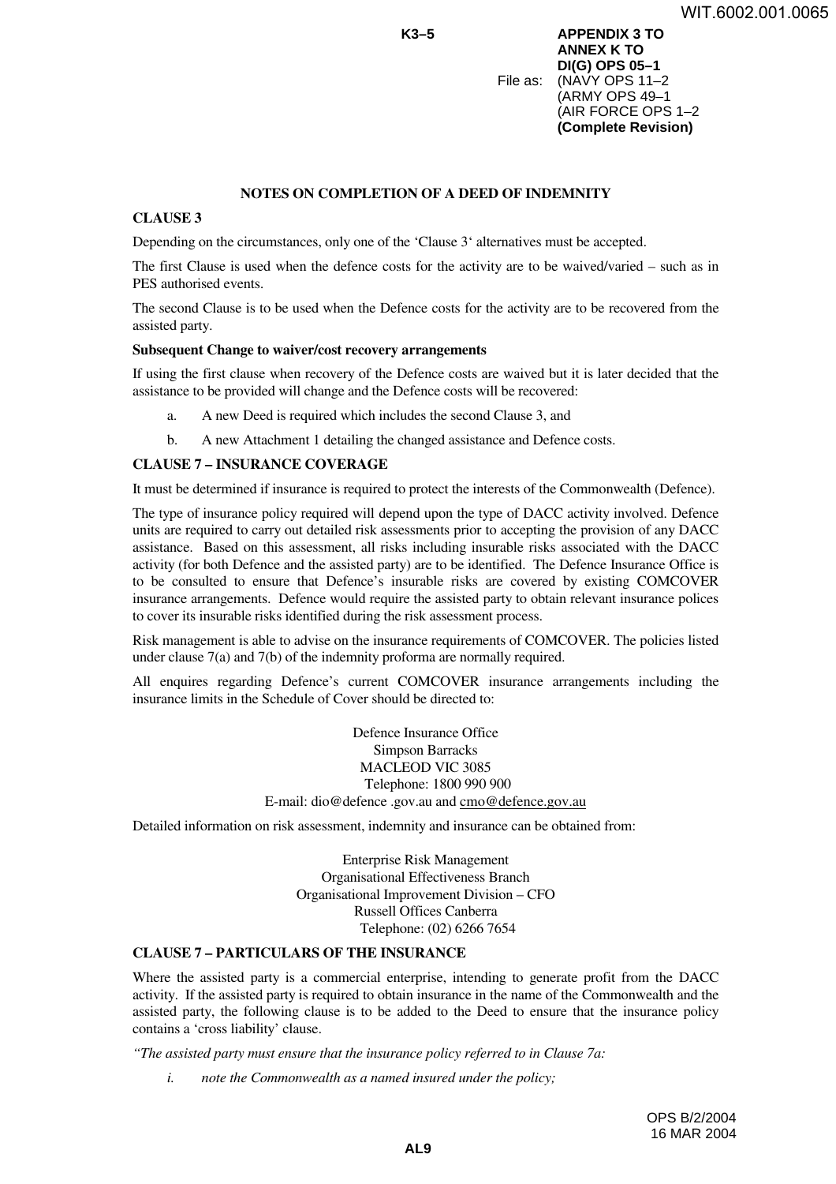**K3–5 APPENDIX 3 TO ANNEX K TO DI(G) OPS 05–1** File as: (NAVY OPS 11–2 (ARMY OPS 49–1 (AIR FORCE OPS 1–2 **(Complete Revision)**

### **NOTES ON COMPLETION OF A DEED OF INDEMNITY**

### **CLAUSE 3**

Depending on the circumstances, only one of the 'Clause 3' alternatives must be accepted.

The first Clause is used when the defence costs for the activity are to be waived/varied – such as in PES authorised events.

The second Clause is to be used when the Defence costs for the activity are to be recovered from the assisted party.

#### **Subsequent Change to waiver/cost recovery arrangements**

If using the first clause when recovery of the Defence costs are waived but it is later decided that the assistance to be provided will change and the Defence costs will be recovered:

- a. A new Deed is required which includes the second Clause 3, and
- b. A new Attachment 1 detailing the changed assistance and Defence costs.

### **CLAUSE 7 – INSURANCE COVERAGE**

It must be determined if insurance is required to protect the interests of the Commonwealth (Defence).

The type of insurance policy required will depend upon the type of DACC activity involved. Defence units are required to carry out detailed risk assessments prior to accepting the provision of any DACC assistance. Based on this assessment, all risks including insurable risks associated with the DACC activity (for both Defence and the assisted party) are to be identified. The Defence Insurance Office is to be consulted to ensure that Defence's insurable risks are covered by existing COMCOVER insurance arrangements. Defence would require the assisted party to obtain relevant insurance polices to cover its insurable risks identified during the risk assessment process.

Risk management is able to advise on the insurance requirements of COMCOVER. The policies listed under clause 7(a) and 7(b) of the indemnity proforma are normally required.

All enquires regarding Defence's current COMCOVER insurance arrangements including the insurance limits in the Schedule of Cover should be directed to:

> Defence Insurance Office Simpson Barracks MACLEOD VIC 3085 Telephone: 1800 990 900 E-mail: dio@defence .gov.au and cmo@defence.gov.au

Detailed information on risk assessment, indemnity and insurance can be obtained from:

Enterprise Risk Management Organisational Effectiveness Branch Organisational Improvement Division – CFO Russell Offices Canberra Telephone: (02) 6266 7654

### **CLAUSE 7 – PARTICULARS OF THE INSURANCE**

Where the assisted party is a commercial enterprise, intending to generate profit from the DACC activity. If the assisted party is required to obtain insurance in the name of the Commonwealth and the assisted party, the following clause is to be added to the Deed to ensure that the insurance policy contains a 'cross liability' clause.

*"The assisted party must ensure that the insurance policy referred to in Clause 7a:*

*i. note the Commonwealth as a named insured under the policy;*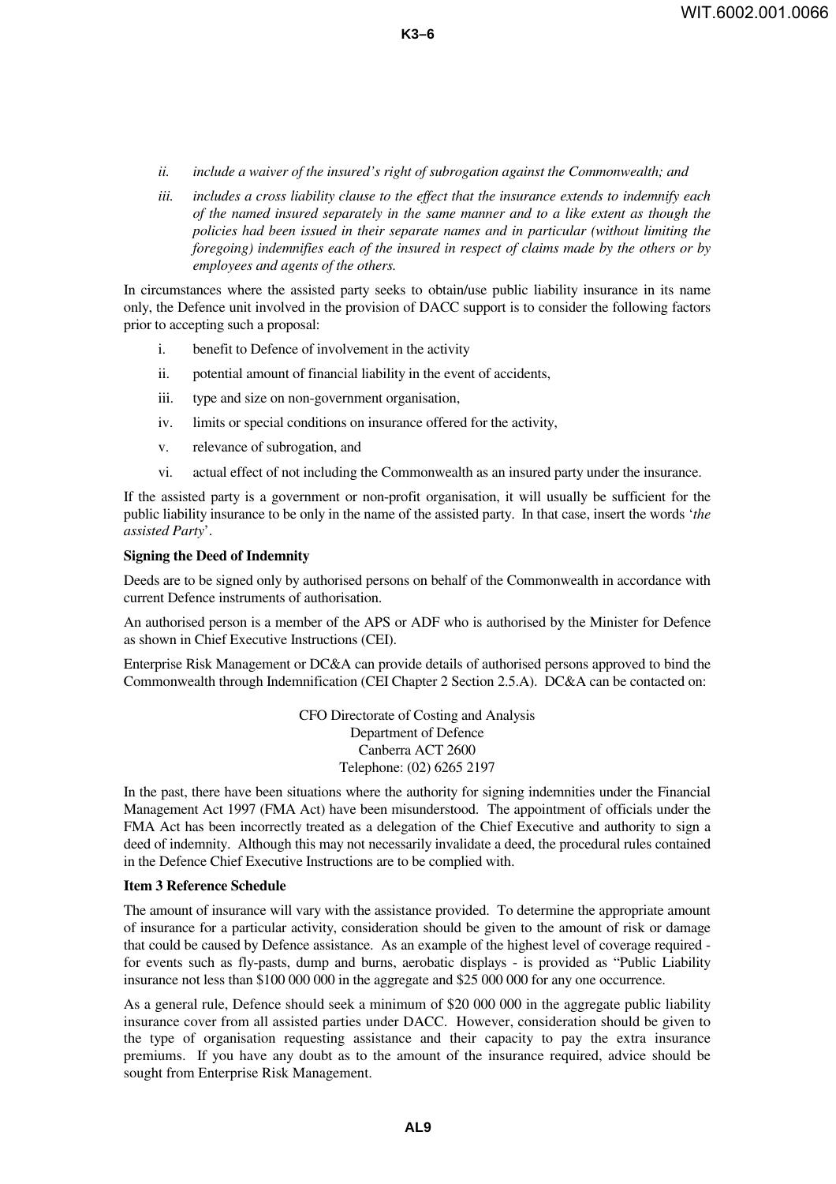- *ii. include a waiver of the insured's right of subrogation against the Commonwealth; and*
- *iii. includes a cross liability clause to the effect that the insurance extends to indemnify each of the named insured separately in the same manner and to a like extent as though the policies had been issued in their separate names and in particular (without limiting the foregoing) indemnifies each of the insured in respect of claims made by the others or by employees and agents of the others.*

In circumstances where the assisted party seeks to obtain/use public liability insurance in its name only, the Defence unit involved in the provision of DACC support is to consider the following factors prior to accepting such a proposal:

- i. benefit to Defence of involvement in the activity
- ii. potential amount of financial liability in the event of accidents,
- iii. type and size on non-government organisation,
- iv. limits or special conditions on insurance offered for the activity,
- v. relevance of subrogation, and
- vi. actual effect of not including the Commonwealth as an insured party under the insurance.

If the assisted party is a government or non-profit organisation, it will usually be sufficient for the public liability insurance to be only in the name of the assisted party. In that case, insert the words '*the assisted Party*'.

#### **Signing the Deed of Indemnity**

Deeds are to be signed only by authorised persons on behalf of the Commonwealth in accordance with current Defence instruments of authorisation.

An authorised person is a member of the APS or ADF who is authorised by the Minister for Defence as shown in Chief Executive Instructions (CEI).

Enterprise Risk Management or DC&A can provide details of authorised persons approved to bind the Commonwealth through Indemnification (CEI Chapter 2 Section 2.5.A). DC&A can be contacted on:

> CFO Directorate of Costing and Analysis Department of Defence Canberra ACT 2600 Telephone: (02) 6265 2197

In the past, there have been situations where the authority for signing indemnities under the Financial Management Act 1997 (FMA Act) have been misunderstood. The appointment of officials under the FMA Act has been incorrectly treated as a delegation of the Chief Executive and authority to sign a deed of indemnity. Although this may not necessarily invalidate a deed, the procedural rules contained in the Defence Chief Executive Instructions are to be complied with.

### **Item 3 Reference Schedule**

The amount of insurance will vary with the assistance provided. To determine the appropriate amount of insurance for a particular activity, consideration should be given to the amount of risk or damage that could be caused by Defence assistance. As an example of the highest level of coverage required for events such as fly-pasts, dump and burns, aerobatic displays - is provided as "Public Liability insurance not less than \$100 000 000 in the aggregate and \$25 000 000 for any one occurrence.

As a general rule, Defence should seek a minimum of \$20 000 000 in the aggregate public liability insurance cover from all assisted parties under DACC. However, consideration should be given to the type of organisation requesting assistance and their capacity to pay the extra insurance premiums. If you have any doubt as to the amount of the insurance required, advice should be sought from Enterprise Risk Management.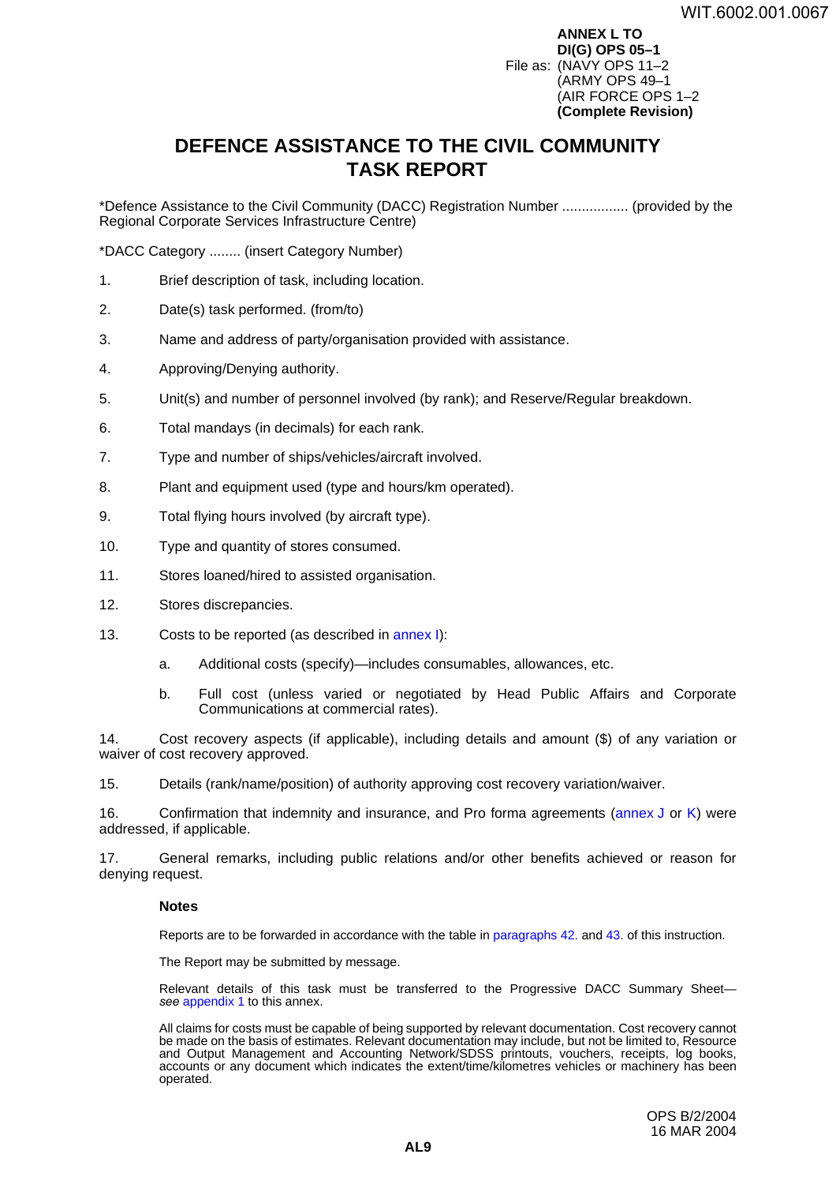**ANNEX L TO DI(G) OPS 05–1** File as: (NAVY OPS 11–2 (ARMY OPS 49–1 (AIR FORCE OPS 1–2 **(Complete Revision)**

# <span id="page-56-0"></span>**DEFENCE ASSISTANCE TO THE CIVIL COMMUNITY TASK REPORT <sup>L</sup>**

\*Defence Assistance to the Civil Community (DACC) Registration Number ................. (provided by the Regional Corporate Services Infrastructure Centre)

\*DACC Category ........ (insert Category Number)

- 1. Brief description of task, including location.
- 2. Date(s) task performed. (from/to)
- 3. Name and address of party/organisation provided with assistance.
- 4. Approving/Denying authority.
- 5. Unit(s) and number of personnel involved (by rank); and Reserve/Regular breakdown.
- 6. Total mandays (in decimals) for each rank.
- 7. Type and number of ships/vehicles/aircraft involved.
- 8. Plant and equipment used (type and hours/km operated).
- 9. Total flying hours involved (by aircraft type).
- 10. Type and quantity of stores consumed.
- 11. Stores loaned/hired to assisted organisation.
- 12. Stores discrepancies.
- 13. Costs to be reported (as described in [annex](#page-38-0) I):
	- a. Additional costs (specify)—includes consumables, allowances, etc.
	- b. Full cost (unless varied or negotiated by Head Public Affairs and Corporate Communications at commercial rates).

14. Cost recovery aspects (if applicable), including details and amount (\$) of any variation or waiver of cost recovery approved.

15. Details (rank/name/position) of authority approving cost recovery variation/waiver.

16. Confirmation that indemnity and insurance, and Pro forma agreements [\(annex](#page-40-0) J or [K\)](#page-44-0) were addressed, if applicable.

17. General remarks, including public relations and/or other benefits achieved or reason for denying request.

#### **Notes**

Reports are to be forwarded in accordance with the table in paragraphs 42. and 43. of this instruction.

The Report may be submitted by message.

Relevant details of this task must be transferred to the Progressive DACC Summary Sheet *see* [appendix](#page-60-0) 1 to this annex.

All claims for costs must be capable of being supported by relevant documentation. Cost recovery cannot be made on the basis of estimates. Relevant documentation may include, but not be limited to, Resource and Output Management and Accounting Network/SDSS printouts, vouchers, receipts, log books, accounts or any document which indicates the extent/time/kilometres vehicles or machinery has been operated.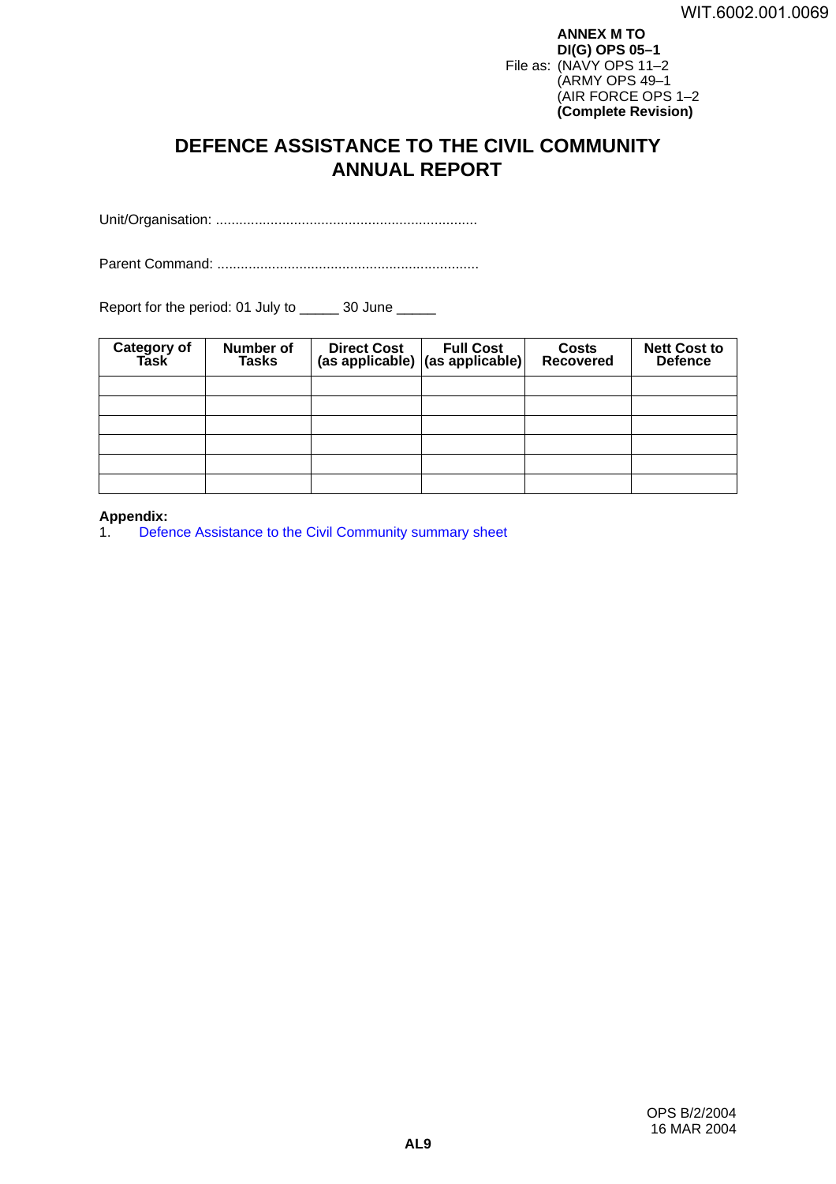**ANNEX M TO DI(G) OPS 05–1** File as: (NAVY OPS 11–2 (ARMY OPS 49–1 (AIR FORCE OPS 1–2 **(Complete Revision)**

# <span id="page-58-0"></span>**DEFENCE ASSISTANCE TO THE CIVIL COMMUNITY ANNUAL REPORT <sup>M</sup>**

Unit/Organisation: ...................................................................

Parent Command: ...................................................................

Report for the period: 01 July to \_\_\_\_\_ 30 June \_\_\_\_\_

| Category of<br>Task | Number of<br><b>Tasks</b> | <b>Direct Cost</b> | <b>Full Cost</b><br>(as applicable) (as applicable) | <b>Costs</b><br><b>Recovered</b> | <b>Nett Cost to</b><br><b>Defence</b> |
|---------------------|---------------------------|--------------------|-----------------------------------------------------|----------------------------------|---------------------------------------|
|                     |                           |                    |                                                     |                                  |                                       |
|                     |                           |                    |                                                     |                                  |                                       |
|                     |                           |                    |                                                     |                                  |                                       |
|                     |                           |                    |                                                     |                                  |                                       |
|                     |                           |                    |                                                     |                                  |                                       |
|                     |                           |                    |                                                     |                                  |                                       |

# **Appendix:**

[Defence Assistance to the Civil Community summary](#page-60-0) sheet